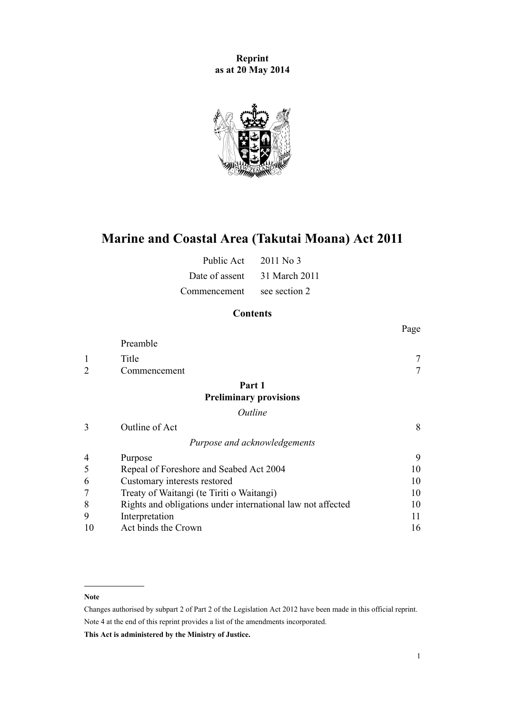**Reprint as at 20 May 2014**



# **Marine and Coastal Area (Takutai Moana) Act 2011**

| Public Act     | $2011$ No 3   |
|----------------|---------------|
| Date of assent | 31 March 2011 |
| Commencement   | see section 2 |

# **Contents**

|                             |                                                             | Page |
|-----------------------------|-------------------------------------------------------------|------|
|                             | Preamble                                                    |      |
| 1                           | Title                                                       |      |
| $\mathcal{D}_{\mathcal{L}}$ | Commencement                                                |      |
|                             | Part 1                                                      |      |
|                             | <b>Preliminary provisions</b>                               |      |
|                             | Outline                                                     |      |
| 3                           | Outline of Act                                              | 8    |
|                             | Purpose and acknowledgements                                |      |
| 4                           | Purpose                                                     | 9    |
| 5                           | Repeal of Foreshore and Seabed Act 2004                     | 10   |
| 6                           | Customary interests restored                                | 10   |
|                             | Treaty of Waitangi (te Tiriti o Waitangi)                   | 10   |
| 8                           | Rights and obligations under international law not affected | 10   |
| 9                           | Interpretation                                              | 11   |
| 10                          | Act binds the Crown                                         | 16   |

#### **Note**

Changes authorised by [subpart 2](http://prd-lgnz-nlb.prd.pco.net.nz/pdflink.aspx?id=DLM2998524) of Part 2 of the Legislation Act 2012 have been made in this official reprint. Note 4 at the end of this reprint provides a list of the amendments incorporated.

**This Act is administered by the Ministry of Justice.**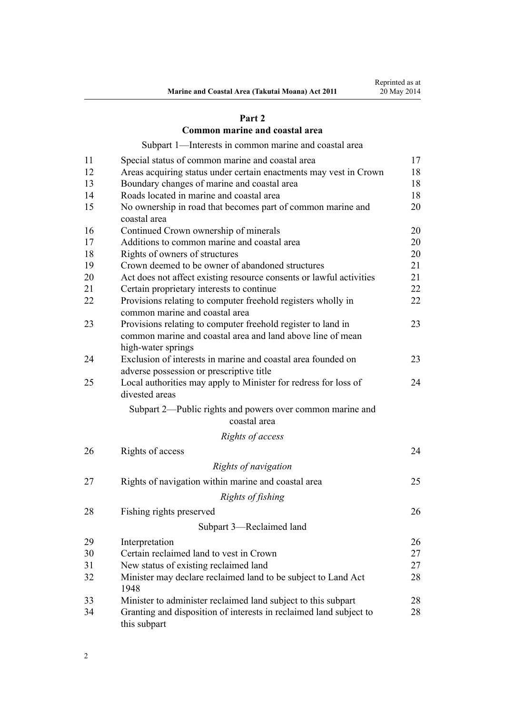### **[Part 2](#page-16-0)**

### **[Common marine and coastal area](#page-16-0)**

[Subpart 1—Interests in common marine and coastal area](#page-16-0)

| 11 | Special status of common marine and coastal area                                               | 17 |
|----|------------------------------------------------------------------------------------------------|----|
| 12 | Areas acquiring status under certain enactments may vest in Crown                              | 18 |
| 13 | Boundary changes of marine and coastal area                                                    | 18 |
| 14 | Roads located in marine and coastal area                                                       | 18 |
| 15 | No ownership in road that becomes part of common marine and<br>coastal area                    | 20 |
| 16 | Continued Crown ownership of minerals                                                          | 20 |
| 17 | Additions to common marine and coastal area                                                    | 20 |
| 18 | Rights of owners of structures                                                                 | 20 |
| 19 | Crown deemed to be owner of abandoned structures                                               | 21 |
| 20 | Act does not affect existing resource consents or lawful activities                            | 21 |
| 21 | Certain proprietary interests to continue                                                      | 22 |
| 22 | Provisions relating to computer freehold registers wholly in<br>common marine and coastal area | 22 |
| 23 | Provisions relating to computer freehold register to land in                                   | 23 |
|    | common marine and coastal area and land above line of mean<br>high-water springs               |    |
| 24 | Exclusion of interests in marine and coastal area founded on                                   | 23 |
|    | adverse possession or prescriptive title                                                       |    |
| 25 | Local authorities may apply to Minister for redress for loss of<br>divested areas              | 24 |
|    | Subpart 2—Public rights and powers over common marine and<br>coastal area                      |    |
|    | Rights of access                                                                               |    |
| 26 | Rights of access                                                                               | 24 |
|    |                                                                                                |    |
|    | Rights of navigation                                                                           |    |
| 27 | Rights of navigation within marine and coastal area                                            | 25 |
|    | Rights of fishing                                                                              |    |
| 28 | Fishing rights preserved                                                                       | 26 |
|    | Subpart 3—Reclaimed land                                                                       |    |
| 29 | Interpretation                                                                                 | 26 |
| 30 | Certain reclaimed land to vest in Crown                                                        | 27 |
| 31 | New status of existing reclaimed land                                                          | 27 |
| 32 | Minister may declare reclaimed land to be subject to Land Act<br>1948                          | 28 |
| 33 | Minister to administer reclaimed land subject to this subpart                                  | 28 |
| 34 | Granting and disposition of interests in reclaimed land subject to<br>this subpart             | 28 |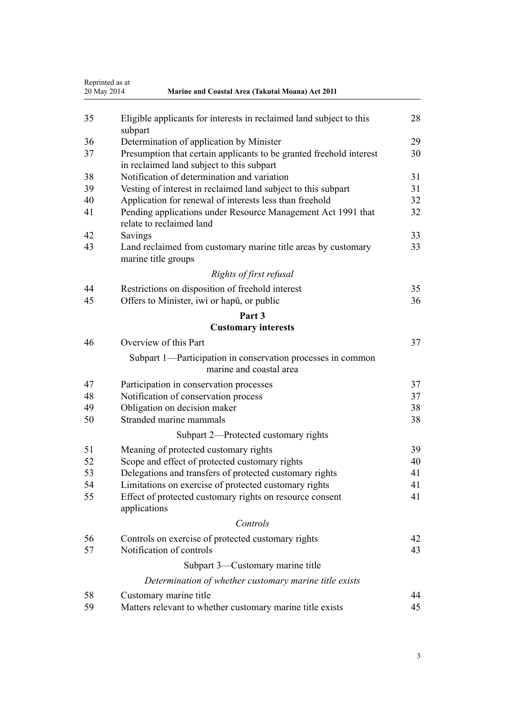|    | Reprinted as at<br>20 May 2014<br>Marine and Coastal Area (Takutai Moana) Act 2011                               |    |
|----|------------------------------------------------------------------------------------------------------------------|----|
| 35 | Eligible applicants for interests in reclaimed land subject to this<br>subpart                                   | 28 |
| 36 | Determination of application by Minister                                                                         | 29 |
| 37 | Presumption that certain applicants to be granted freehold interest<br>in reclaimed land subject to this subpart | 30 |
| 38 | Notification of determination and variation                                                                      | 31 |
| 39 | Vesting of interest in reclaimed land subject to this subpart                                                    | 31 |
| 40 | Application for renewal of interests less than freehold                                                          | 32 |
| 41 | Pending applications under Resource Management Act 1991 that<br>relate to reclaimed land                         | 32 |
| 42 | Savings                                                                                                          | 33 |
| 43 | Land reclaimed from customary marine title areas by customary<br>marine title groups                             | 33 |
|    | Rights of first refusal                                                                                          |    |
| 44 | Restrictions on disposition of freehold interest                                                                 | 35 |
| 45 | Offers to Minister, iwi or hapu, or public                                                                       | 36 |
|    | Part 3                                                                                                           |    |
|    | <b>Customary interests</b>                                                                                       |    |
| 46 | Overview of this Part                                                                                            | 37 |
|    | Subpart 1—Participation in conservation processes in common<br>marine and coastal area                           |    |
| 47 | Participation in conservation processes                                                                          | 37 |
| 48 | Notification of conservation process                                                                             | 37 |
| 49 | Obligation on decision maker                                                                                     | 38 |
| 50 | Stranded marine mammals                                                                                          | 38 |
|    | Subpart 2—Protected customary rights                                                                             |    |
| 51 | Meaning of protected customary rights                                                                            | 39 |
| 52 | Scope and effect of protected customary rights                                                                   | 40 |
| 53 | Delegations and transfers of protected customary rights                                                          | 41 |
| 54 | Limitations on exercise of protected customary rights                                                            | 41 |
| 55 | Effect of protected customary rights on resource consent<br>applications                                         | 41 |
|    | Controls                                                                                                         |    |
| 56 | Controls on exercise of protected customary rights                                                               | 42 |
| 57 | Notification of controls                                                                                         | 43 |
|    | Subpart 3—Customary marine title                                                                                 |    |
|    | Determination of whether customary marine title exists                                                           |    |
| 58 | Customary marine title                                                                                           | 44 |
| 59 | Matters relevant to whether customary marine title exists                                                        | 45 |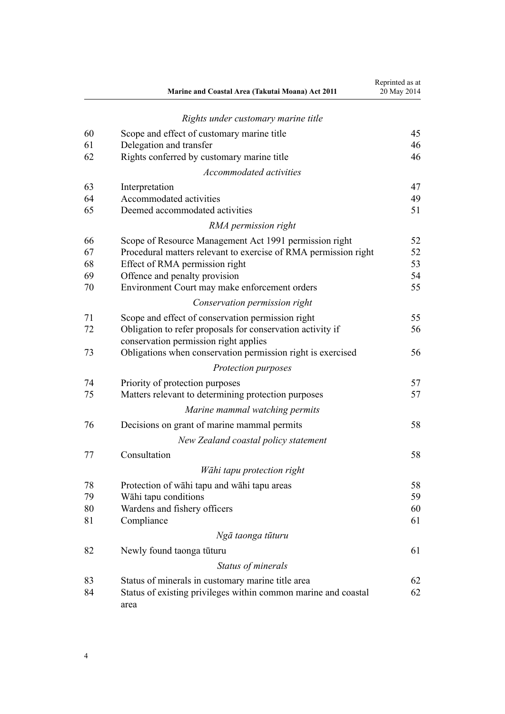|    | Marine and Coastal Area (Takutai Moana) Act 2011                       | Reprinted as at<br>20 May 2014 |
|----|------------------------------------------------------------------------|--------------------------------|
|    | Rights under customary marine title                                    |                                |
| 60 | Scope and effect of customary marine title                             | 45                             |
| 61 | Delegation and transfer                                                | 46                             |
| 62 | Rights conferred by customary marine title                             | 46                             |
|    | Accommodated activities                                                |                                |
| 63 | Interpretation                                                         | 47                             |
| 64 | Accommodated activities                                                | 49                             |
| 65 | Deemed accommodated activities                                         | 51                             |
|    | RMA permission right                                                   |                                |
| 66 | Scope of Resource Management Act 1991 permission right                 | 52                             |
| 67 | Procedural matters relevant to exercise of RMA permission right        | 52                             |
| 68 | Effect of RMA permission right                                         | 53                             |
| 69 | Offence and penalty provision                                          | 54                             |
| 70 | Environment Court may make enforcement orders                          | 55                             |
|    | Conservation permission right                                          |                                |
| 71 | Scope and effect of conservation permission right                      | 55                             |
| 72 | Obligation to refer proposals for conservation activity if             | 56                             |
|    | conservation permission right applies                                  |                                |
| 73 | Obligations when conservation permission right is exercised            | 56                             |
|    | Protection purposes                                                    |                                |
| 74 | Priority of protection purposes                                        | 57                             |
| 75 | Matters relevant to determining protection purposes                    | 57                             |
|    | Marine mammal watching permits                                         |                                |
| 76 | Decisions on grant of marine mammal permits                            | 58                             |
|    | New Zealand coastal policy statement                                   |                                |
| 77 | Consultation                                                           | 58                             |
|    | Wāhi tapu protection right                                             |                                |
| 78 | Protection of wāhi tapu and wāhi tapu areas                            | 58                             |
| 79 | Wāhi tapu conditions                                                   | 59                             |
| 80 | Wardens and fishery officers                                           | 60                             |
| 81 | Compliance                                                             | 61                             |
|    | Ngā taonga tūturu                                                      |                                |
| 82 | Newly found taonga tūturu                                              | 61                             |
|    | Status of minerals                                                     |                                |
| 83 | Status of minerals in customary marine title area                      | 62                             |
| 84 | Status of existing privileges within common marine and coastal<br>area | 62                             |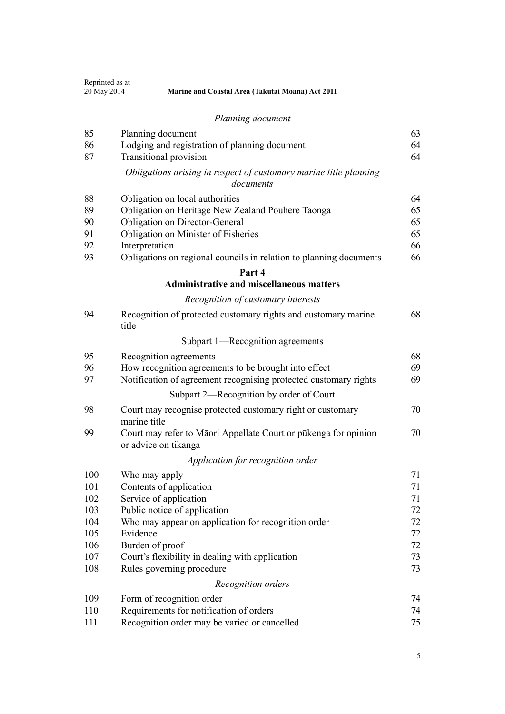| Reprinted as at |
|-----------------|
| 20 May 2014     |

| Planning document |
|-------------------|
|-------------------|

| 85  | Planning document                                                                       | 63 |
|-----|-----------------------------------------------------------------------------------------|----|
| 86  | Lodging and registration of planning document                                           | 64 |
| 87  | <b>Transitional provision</b>                                                           | 64 |
|     | Obligations arising in respect of customary marine title planning<br>documents          |    |
| 88  | Obligation on local authorities                                                         | 64 |
| 89  | Obligation on Heritage New Zealand Pouhere Taonga                                       | 65 |
| 90  | Obligation on Director-General                                                          | 65 |
| 91  | Obligation on Minister of Fisheries                                                     | 65 |
| 92  | Interpretation                                                                          | 66 |
| 93  | Obligations on regional councils in relation to planning documents                      | 66 |
|     | Part 4                                                                                  |    |
|     | <b>Administrative and miscellaneous matters</b>                                         |    |
|     | Recognition of customary interests                                                      |    |
| 94  | Recognition of protected customary rights and customary marine<br>title                 | 68 |
|     | Subpart 1—Recognition agreements                                                        |    |
| 95  | Recognition agreements                                                                  | 68 |
| 96  | How recognition agreements to be brought into effect                                    | 69 |
| 97  | Notification of agreement recognising protected customary rights                        | 69 |
|     | Subpart 2—Recognition by order of Court                                                 |    |
| 98  | Court may recognise protected customary right or customary<br>marine title              | 70 |
| 99  | Court may refer to Māori Appellate Court or pūkenga for opinion<br>or advice on tikanga | 70 |
|     | Application for recognition order                                                       |    |
| 100 | Who may apply                                                                           | 71 |
| 101 | Contents of application                                                                 | 71 |
| 102 | Service of application                                                                  | 71 |
| 103 | Public notice of application                                                            | 72 |
| 104 | Who may appear on application for recognition order                                     | 72 |
| 105 | Evidence                                                                                | 72 |
| 106 | Burden of proof                                                                         | 72 |
| 107 | Court's flexibility in dealing with application                                         | 73 |
| 108 | Rules governing procedure                                                               | 73 |
|     | Recognition orders                                                                      |    |
| 109 | Form of recognition order                                                               | 74 |
| 110 | Requirements for notification of orders                                                 | 74 |
| 111 | Recognition order may be varied or cancelled                                            | 75 |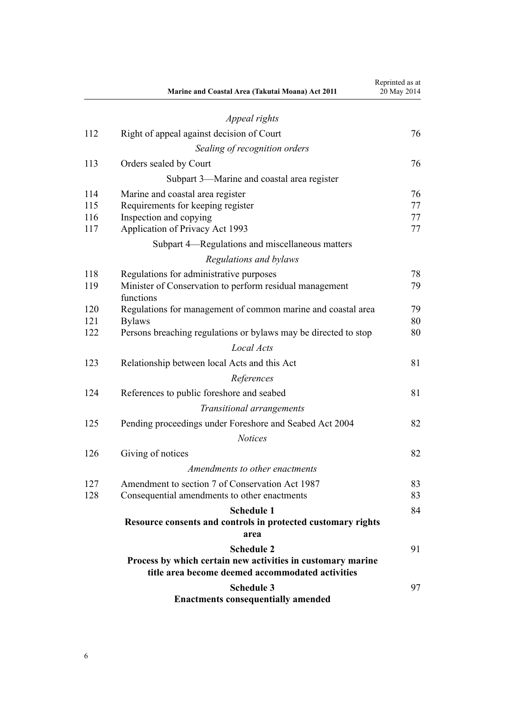|     | Marine and Coastal Area (Takutai Moana) Act 2011                     | Reprinted as at<br>20 May 2014 |
|-----|----------------------------------------------------------------------|--------------------------------|
|     | Appeal rights                                                        |                                |
| 112 | Right of appeal against decision of Court                            | 76                             |
|     | Sealing of recognition orders                                        |                                |
| 113 | Orders sealed by Court                                               | 76                             |
|     | Subpart 3—Marine and coastal area register                           |                                |
| 114 | Marine and coastal area register                                     | 76                             |
| 115 | Requirements for keeping register                                    | 77                             |
| 116 | Inspection and copying                                               | 77                             |
| 117 | Application of Privacy Act 1993                                      | 77                             |
|     | Subpart 4—Regulations and miscellaneous matters                      |                                |
|     | Regulations and bylaws                                               |                                |
| 118 | Regulations for administrative purposes                              | 78                             |
| 119 | Minister of Conservation to perform residual management<br>functions | 79                             |
| 120 | Regulations for management of common marine and coastal area         | 79                             |
| 121 | <b>Bylaws</b>                                                        | 80                             |
| 122 | Persons breaching regulations or bylaws may be directed to stop      | 80                             |
|     | Local Acts                                                           |                                |
| 123 | Relationship between local Acts and this Act                         | 81                             |
|     | References                                                           |                                |
| 124 | References to public foreshore and seabed                            | 81                             |
|     | Transitional arrangements                                            |                                |
| 125 | Pending proceedings under Foreshore and Seabed Act 2004              | 82                             |
|     | <b>Notices</b>                                                       |                                |
| 126 | Giving of notices                                                    | 82                             |
|     | Amendments to other enactments                                       |                                |
| 127 | Amendment to section 7 of Conservation Act 1987                      | 83                             |
| 128 | Consequential amendments to other enactments                         | 83                             |
|     | <b>Schedule 1</b>                                                    | 84                             |
|     | Resource consents and controls in protected customary rights<br>area |                                |
|     | <b>Schedule 2</b>                                                    | 91                             |
|     | Process by which certain new activities in customary marine          |                                |
|     | title area become deemed accommodated activities                     |                                |
|     | <b>Schedule 3</b>                                                    | 97                             |
|     | <b>Enactments consequentially amended</b>                            |                                |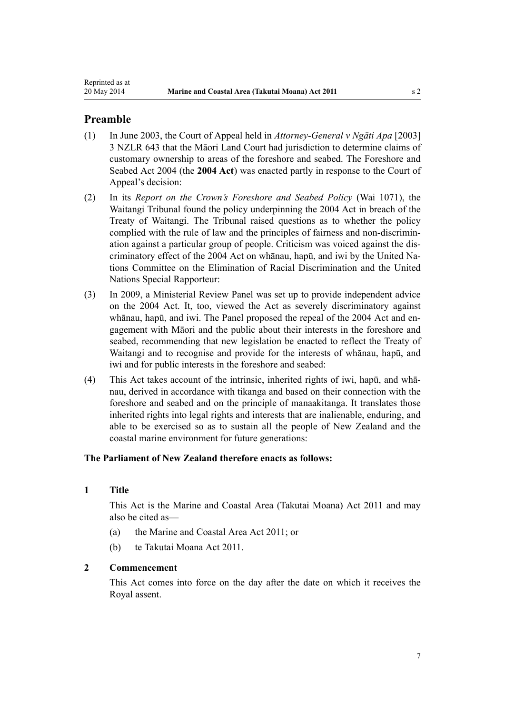### <span id="page-6-0"></span>**Preamble**

- (1) In June 2003, the Court of Appeal held in *Attorney-General v Ngāti Apa* [2003] 3 NZLR 643 that the Māori Land Court had jurisdiction to determine claims of customary ownership to areas of the foreshore and seabed. The [Foreshore and](http://prd-lgnz-nlb.prd.pco.net.nz/pdflink.aspx?id=DLM319838) [Seabed Act 2004](http://prd-lgnz-nlb.prd.pco.net.nz/pdflink.aspx?id=DLM319838) (the **2004 Act**) was enacted partly in response to the Court of Appeal's decision:
- (2) In its *Report on the Crown's Foreshore and Seabed Policy* (Wai 1071), the Waitangi Tribunal found the policy underpinning the [2004 Act](http://prd-lgnz-nlb.prd.pco.net.nz/pdflink.aspx?id=DLM319838) in breach of the Treaty of Waitangi. The Tribunal raised questions as to whether the policy complied with the rule of law and the principles of fairness and non-discrimination against a particular group of people. Criticism was voiced against the discriminatory effect of the 2004 Act on whānau, hapū, and iwi by the United Nations Committee on the Elimination of Racial Discrimination and the United Nations Special Rapporteur:
- (3) In 2009, a Ministerial Review Panel was set up to provide independent advice on the 2004 Act. It, too, viewed the Act as severely discriminatory against whānau, hapū, and iwi. The Panel proposed the repeal of the [2004 Act](http://prd-lgnz-nlb.prd.pco.net.nz/pdflink.aspx?id=DLM319838) and engagement with Māori and the public about their interests in the foreshore and seabed, recommending that new legislation be enacted to reflect the Treaty of Waitangi and to recognise and provide for the interests of whānau, hapū, and iwi and for public interests in the foreshore and seabed:
- (4) This Act takes account of the intrinsic, inherited rights of iwi, hapū, and whānau, derived in accordance with tikanga and based on their connection with the foreshore and seabed and on the principle of manaakitanga. It translates those inherited rights into legal rights and interests that are inalienable, enduring, and able to be exercised so as to sustain all the people of New Zealand and the coastal marine environment for future generations:

### **The Parliament of New Zealand therefore enacts as follows:**

### **1 Title**

This Act is the Marine and Coastal Area (Takutai Moana) Act 2011 and may also be cited as—

- (a) the Marine and Coastal Area Act 2011; or
- (b) te Takutai Moana Act 2011.

### **2 Commencement**

This Act comes into force on the day after the date on which it receives the Royal assent.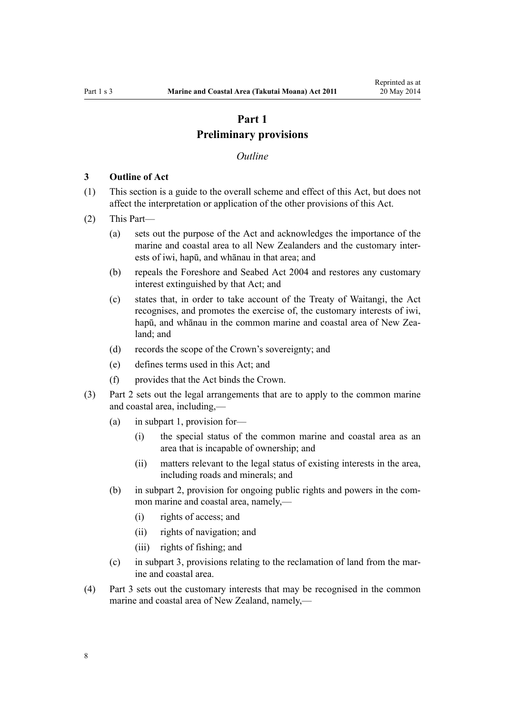# **Part 1 Preliminary provisions**

#### *Outline*

### <span id="page-7-0"></span>**3 Outline of Act**

- (1) This section is a guide to the overall scheme and effect of this Act, but does not affect the interpretation or application of the other provisions of this Act.
- (2) This Part—
	- (a) sets out the purpose of the Act and acknowledges the importance of the marine and coastal area to all New Zealanders and the customary interests of iwi, hapū, and whānau in that area; and
	- (b) repeals the [Foreshore and Seabed Act 2004](http://prd-lgnz-nlb.prd.pco.net.nz/pdflink.aspx?id=DLM319838) and restores any customary interest extinguished by that Act; and
	- (c) states that, in order to take account of the Treaty of Waitangi, the Act recognises, and promotes the exercise of, the customary interests of iwi, hapū, and whānau in the common marine and coastal area of New Zealand; and
	- (d) records the scope of the Crown's sovereignty; and
	- (e) defines terms used in this Act; and
	- (f) provides that the Act binds the Crown.
- (3) [Part 2](#page-16-0) sets out the legal arrangements that are to apply to the common marine and coastal area, including,—
	- (a) in [subpart 1,](#page-16-0) provision for—
		- (i) the special status of the common marine and coastal area as an area that is incapable of ownership; and
		- (ii) matters relevant to the legal status of existing interests in the area, including roads and minerals; and
	- (b) in [subpart 2](#page-23-0), provision for ongoing public rights and powers in the common marine and coastal area, namely,—
		- (i) rights of access; and
		- (ii) rights of navigation; and
		- (iii) rights of fishing; and
	- (c) in [subpart 3](#page-25-0), provisions relating to the reclamation of land from the marine and coastal area.
- (4) [Part 3](#page-36-0) sets out the customary interests that may be recognised in the common marine and coastal area of New Zealand, namely,—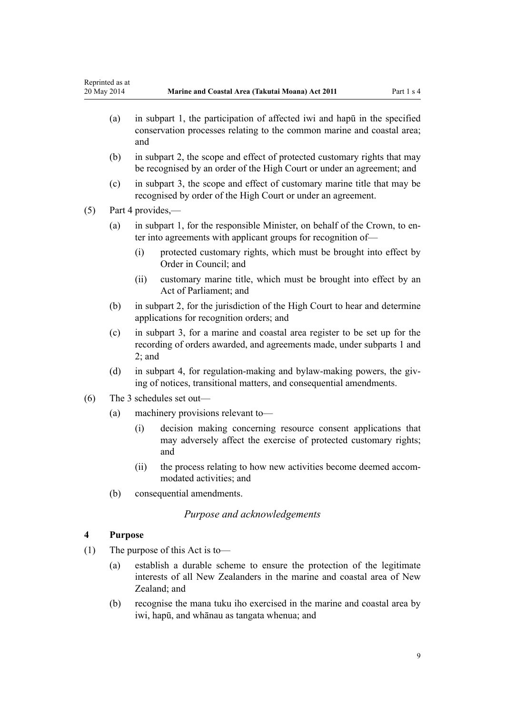- <span id="page-8-0"></span>(a) in [subpart 1,](#page-36-0) the participation of affected iwi and hapū in the specified conservation processes relating to the common marine and coastal area; and
- (b) in [subpart 2](#page-38-0), the scope and effect of protected customary rights that may be recognised by an order of the High Court or under an agreement; and
- (c) in [subpart 3](#page-43-0), the scope and effect of customary marine title that may be recognised by order of the High Court or under an agreement.

(5) [Part 4](#page-67-0) provides,—

- (a) in [subpart 1](#page-67-0), for the responsible Minister, on behalf of the Crown, to enter into agreements with applicant groups for recognition of—
	- (i) protected customary rights, which must be brought into effect by Order in Council; and
	- (ii) customary marine title, which must be brought into effect by an Act of Parliament; and
- (b) in [subpart 2](#page-69-0), for the jurisdiction of the High Court to hear and determine applications for recognition orders; and
- (c) in [subpart 3,](#page-75-0) for a marine and coastal area register to be set up for the recording of orders awarded, and agreements made, under [subparts 1](#page-67-0) and [2;](#page-69-0) and
- (d) in [subpart 4,](#page-77-0) for regulation-making and bylaw-making powers, the giving of notices, transitional matters, and consequential amendments.
- (6) The 3 schedules set out—
	- (a) machinery provisions relevant to—
		- (i) decision making concerning resource consent applications that may adversely affect the exercise of protected customary rights; and
		- (ii) the process relating to how new activities become deemed accommodated activities; and
	- (b) consequential amendments.

### *Purpose and acknowledgements*

### **4 Purpose**

- (1) The purpose of this Act is to—
	- (a) establish a durable scheme to ensure the protection of the legitimate interests of all New Zealanders in the marine and coastal area of New Zealand; and
	- (b) recognise the mana tuku iho exercised in the marine and coastal area by iwi, hapū, and whānau as tangata whenua; and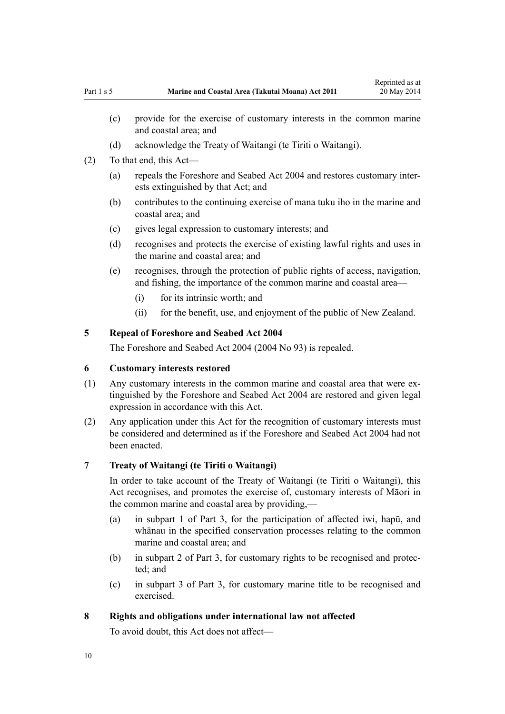- (d) acknowledge the Treaty of Waitangi (te Tiriti o Waitangi).
- <span id="page-9-0"></span>(2) To that end, this Act—
	- (a) repeals the [Foreshore and Seabed Act 2004](http://prd-lgnz-nlb.prd.pco.net.nz/pdflink.aspx?id=DLM319838) and restores customary interests extinguished by that Act; and
	- (b) contributes to the continuing exercise of mana tuku iho in the marine and coastal area; and
	- (c) gives legal expression to customary interests; and
	- (d) recognises and protects the exercise of existing lawful rights and uses in the marine and coastal area; and
	- (e) recognises, through the protection of public rights of access, navigation, and fishing, the importance of the common marine and coastal area—
		- (i) for its intrinsic worth; and
		- (ii) for the benefit, use, and enjoyment of the public of New Zealand.

# **5 Repeal of Foreshore and Seabed Act 2004**

The [Foreshore and Seabed Act 2004](http://prd-lgnz-nlb.prd.pco.net.nz/pdflink.aspx?id=DLM319838) (2004 No 93) is repealed.

### **6 Customary interests restored**

- (1) Any customary interests in the common marine and coastal area that were extinguished by the [Foreshore and Seabed Act 2004](http://prd-lgnz-nlb.prd.pco.net.nz/pdflink.aspx?id=DLM319838) are restored and given legal expression in accordance with this Act.
- (2) Any application under this Act for the recognition of customary interests must be considered and determined as if the [Foreshore and Seabed Act 2004](http://prd-lgnz-nlb.prd.pco.net.nz/pdflink.aspx?id=DLM319838) had not been enacted.

#### **7 Treaty of Waitangi (te Tiriti o Waitangi)**

In order to take account of the Treaty of Waitangi (te Tiriti o Waitangi), this Act recognises, and promotes the exercise of, customary interests of Māori in the common marine and coastal area by providing,—

- (a) in [subpart 1 of Part 3,](#page-36-0) for the participation of affected iwi, hapū, and whānau in the specified conservation processes relating to the common marine and coastal area; and
- (b) in [subpart 2 of Part 3](#page-38-0), for customary rights to be recognised and protected; and
- (c) in [subpart 3 of Part 3](#page-43-0), for customary marine title to be recognised and exercised.

### **8 Rights and obligations under international law not affected**

To avoid doubt, this Act does not affect—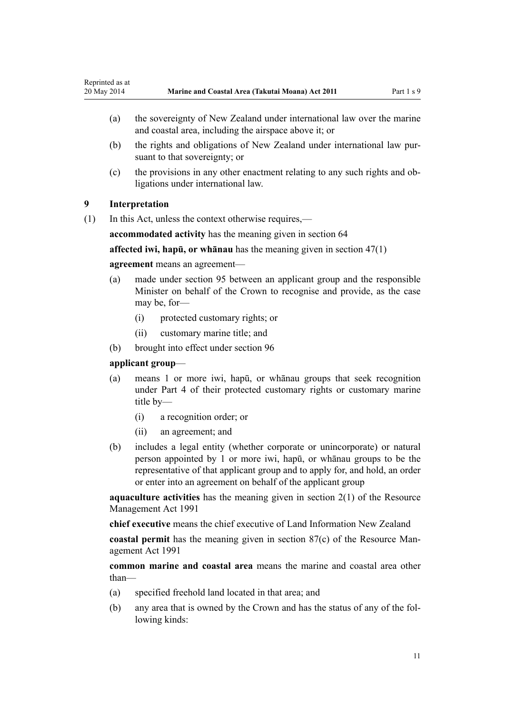- <span id="page-10-0"></span>(a) the sovereignty of New Zealand under international law over the marine and coastal area, including the airspace above it; or
- (b) the rights and obligations of New Zealand under international law pursuant to that sovereignty; or
- (c) the provisions in any other enactment relating to any such rights and obligations under international law.

### **9 Interpretation**

(1) In this Act, unless the context otherwise requires,—

**accommodated activity** has the meaning given in [section 64](#page-48-0)

**affected iwi, hapū, or whānau** has the meaning given in [section 47\(1\)](#page-36-0)

### **agreement** means an agreement—

- (a) made under [section 95](#page-67-0) between an applicant group and the responsible Minister on behalf of the Crown to recognise and provide, as the case may be, for-
	- (i) protected customary rights; or
	- (ii) customary marine title; and
- (b) brought into effect under [section 96](#page-68-0)

### **applicant group**—

- (a) means 1 or more iwi, hapū, or whānau groups that seek recognition under [Part 4](#page-67-0) of their protected customary rights or customary marine title by—
	- (i) a recognition order; or
	- (ii) an agreement; and
- (b) includes a legal entity (whether corporate or unincorporate) or natural person appointed by 1 or more iwi, hapū, or whānau groups to be the representative of that applicant group and to apply for, and hold, an order or enter into an agreement on behalf of the applicant group

**aquaculture activities** has the meaning given in [section 2\(1\)](http://prd-lgnz-nlb.prd.pco.net.nz/pdflink.aspx?id=DLM230272) of the Resource Management Act 1991

**chief executive** means the chief executive of Land Information New Zealand

**coastal permit** has the meaning given in [section 87\(c\)](http://prd-lgnz-nlb.prd.pco.net.nz/pdflink.aspx?id=DLM233848) of the Resource Management Act 1991

**common marine and coastal area** means the marine and coastal area other than—

- (a) specified freehold land located in that area; and
- (b) any area that is owned by the Crown and has the status of any of the following kinds: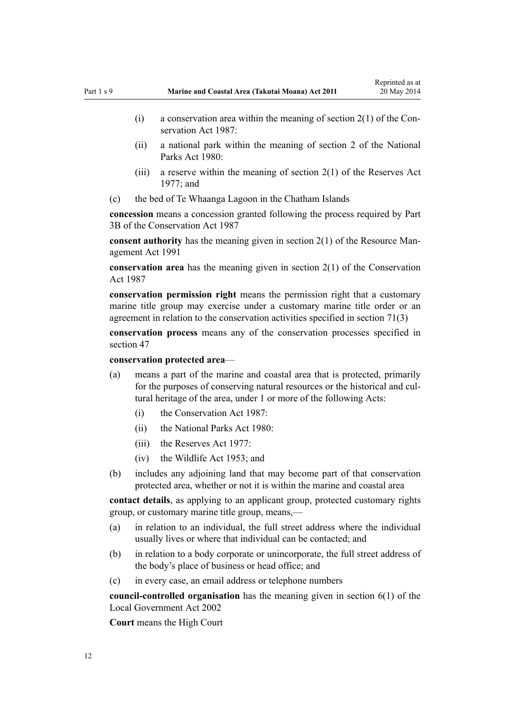- (i) a conservation area within the meaning of section  $2(1)$  of the Conservation Act 1987:
- (ii) a national park within the meaning of [section 2](http://prd-lgnz-nlb.prd.pco.net.nz/pdflink.aspx?id=DLM36968) of the National Parks Act 1980:
- (iii) a reserve within the meaning of section  $2(1)$  of the Reserves Act 1977; and
- (c) the bed of Te Whaanga Lagoon in the Chatham Islands

**concession** means a concession granted following the process required by [Part](http://prd-lgnz-nlb.prd.pco.net.nz/pdflink.aspx?id=DLM104633) [3B](http://prd-lgnz-nlb.prd.pco.net.nz/pdflink.aspx?id=DLM104633) of the Conservation Act 1987

**consent authority** has the meaning given in [section 2\(1\)](http://prd-lgnz-nlb.prd.pco.net.nz/pdflink.aspx?id=DLM230272) of the Resource Management Act 1991

**conservation area** has the meaning given in [section 2\(1\)](http://prd-lgnz-nlb.prd.pco.net.nz/pdflink.aspx?id=DLM103616) of the Conservation Act 1987

**conservation permission right** means the permission right that a customary marine title group may exercise under a customary marine title order or an agreement in relation to the conservation activities specified in [section 71\(3\)](#page-54-0)

**conservation process** means any of the conservation processes specified in [section 47](#page-36-0)

#### **conservation protected area**—

- (a) means a part of the marine and coastal area that is protected, primarily for the purposes of conserving natural resources or the historical and cultural heritage of the area, under 1 or more of the following Acts:
	- (i) the [Conservation Act 1987:](http://prd-lgnz-nlb.prd.pco.net.nz/pdflink.aspx?id=DLM103609)
	- (ii) the [National Parks Act 1980:](http://prd-lgnz-nlb.prd.pco.net.nz/pdflink.aspx?id=DLM36962)
	- $(iii)$  the [Reserves Act 1977](http://prd-lgnz-nlb.prd.pco.net.nz/pdflink.aspx?id=DLM444304).
	- (iv) the [Wildlife Act 1953](http://prd-lgnz-nlb.prd.pco.net.nz/pdflink.aspx?id=DLM276813); and
- (b) includes any adjoining land that may become part of that conservation protected area, whether or not it is within the marine and coastal area

**contact details**, as applying to an applicant group, protected customary rights group, or customary marine title group, means,—

- (a) in relation to an individual, the full street address where the individual usually lives or where that individual can be contacted; and
- (b) in relation to a body corporate or unincorporate, the full street address of the body's place of business or head office; and
- (c) in every case, an email address or telephone numbers

**council-controlled organisation** has the meaning given in [section 6\(1\)](http://prd-lgnz-nlb.prd.pco.net.nz/pdflink.aspx?id=DLM171482) of the Local Government Act 2002

**Court** means the High Court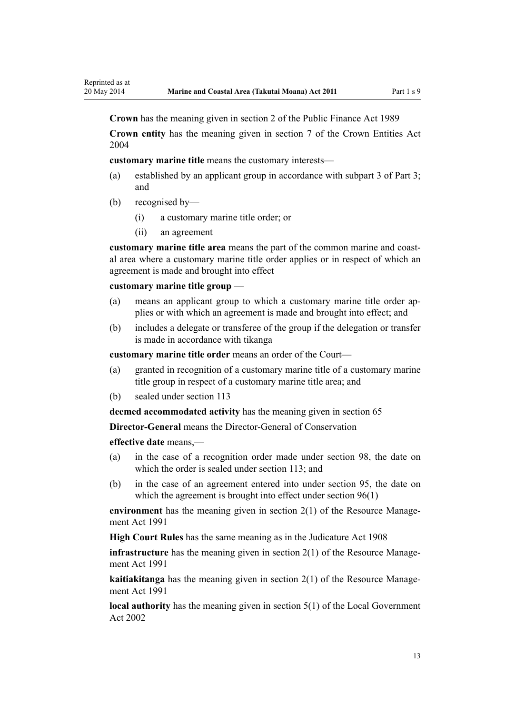**Crown** has the meaning given in [section 2](http://prd-lgnz-nlb.prd.pco.net.nz/pdflink.aspx?id=DLM160819) of the Public Finance Act 1989

**Crown entity** has the meaning given in [section 7](http://prd-lgnz-nlb.prd.pco.net.nz/pdflink.aspx?id=DLM329641) of the Crown Entities Act 2004

**customary marine title** means the customary interests—

- (a) established by an applicant group in accordance with [subpart 3 of Part 3;](#page-43-0) and
- (b) recognised by—
	- (i) a customary marine title order; or
	- (ii) an agreement

**customary marine title area** means the part of the common marine and coastal area where a customary marine title order applies or in respect of which an agreement is made and brought into effect

#### **customary marine title group** —

- (a) means an applicant group to which a customary marine title order applies or with which an agreement is made and brought into effect; and
- (b) includes a delegate or transferee of the group if the delegation or transfer is made in accordance with tikanga

**customary marine title order** means an order of the Court—

- (a) granted in recognition of a customary marine title of a customary marine title group in respect of a customary marine title area; and
- (b) sealed under [section 113](#page-75-0)

**deemed accommodated activity** has the meaning given in [section 65](#page-50-0)

**Director-General** means the Director-General of Conservation

**effective date** means,—

- (a) in the case of a recognition order made under [section 98,](#page-69-0) the date on which the order is sealed under [section 113;](#page-75-0) and
- (b) in the case of an agreement entered into under [section 95,](#page-67-0) the date on which the agreement is brought into effect under [section 96\(1\)](#page-68-0)

**environment** has the meaning given in [section 2\(1\)](http://prd-lgnz-nlb.prd.pco.net.nz/pdflink.aspx?id=DLM230272) of the Resource Management Act 1991

**High Court Rules** has the same meaning as in the [Judicature Act 1908](http://prd-lgnz-nlb.prd.pco.net.nz/pdflink.aspx?id=DLM144692)

**infrastructure** has the meaning given in [section 2\(1\)](http://prd-lgnz-nlb.prd.pco.net.nz/pdflink.aspx?id=DLM230272) of the Resource Management Act 1991

**kaitiakitanga** has the meaning given in [section 2\(1\)](http://prd-lgnz-nlb.prd.pco.net.nz/pdflink.aspx?id=DLM230272) of the Resource Management Act 1991

**local authority** has the meaning given in [section 5\(1\)](http://prd-lgnz-nlb.prd.pco.net.nz/pdflink.aspx?id=DLM170881) of the Local Government Act 2002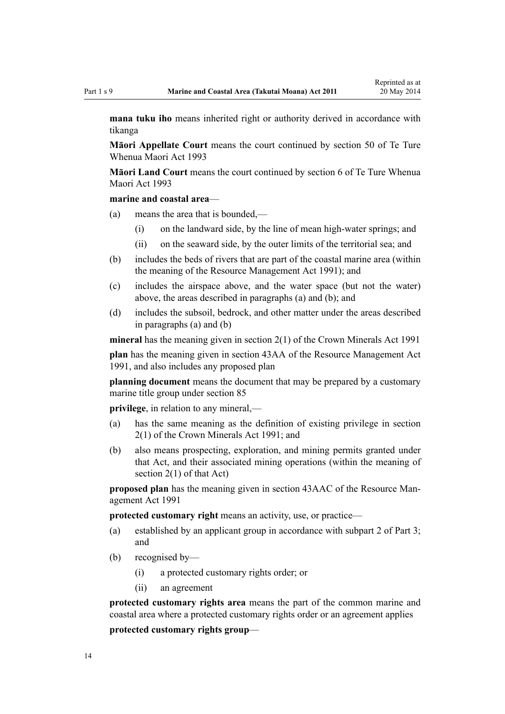**mana tuku iho** means inherited right or authority derived in accordance with tikanga

**Māori Appellate Court** means the court continued by [section 50](http://prd-lgnz-nlb.prd.pco.net.nz/pdflink.aspx?id=DLM290929) of Te Ture Whenua Maori Act 1993

**Māori Land Court** means the court continued by [section 6](http://prd-lgnz-nlb.prd.pco.net.nz/pdflink.aspx?id=DLM290517) of Te Ture Whenua Maori Act 1993

### **marine and coastal area**—

- (a) means the area that is bounded,—
	- (i) on the landward side, by the line of mean high-water springs; and
	- (ii) on the seaward side, by the outer limits of the territorial sea; and
- (b) includes the beds of rivers that are part of the coastal marine area (within the meaning of the [Resource Management Act 1991](http://prd-lgnz-nlb.prd.pco.net.nz/pdflink.aspx?id=DLM230264)); and
- (c) includes the airspace above, and the water space (but not the water) above, the areas described in paragraphs (a) and (b); and
- (d) includes the subsoil, bedrock, and other matter under the areas described in paragraphs (a) and (b)

**mineral** has the meaning given in [section 2\(1\)](http://prd-lgnz-nlb.prd.pco.net.nz/pdflink.aspx?id=DLM242543) of the Crown Minerals Act 1991

**plan** has the meaning given in [section 43AA](http://prd-lgnz-nlb.prd.pco.net.nz/pdflink.aspx?id=DLM2412743) of the Resource Management Act 1991, and also includes any proposed plan

**planning document** means the document that may be prepared by a customary marine title group under [section 85](#page-62-0)

**privilege**, in relation to any mineral,—

- (a) has the same meaning as the definition of existing privilege in [section](http://prd-lgnz-nlb.prd.pco.net.nz/pdflink.aspx?id=DLM242543) [2\(1\)](http://prd-lgnz-nlb.prd.pco.net.nz/pdflink.aspx?id=DLM242543) of the Crown Minerals Act 1991; and
- (b) also means prospecting, exploration, and mining permits granted under that Act, and their associated mining operations (within the meaning of section  $2(1)$  of that Act)

**proposed plan** has the meaning given in [section 43AAC](http://prd-lgnz-nlb.prd.pco.net.nz/pdflink.aspx?id=DLM2412769) of the Resource Management Act 1991

**protected customary right** means an activity, use, or practice—

- (a) established by an applicant group in accordance with [subpart 2 of Part 3;](#page-38-0) and
- (b) recognised by—
	- (i) a protected customary rights order; or
	- (ii) an agreement

**protected customary rights area** means the part of the common marine and coastal area where a protected customary rights order or an agreement applies

**protected customary rights group**—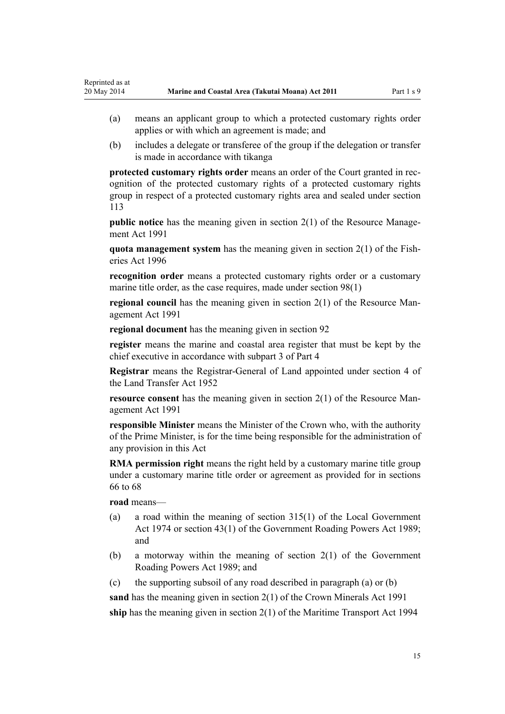- (a) means an applicant group to which a protected customary rights order applies or with which an agreement is made; and
- (b) includes a delegate or transferee of the group if the delegation or transfer is made in accordance with tikanga

**protected customary rights order** means an order of the Court granted in recognition of the protected customary rights of a protected customary rights group in respect of a protected customary rights area and sealed under [section](#page-75-0) [113](#page-75-0)

**public notice** has the meaning given in [section 2\(1\)](http://prd-lgnz-nlb.prd.pco.net.nz/pdflink.aspx?id=DLM230272) of the Resource Management Act 1991

**quota management system** has the meaning given in [section 2\(1\)](http://prd-lgnz-nlb.prd.pco.net.nz/pdflink.aspx?id=DLM394199) of the Fisheries Act 1996

**recognition order** means a protected customary rights order or a customary marine title order, as the case requires, made under [section 98\(1\)](#page-69-0)

**regional council** has the meaning given in [section 2\(1\)](http://prd-lgnz-nlb.prd.pco.net.nz/pdflink.aspx?id=DLM230272) of the Resource Management Act 1991

**regional document** has the meaning given in [section 92](#page-65-0)

**register** means the marine and coastal area register that must be kept by the chief executive in accordance with [subpart 3 of Part 4](#page-75-0)

**Registrar** means the Registrar-General of Land appointed under [section 4](http://prd-lgnz-nlb.prd.pco.net.nz/pdflink.aspx?id=DLM270019) of the Land Transfer Act 1952

**resource consent** has the meaning given in [section 2\(1\)](http://prd-lgnz-nlb.prd.pco.net.nz/pdflink.aspx?id=DLM230272) of the Resource Management Act 1991

**responsible Minister** means the Minister of the Crown who, with the authority of the Prime Minister, is for the time being responsible for the administration of any provision in this Act

**RMA permission right** means the right held by a customary marine title group under a customary marine title order or agreement as provided for in [sections](#page-51-0) [66 to 68](#page-51-0)

**road** means—

- (a) a road within the meaning of [section 315\(1\)](http://prd-lgnz-nlb.prd.pco.net.nz/pdflink.aspx?id=DLM420326) of the Local Government Act 1974 or [section 43\(1\)](http://prd-lgnz-nlb.prd.pco.net.nz/pdflink.aspx?id=DLM175232) of the Government Roading Powers Act 1989; and
- (b) a motorway within the meaning of [section 2\(1\)](http://prd-lgnz-nlb.prd.pco.net.nz/pdflink.aspx?id=DLM173374) of the Government Roading Powers Act 1989; and
- (c) the supporting subsoil of any road described in paragraph (a) or (b)

**sand** has the meaning given in [section 2\(1\)](http://prd-lgnz-nlb.prd.pco.net.nz/pdflink.aspx?id=DLM242543) of the Crown Minerals Act 1991 **ship** has the meaning given in [section 2\(1\)](http://prd-lgnz-nlb.prd.pco.net.nz/pdflink.aspx?id=DLM334667) of the Maritime Transport Act 1994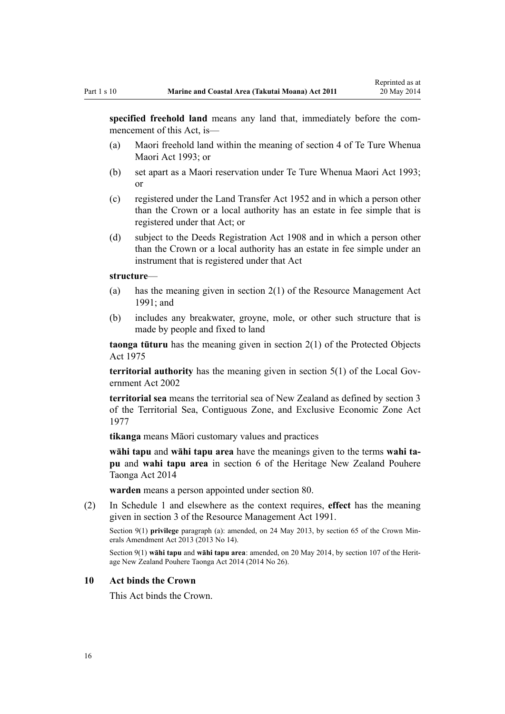<span id="page-15-0"></span>**specified freehold land** means any land that, immediately before the commencement of this Act, is—

- (a) Maori freehold land within the meaning of [section 4](http://prd-lgnz-nlb.prd.pco.net.nz/pdflink.aspx?id=DLM289897) of Te Ture Whenua Maori Act 1993; or
- (b) set apart as a Maori reservation under [Te Ture Whenua Maori Act 1993;](http://prd-lgnz-nlb.prd.pco.net.nz/pdflink.aspx?id=DLM289881) or
- (c) registered under the [Land Transfer Act 1952](http://prd-lgnz-nlb.prd.pco.net.nz/pdflink.aspx?id=DLM269031) and in which a person other than the Crown or a local authority has an estate in fee simple that is registered under that Act; or
- (d) subject to the [Deeds Registration Act 1908](http://prd-lgnz-nlb.prd.pco.net.nz/pdflink.aspx?id=DLM141134) and in which a person other than the Crown or a local authority has an estate in fee simple under an instrument that is registered under that Act

#### **structure**—

- (a) has the meaning given in [section 2\(1\)](http://prd-lgnz-nlb.prd.pco.net.nz/pdflink.aspx?id=DLM230272) of the Resource Management Act 1991; and
- (b) includes any breakwater, groyne, mole, or other such structure that is made by people and fixed to land

**taonga tūturu** has the meaning given in [section 2\(1\)](http://prd-lgnz-nlb.prd.pco.net.nz/pdflink.aspx?id=DLM432125) of the Protected Objects Act 1975

**territorial authority** has the meaning given in [section 5\(1\)](http://prd-lgnz-nlb.prd.pco.net.nz/pdflink.aspx?id=DLM170881) of the Local Government Act 2002

**territorial sea** means the territorial sea of New Zealand as defined by [section 3](http://prd-lgnz-nlb.prd.pco.net.nz/pdflink.aspx?id=DLM442665) of the Territorial Sea, Contiguous Zone, and Exclusive Economic Zone Act 1977

**tikanga** means Māori customary values and practices

**wāhi tapu** and **wāhi tapu area** have the meanings given to the terms **wahi tapu** and **wahi tapu area** in [section 6](http://prd-lgnz-nlb.prd.pco.net.nz/pdflink.aspx?id=DLM4005423) of the Heritage New Zealand Pouhere Taonga Act 2014

**warden** means a person appointed under [section 80](#page-59-0).

(2) In [Schedule 1](#page-83-0) and elsewhere as the context requires, **effect** has the meaning given in [section 3](http://prd-lgnz-nlb.prd.pco.net.nz/pdflink.aspx?id=DLM231795) of the Resource Management Act 1991.

Section 9(1) **privilege** paragraph (a): amended, on 24 May 2013, by [section 65](http://prd-lgnz-nlb.prd.pco.net.nz/pdflink.aspx?id=DLM5081570) of the Crown Minerals Amendment Act 2013 (2013 No 14).

Section 9(1) **wāhi tapu** and **wāhi tapu area**: amended, on 20 May 2014, by [section 107](http://prd-lgnz-nlb.prd.pco.net.nz/pdflink.aspx?id=DLM4005646) of the Heritage New Zealand Pouhere Taonga Act 2014 (2014 No 26).

#### **10 Act binds the Crown**

This Act binds the Crown.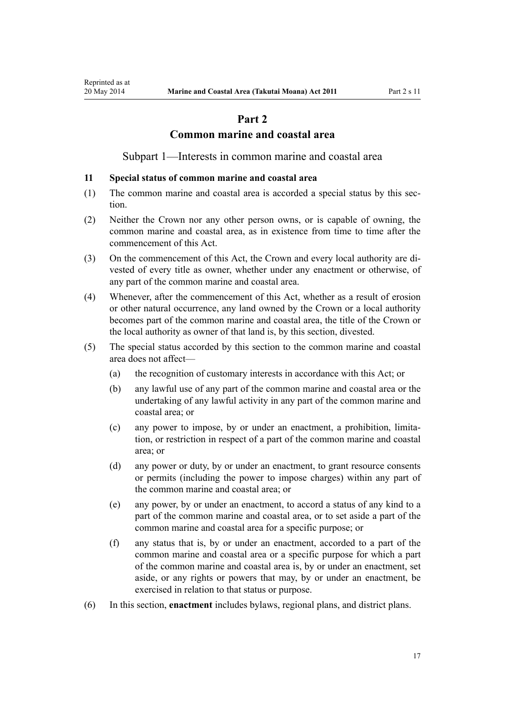# **Part 2**

### **Common marine and coastal area**

Subpart 1—Interests in common marine and coastal area

#### <span id="page-16-0"></span>**11 Special status of common marine and coastal area**

- (1) The common marine and coastal area is accorded a special status by this section.
- (2) Neither the Crown nor any other person owns, or is capable of owning, the common marine and coastal area, as in existence from time to time after the commencement of this Act.
- (3) On the commencement of this Act, the Crown and every local authority are divested of every title as owner, whether under any enactment or otherwise, of any part of the common marine and coastal area.
- (4) Whenever, after the commencement of this Act, whether as a result of erosion or other natural occurrence, any land owned by the Crown or a local authority becomes part of the common marine and coastal area, the title of the Crown or the local authority as owner of that land is, by this section, divested.
- (5) The special status accorded by this section to the common marine and coastal area does not affect—
	- (a) the recognition of customary interests in accordance with this Act; or
	- (b) any lawful use of any part of the common marine and coastal area or the undertaking of any lawful activity in any part of the common marine and coastal area; or
	- (c) any power to impose, by or under an enactment, a prohibition, limitation, or restriction in respect of a part of the common marine and coastal area; or
	- (d) any power or duty, by or under an enactment, to grant resource consents or permits (including the power to impose charges) within any part of the common marine and coastal area; or
	- (e) any power, by or under an enactment, to accord a status of any kind to a part of the common marine and coastal area, or to set aside a part of the common marine and coastal area for a specific purpose; or
	- (f) any status that is, by or under an enactment, accorded to a part of the common marine and coastal area or a specific purpose for which a part of the common marine and coastal area is, by or under an enactment, set aside, or any rights or powers that may, by or under an enactment, be exercised in relation to that status or purpose.
- (6) In this section, **enactment** includes bylaws, regional plans, and district plans.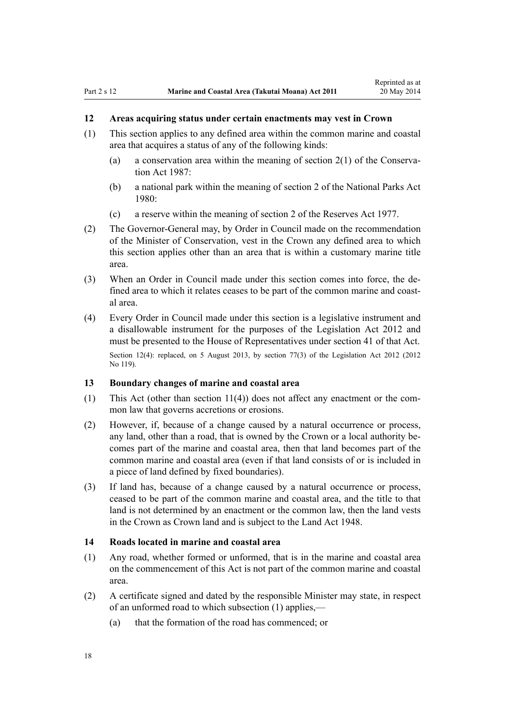# <span id="page-17-0"></span>**12 Areas acquiring status under certain enactments may vest in Crown**

- (1) This section applies to any defined area within the common marine and coastal area that acquires a status of any of the following kinds:
	- (a) a conservation area within the meaning of [section 2\(1\)](http://prd-lgnz-nlb.prd.pco.net.nz/pdflink.aspx?id=DLM103616) of the Conservation Act 1987:
	- (b) a national park within the meaning of [section 2](http://prd-lgnz-nlb.prd.pco.net.nz/pdflink.aspx?id=DLM36968) of the National Parks Act 1980:
	- (c) a reserve within the meaning of [section 2](http://prd-lgnz-nlb.prd.pco.net.nz/pdflink.aspx?id=DLM444310) of the Reserves Act 1977.
- (2) The Governor-General may, by Order in Council made on the recommendation of the Minister of Conservation, vest in the Crown any defined area to which this section applies other than an area that is within a customary marine title area.
- (3) When an Order in Council made under this section comes into force, the defined area to which it relates ceases to be part of the common marine and coastal area.
- (4) Every Order in Council made under this section is a legislative instrument and a disallowable instrument for the purposes of the [Legislation Act 2012](http://prd-lgnz-nlb.prd.pco.net.nz/pdflink.aspx?id=DLM2997643) and must be presented to the House of Representatives under [section 41](http://prd-lgnz-nlb.prd.pco.net.nz/pdflink.aspx?id=DLM2998573) of that Act. Section 12(4): replaced, on 5 August 2013, by [section 77\(3\)](http://prd-lgnz-nlb.prd.pco.net.nz/pdflink.aspx?id=DLM2998633) of the Legislation Act 2012 (2012) No 119).

#### **13 Boundary changes of marine and coastal area**

- (1) This Act (other than [section 11\(4\)](#page-16-0)) does not affect any enactment or the common law that governs accretions or erosions.
- (2) However, if, because of a change caused by a natural occurrence or process, any land, other than a road, that is owned by the Crown or a local authority becomes part of the marine and coastal area, then that land becomes part of the common marine and coastal area (even if that land consists of or is included in a piece of land defined by fixed boundaries).
- (3) If land has, because of a change caused by a natural occurrence or process, ceased to be part of the common marine and coastal area, and the title to that land is not determined by an enactment or the common law, then the land vests in the Crown as Crown land and is subject to the [Land Act 1948.](http://prd-lgnz-nlb.prd.pco.net.nz/pdflink.aspx?id=DLM250585)

#### **14 Roads located in marine and coastal area**

- (1) Any road, whether formed or unformed, that is in the marine and coastal area on the commencement of this Act is not part of the common marine and coastal area.
- (2) A certificate signed and dated by the responsible Minister may state, in respect of an unformed road to which subsection (1) applies,—
	- (a) that the formation of the road has commenced; or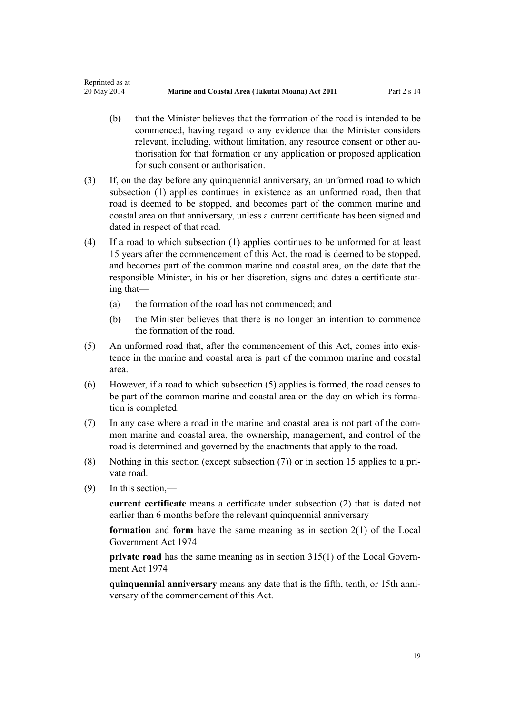- (b) that the Minister believes that the formation of the road is intended to be commenced, having regard to any evidence that the Minister considers relevant, including, without limitation, any resource consent or other authorisation for that formation or any application or proposed application for such consent or authorisation.
- (3) If, on the day before any quinquennial anniversary, an unformed road to which subsection (1) applies continues in existence as an unformed road, then that road is deemed to be stopped, and becomes part of the common marine and coastal area on that anniversary, unless a current certificate has been signed and dated in respect of that road.
- (4) If a road to which subsection (1) applies continues to be unformed for at least 15 years after the commencement of this Act, the road is deemed to be stopped, and becomes part of the common marine and coastal area, on the date that the responsible Minister, in his or her discretion, signs and dates a certificate stating that—
	- (a) the formation of the road has not commenced; and
	- (b) the Minister believes that there is no longer an intention to commence the formation of the road.
- (5) An unformed road that, after the commencement of this Act, comes into existence in the marine and coastal area is part of the common marine and coastal area.
- (6) However, if a road to which subsection (5) applies is formed, the road ceases to be part of the common marine and coastal area on the day on which its formation is completed.
- (7) In any case where a road in the marine and coastal area is not part of the common marine and coastal area, the ownership, management, and control of the road is determined and governed by the enactments that apply to the road.
- (8) Nothing in this section (except subsection (7)) or in [section 15](#page-19-0) applies to a private road.
- (9) In this section,—

**current certificate** means a certificate under subsection (2) that is dated not earlier than 6 months before the relevant quinquennial anniversary

**formation** and **form** have the same meaning as in [section 2\(1\)](http://prd-lgnz-nlb.prd.pco.net.nz/pdflink.aspx?id=DLM415539) of the Local Government Act 1974

**private road** has the same meaning as in [section 315\(1\)](http://prd-lgnz-nlb.prd.pco.net.nz/pdflink.aspx?id=DLM420326) of the Local Government Act 1974

**quinquennial anniversary** means any date that is the fifth, tenth, or 15th anniversary of the commencement of this Act.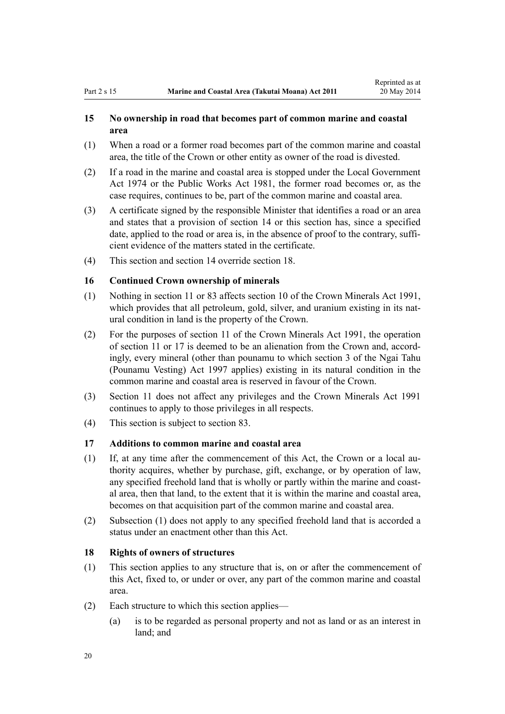### <span id="page-19-0"></span>**15 No ownership in road that becomes part of common marine and coastal area**

- (1) When a road or a former road becomes part of the common marine and coastal area, the title of the Crown or other entity as owner of the road is divested.
- (2) If a road in the marine and coastal area is stopped under the [Local Government](http://prd-lgnz-nlb.prd.pco.net.nz/pdflink.aspx?id=DLM415531) [Act 1974](http://prd-lgnz-nlb.prd.pco.net.nz/pdflink.aspx?id=DLM415531) or the [Public Works Act 1981](http://prd-lgnz-nlb.prd.pco.net.nz/pdflink.aspx?id=DLM45426), the former road becomes or, as the case requires, continues to be, part of the common marine and coastal area.
- (3) A certificate signed by the responsible Minister that identifies a road or an area and states that a provision of [section 14](#page-17-0) or this section has, since a specified date, applied to the road or area is, in the absence of proof to the contrary, sufficient evidence of the matters stated in the certificate.
- (4) This section and [section 14](#page-17-0) override section 18.

### **16 Continued Crown ownership of minerals**

- (1) Nothing in [section 11](#page-16-0) or [83](#page-61-0) affects [section 10](http://prd-lgnz-nlb.prd.pco.net.nz/pdflink.aspx?id=DLM246310) of the Crown Minerals Act 1991, which provides that all petroleum, gold, silver, and uranium existing in its natural condition in land is the property of the Crown.
- (2) For the purposes of [section 11](http://prd-lgnz-nlb.prd.pco.net.nz/pdflink.aspx?id=DLM246311) of the Crown Minerals Act 1991, the operation of [section 11](#page-16-0) or 17 is deemed to be an alienation from the Crown and, accordingly, every mineral (other than pounamu to which [section 3](http://prd-lgnz-nlb.prd.pco.net.nz/pdflink.aspx?id=DLM413605) of the Ngai Tahu (Pounamu Vesting) Act 1997 applies) existing in its natural condition in the common marine and coastal area is reserved in favour of the Crown.
- (3) [Section 11](#page-16-0) does not affect any privileges and the [Crown Minerals Act 1991](http://prd-lgnz-nlb.prd.pco.net.nz/pdflink.aspx?id=DLM242535) continues to apply to those privileges in all respects.
- (4) This section is subject to [section 83.](#page-61-0)

### **17 Additions to common marine and coastal area**

- (1) If, at any time after the commencement of this Act, the Crown or a local authority acquires, whether by purchase, gift, exchange, or by operation of law, any specified freehold land that is wholly or partly within the marine and coastal area, then that land, to the extent that it is within the marine and coastal area, becomes on that acquisition part of the common marine and coastal area.
- (2) Subsection (1) does not apply to any specified freehold land that is accorded a status under an enactment other than this Act.

### **18 Rights of owners of structures**

- (1) This section applies to any structure that is, on or after the commencement of this Act, fixed to, or under or over, any part of the common marine and coastal area.
- (2) Each structure to which this section applies—
	- (a) is to be regarded as personal property and not as land or as an interest in land; and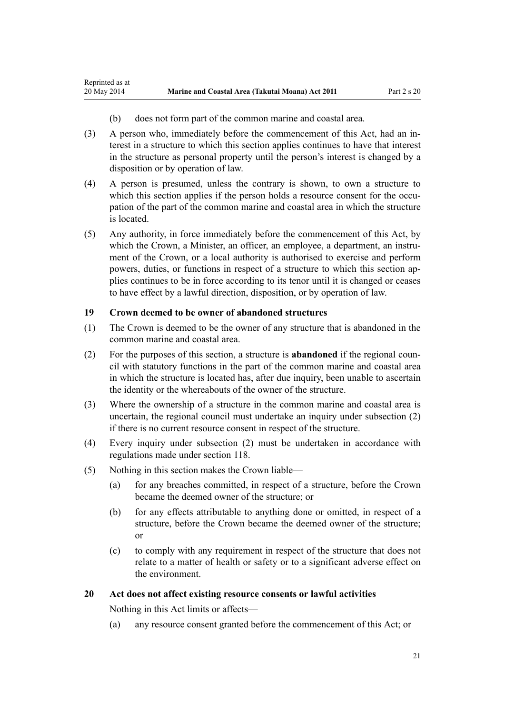<span id="page-20-0"></span>Reprinted as at

- (b) does not form part of the common marine and coastal area.
- (3) A person who, immediately before the commencement of this Act, had an interest in a structure to which this section applies continues to have that interest in the structure as personal property until the person's interest is changed by a disposition or by operation of law.
- (4) A person is presumed, unless the contrary is shown, to own a structure to which this section applies if the person holds a resource consent for the occupation of the part of the common marine and coastal area in which the structure is located.
- (5) Any authority, in force immediately before the commencement of this Act, by which the Crown, a Minister, an officer, an employee, a department, an instrument of the Crown, or a local authority is authorised to exercise and perform powers, duties, or functions in respect of a structure to which this section applies continues to be in force according to its tenor until it is changed or ceases to have effect by a lawful direction, disposition, or by operation of law.

### **19 Crown deemed to be owner of abandoned structures**

- (1) The Crown is deemed to be the owner of any structure that is abandoned in the common marine and coastal area.
- (2) For the purposes of this section, a structure is **abandoned** if the regional council with statutory functions in the part of the common marine and coastal area in which the structure is located has, after due inquiry, been unable to ascertain the identity or the whereabouts of the owner of the structure.
- (3) Where the ownership of a structure in the common marine and coastal area is uncertain, the regional council must undertake an inquiry under subsection (2) if there is no current resource consent in respect of the structure.
- (4) Every inquiry under subsection (2) must be undertaken in accordance with regulations made under [section 118](#page-77-0).
- (5) Nothing in this section makes the Crown liable—
	- (a) for any breaches committed, in respect of a structure, before the Crown became the deemed owner of the structure; or
	- (b) for any effects attributable to anything done or omitted, in respect of a structure, before the Crown became the deemed owner of the structure; or
	- (c) to comply with any requirement in respect of the structure that does not relate to a matter of health or safety or to a significant adverse effect on the environment.

### **20 Act does not affect existing resource consents or lawful activities**

Nothing in this Act limits or affects—

(a) any resource consent granted before the commencement of this Act; or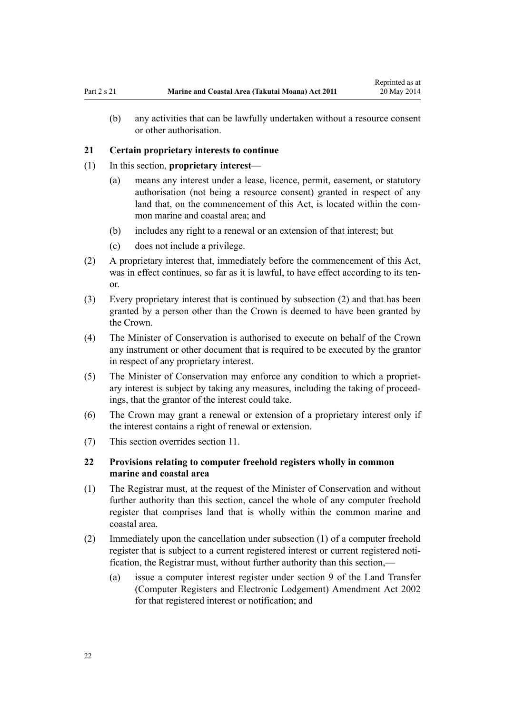<span id="page-21-0"></span>(b) any activities that can be lawfully undertaken without a resource consent or other authorisation.

#### **21 Certain proprietary interests to continue**

- (1) In this section, **proprietary interest**
	- (a) means any interest under a lease, licence, permit, easement, or statutory authorisation (not being a resource consent) granted in respect of any land that, on the commencement of this Act, is located within the common marine and coastal area; and
	- (b) includes any right to a renewal or an extension of that interest; but
	- (c) does not include a privilege.
- (2) A proprietary interest that, immediately before the commencement of this Act, was in effect continues, so far as it is lawful, to have effect according to its tenor.
- (3) Every proprietary interest that is continued by subsection (2) and that has been granted by a person other than the Crown is deemed to have been granted by the Crown.
- (4) The Minister of Conservation is authorised to execute on behalf of the Crown any instrument or other document that is required to be executed by the grantor in respect of any proprietary interest.
- (5) The Minister of Conservation may enforce any condition to which a proprietary interest is subject by taking any measures, including the taking of proceedings, that the grantor of the interest could take.
- (6) The Crown may grant a renewal or extension of a proprietary interest only if the interest contains a right of renewal or extension.
- (7) This section overrides [section 11](#page-16-0).

### **22 Provisions relating to computer freehold registers wholly in common marine and coastal area**

- (1) The Registrar must, at the request of the Minister of Conservation and without further authority than this section, cancel the whole of any computer freehold register that comprises land that is wholly within the common marine and coastal area.
- (2) Immediately upon the cancellation under subsection (1) of a computer freehold register that is subject to a current registered interest or current registered notification, the Registrar must, without further authority than this section,—
	- (a) issue a computer interest register under [section 9](http://prd-lgnz-nlb.prd.pco.net.nz/pdflink.aspx?id=DLM140179) of the Land Transfer (Computer Registers and Electronic Lodgement) Amendment Act 2002 for that registered interest or notification; and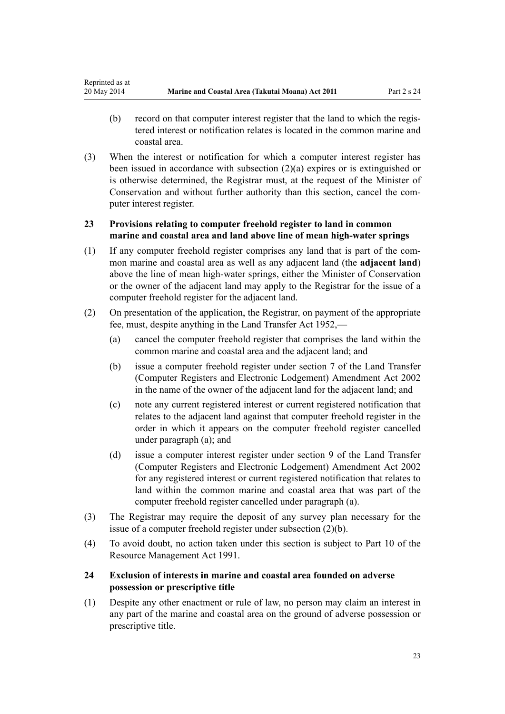- <span id="page-22-0"></span>(b) record on that computer interest register that the land to which the registered interest or notification relates is located in the common marine and coastal area.
- (3) When the interest or notification for which a computer interest register has been issued in accordance with subsection (2)(a) expires or is extinguished or is otherwise determined, the Registrar must, at the request of the Minister of Conservation and without further authority than this section, cancel the computer interest register.

# **23 Provisions relating to computer freehold register to land in common marine and coastal area and land above line of mean high-water springs**

- (1) If any computer freehold register comprises any land that is part of the common marine and coastal area as well as any adjacent land (the **adjacent land**) above the line of mean high-water springs, either the Minister of Conservation or the owner of the adjacent land may apply to the Registrar for the issue of a computer freehold register for the adjacent land.
- (2) On presentation of the application, the Registrar, on payment of the appropriate fee, must, despite anything in the [Land Transfer Act 1952,](http://prd-lgnz-nlb.prd.pco.net.nz/pdflink.aspx?id=DLM269031)—
	- (a) cancel the computer freehold register that comprises the land within the common marine and coastal area and the adjacent land; and
	- (b) issue a computer freehold register under [section 7](http://prd-lgnz-nlb.prd.pco.net.nz/pdflink.aspx?id=DLM140177) of the Land Transfer (Computer Registers and Electronic Lodgement) Amendment Act 2002 in the name of the owner of the adjacent land for the adjacent land; and
	- (c) note any current registered interest or current registered notification that relates to the adjacent land against that computer freehold register in the order in which it appears on the computer freehold register cancelled under paragraph (a); and
	- (d) issue a computer interest register under [section 9](http://prd-lgnz-nlb.prd.pco.net.nz/pdflink.aspx?id=DLM140179) of the Land Transfer (Computer Registers and Electronic Lodgement) Amendment Act 2002 for any registered interest or current registered notification that relates to land within the common marine and coastal area that was part of the computer freehold register cancelled under paragraph (a).
- (3) The Registrar may require the deposit of any survey plan necessary for the issue of a computer freehold register under subsection (2)(b).
- (4) To avoid doubt, no action taken under this section is subject to [Part 10](http://prd-lgnz-nlb.prd.pco.net.nz/pdflink.aspx?id=DLM236786) of the Resource Management Act 1991.

# **24 Exclusion of interests in marine and coastal area founded on adverse possession or prescriptive title**

(1) Despite any other enactment or rule of law, no person may claim an interest in any part of the marine and coastal area on the ground of adverse possession or prescriptive title.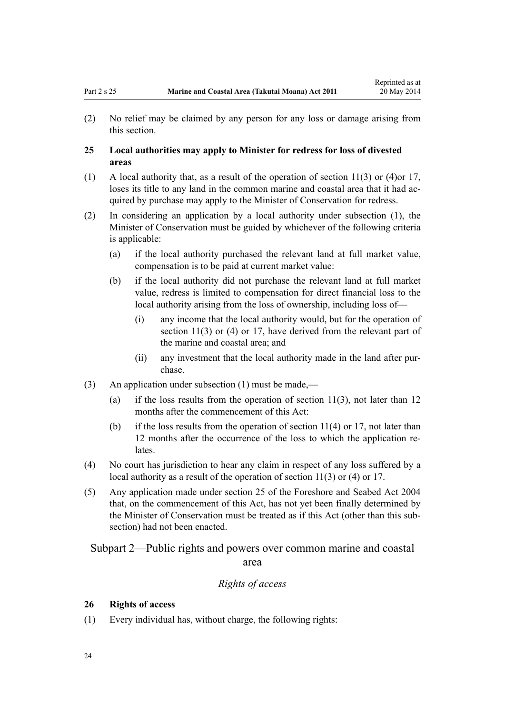<span id="page-23-0"></span>(2) No relief may be claimed by any person for any loss or damage arising from this section.

### **25 Local authorities may apply to Minister for redress for loss of divested areas**

- (1) A local authority that, as a result of the operation of [section 11\(3\) or \(4\)o](#page-16-0)r [17](#page-19-0), loses its title to any land in the common marine and coastal area that it had acquired by purchase may apply to the Minister of Conservation for redress.
- (2) In considering an application by a local authority under subsection (1), the Minister of Conservation must be guided by whichever of the following criteria is applicable:
	- (a) if the local authority purchased the relevant land at full market value, compensation is to be paid at current market value:
	- (b) if the local authority did not purchase the relevant land at full market value, redress is limited to compensation for direct financial loss to the local authority arising from the loss of ownership, including loss of—
		- (i) any income that the local authority would, but for the operation of [section 11\(3\) or \(4\)](#page-16-0) or [17](#page-19-0), have derived from the relevant part of the marine and coastal area; and
		- (ii) any investment that the local authority made in the land after purchase.
- (3) An application under subsection (1) must be made,—
	- (a) if the loss results from the operation of section  $11(3)$ , not later than 12 months after the commencement of this Act:
	- (b) if the loss results from the operation of section  $11(4)$  or [17](#page-19-0), not later than 12 months after the occurrence of the loss to which the application relates.
- (4) No court has jurisdiction to hear any claim in respect of any loss suffered by a local authority as a result of the operation of [section 11\(3\) or \(4\)](#page-16-0) or [17](#page-19-0).
- (5) Any application made under [section 25](http://prd-lgnz-nlb.prd.pco.net.nz/pdflink.aspx?id=DLM320246) of the Foreshore and Seabed Act 2004 that, on the commencement of this Act, has not yet been finally determined by the Minister of Conservation must be treated as if this Act (other than this subsection) had not been enacted.

Subpart 2—Public rights and powers over common marine and coastal area

### *Rights of access*

### **26 Rights of access**

(1) Every individual has, without charge, the following rights: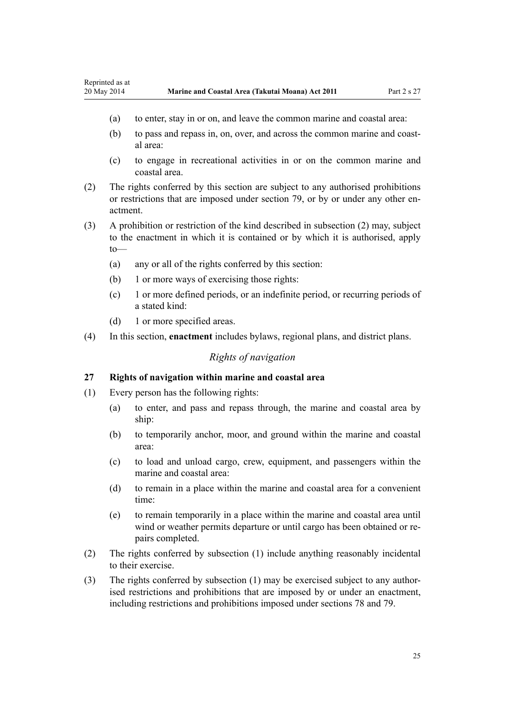- <span id="page-24-0"></span>(a) to enter, stay in or on, and leave the common marine and coastal area:
- (b) to pass and repass in, on, over, and across the common marine and coastal area:
- (c) to engage in recreational activities in or on the common marine and coastal area.
- (2) The rights conferred by this section are subject to any authorised prohibitions or restrictions that are imposed under [section 79,](#page-58-0) or by or under any other enactment.
- (3) A prohibition or restriction of the kind described in subsection (2) may, subject to the enactment in which it is contained or by which it is authorised, apply to—
	- (a) any or all of the rights conferred by this section:
	- (b) 1 or more ways of exercising those rights:
	- (c) 1 or more defined periods, or an indefinite period, or recurring periods of a stated kind:
	- (d) 1 or more specified areas.
- (4) In this section, **enactment** includes bylaws, regional plans, and district plans.

### *Rights of navigation*

#### **27 Rights of navigation within marine and coastal area**

- (1) Every person has the following rights:
	- (a) to enter, and pass and repass through, the marine and coastal area by ship:
	- (b) to temporarily anchor, moor, and ground within the marine and coastal area:
	- (c) to load and unload cargo, crew, equipment, and passengers within the marine and coastal area:
	- (d) to remain in a place within the marine and coastal area for a convenient time:
	- (e) to remain temporarily in a place within the marine and coastal area until wind or weather permits departure or until cargo has been obtained or repairs completed.
- (2) The rights conferred by subsection (1) include anything reasonably incidental to their exercise.
- (3) The rights conferred by subsection (1) may be exercised subject to any authorised restrictions and prohibitions that are imposed by or under an enactment, including restrictions and prohibitions imposed under [sections 78](#page-57-0) and [79.](#page-58-0)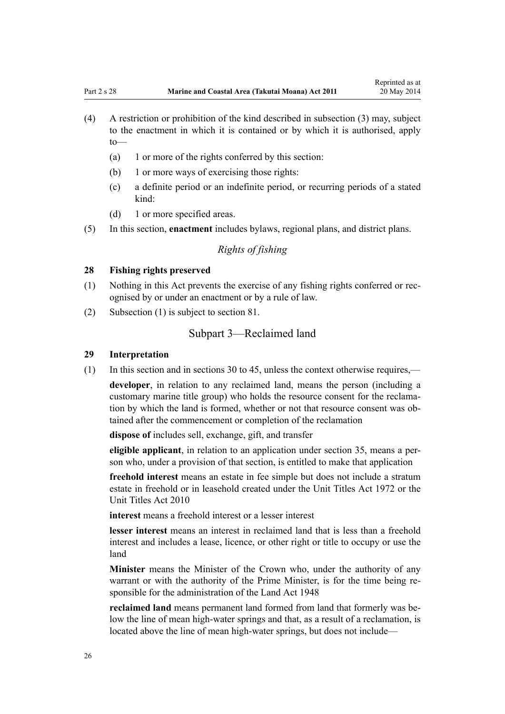- <span id="page-25-0"></span>(4) A restriction or prohibition of the kind described in subsection (3) may, subject to the enactment in which it is contained or by which it is authorised, apply to—
	- (a) 1 or more of the rights conferred by this section:
	- (b) 1 or more ways of exercising those rights:
	- (c) a definite period or an indefinite period, or recurring periods of a stated kind:
	- (d) 1 or more specified areas.
- (5) In this section, **enactment** includes bylaws, regional plans, and district plans.

# *Rights of fishing*

### **28 Fishing rights preserved**

- (1) Nothing in this Act prevents the exercise of any fishing rights conferred or recognised by or under an enactment or by a rule of law.
- (2) Subsection (1) is subject to [section 81.](#page-60-0)

### Subpart 3—Reclaimed land

### **29 Interpretation**

(1) In this section and in [sections 30 to 45,](#page-26-0) unless the context otherwise requires,—

**developer**, in relation to any reclaimed land, means the person (including a customary marine title group) who holds the resource consent for the reclamation by which the land is formed, whether or not that resource consent was obtained after the commencement or completion of the reclamation

**dispose of** includes sell, exchange, gift, and transfer

**eligible applicant**, in relation to an application under [section 35,](#page-27-0) means a person who, under a provision of that section, is entitled to make that application

**freehold interest** means an estate in fee simple but does not include a stratum estate in freehold or in leasehold created under the [Unit Titles Act 1972](http://prd-lgnz-nlb.prd.pco.net.nz/pdflink.aspx?id=DLM405590) or the [Unit Titles Act 2010](http://prd-lgnz-nlb.prd.pco.net.nz/pdflink.aspx?id=DLM1160400)

**interest** means a freehold interest or a lesser interest

**lesser interest** means an interest in reclaimed land that is less than a freehold interest and includes a lease, licence, or other right or title to occupy or use the land

**Minister** means the Minister of the Crown who, under the authority of any warrant or with the authority of the Prime Minister, is for the time being responsible for the administration of the [Land Act 1948](http://prd-lgnz-nlb.prd.pco.net.nz/pdflink.aspx?id=DLM250585)

**reclaimed land** means permanent land formed from land that formerly was below the line of mean high-water springs and that, as a result of a reclamation, is located above the line of mean high-water springs, but does not include—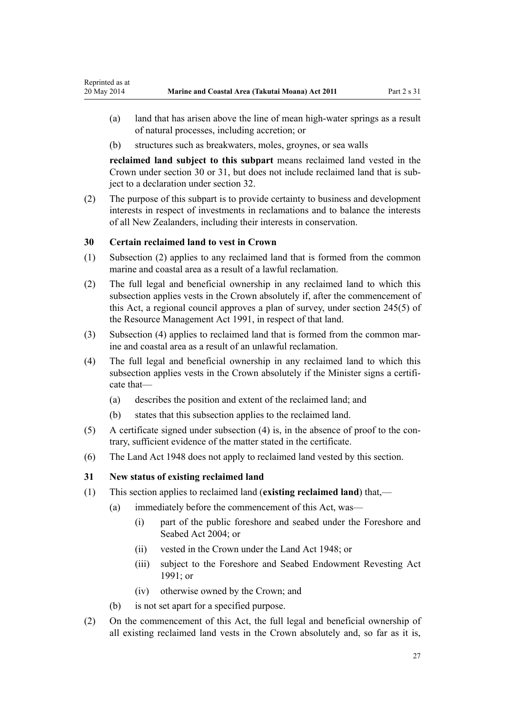- <span id="page-26-0"></span>(a) land that has arisen above the line of mean high-water springs as a result of natural processes, including accretion; or
- (b) structures such as breakwaters, moles, groynes, or sea walls

**reclaimed land subject to this subpart** means reclaimed land vested in the Crown under section 30 or 31, but does not include reclaimed land that is subject to a declaration under [section 32](#page-27-0).

(2) The purpose of this subpart is to provide certainty to business and development interests in respect of investments in reclamations and to balance the interests of all New Zealanders, including their interests in conservation.

### **30 Certain reclaimed land to vest in Crown**

- (1) Subsection (2) applies to any reclaimed land that is formed from the common marine and coastal area as a result of a lawful reclamation.
- (2) The full legal and beneficial ownership in any reclaimed land to which this subsection applies vests in the Crown absolutely if, after the commencement of this Act, a regional council approves a plan of survey, under [section 245\(5\)](http://prd-lgnz-nlb.prd.pco.net.nz/pdflink.aspx?id=DLM237630) of the Resource Management Act 1991, in respect of that land.
- (3) Subsection (4) applies to reclaimed land that is formed from the common marine and coastal area as a result of an unlawful reclamation.
- (4) The full legal and beneficial ownership in any reclaimed land to which this subsection applies vests in the Crown absolutely if the Minister signs a certificate that—
	- (a) describes the position and extent of the reclaimed land; and
	- (b) states that this subsection applies to the reclaimed land.
- (5) A certificate signed under subsection (4) is, in the absence of proof to the contrary, sufficient evidence of the matter stated in the certificate.
- (6) The [Land Act 1948](http://prd-lgnz-nlb.prd.pco.net.nz/pdflink.aspx?id=DLM250585) does not apply to reclaimed land vested by this section.

### **31 New status of existing reclaimed land**

- (1) This section applies to reclaimed land (**existing reclaimed land**) that,—
	- (a) immediately before the commencement of this Act, was—
		- (i) part of the public foreshore and seabed under the [Foreshore and](http://prd-lgnz-nlb.prd.pco.net.nz/pdflink.aspx?id=DLM319838) [Seabed Act 2004;](http://prd-lgnz-nlb.prd.pco.net.nz/pdflink.aspx?id=DLM319838) or
		- (ii) vested in the Crown under the [Land Act 1948](http://prd-lgnz-nlb.prd.pco.net.nz/pdflink.aspx?id=DLM250585); or
		- (iii) subject to the Foreshore and Seabed Endowment Revesting Act 1991; or
		- (iv) otherwise owned by the Crown; and
	- (b) is not set apart for a specified purpose.
- (2) On the commencement of this Act, the full legal and beneficial ownership of all existing reclaimed land vests in the Crown absolutely and, so far as it is,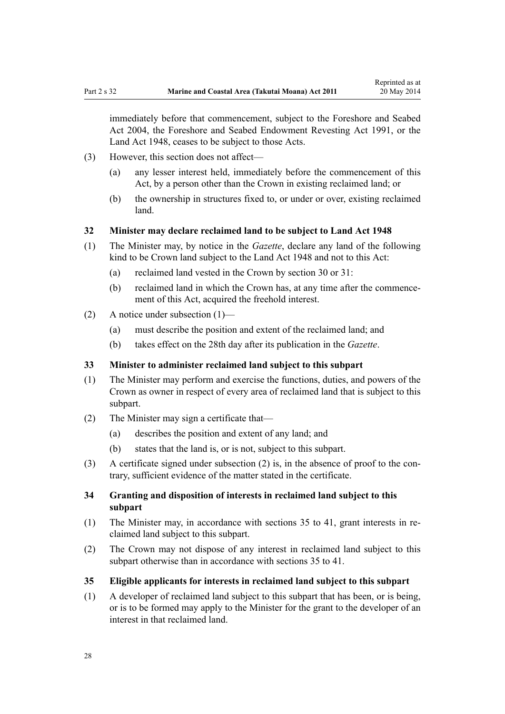<span id="page-27-0"></span>immediately before that commencement, subject to the [Foreshore and Seabed](http://prd-lgnz-nlb.prd.pco.net.nz/pdflink.aspx?id=DLM319838) [Act 2004](http://prd-lgnz-nlb.prd.pco.net.nz/pdflink.aspx?id=DLM319838), the Foreshore and Seabed Endowment Revesting Act 1991, or the [Land Act 1948](http://prd-lgnz-nlb.prd.pco.net.nz/pdflink.aspx?id=DLM250585), ceases to be subject to those Acts.

- (3) However, this section does not affect—
	- (a) any lesser interest held, immediately before the commencement of this Act, by a person other than the Crown in existing reclaimed land; or
	- (b) the ownership in structures fixed to, or under or over, existing reclaimed land.

### **32 Minister may declare reclaimed land to be subject to Land Act 1948**

- (1) The Minister may, by notice in the *Gazette*, declare any land of the following kind to be Crown land subject to the [Land Act 1948](http://prd-lgnz-nlb.prd.pco.net.nz/pdflink.aspx?id=DLM250585) and not to this Act:
	- (a) reclaimed land vested in the Crown by [section 30](#page-26-0) or [31](#page-26-0):
	- (b) reclaimed land in which the Crown has, at any time after the commencement of this Act, acquired the freehold interest.
- (2) A notice under subsection (1)—
	- (a) must describe the position and extent of the reclaimed land; and
	- (b) takes effect on the 28th day after its publication in the *Gazette*.

#### **33 Minister to administer reclaimed land subject to this subpart**

- (1) The Minister may perform and exercise the functions, duties, and powers of the Crown as owner in respect of every area of reclaimed land that is subject to this subpart.
- (2) The Minister may sign a certificate that—
	- (a) describes the position and extent of any land; and
	- (b) states that the land is, or is not, subject to this subpart.
- (3) A certificate signed under subsection (2) is, in the absence of proof to the contrary, sufficient evidence of the matter stated in the certificate.

### **34 Granting and disposition of interests in reclaimed land subject to this subpart**

- (1) The Minister may, in accordance with sections 35 to 41, grant interests in reclaimed land subject to this subpart.
- (2) The Crown may not dispose of any interest in reclaimed land subject to this subpart otherwise than in accordance with sections 35 to 41.
- **35 Eligible applicants for interests in reclaimed land subject to this subpart**
- (1) A developer of reclaimed land subject to this subpart that has been, or is being, or is to be formed may apply to the Minister for the grant to the developer of an interest in that reclaimed land.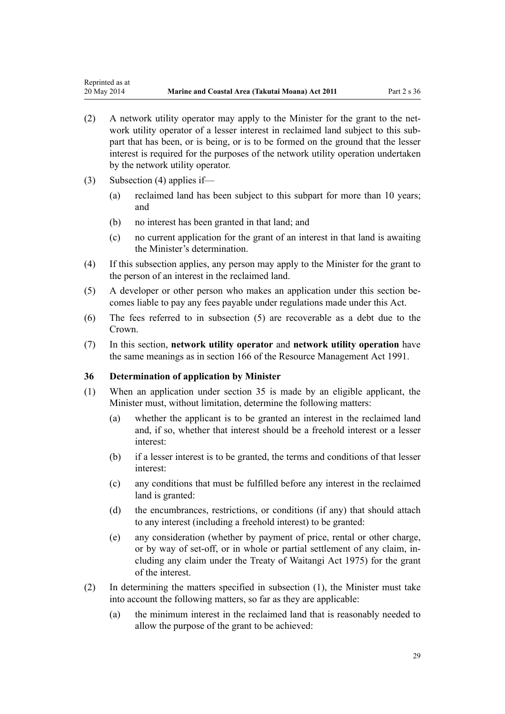- <span id="page-28-0"></span>(2) A network utility operator may apply to the Minister for the grant to the network utility operator of a lesser interest in reclaimed land subject to this subpart that has been, or is being, or is to be formed on the ground that the lesser interest is required for the purposes of the network utility operation undertaken by the network utility operator.
- (3) Subsection (4) applies if—
	- (a) reclaimed land has been subject to this subpart for more than 10 years; and
	- (b) no interest has been granted in that land; and
	- (c) no current application for the grant of an interest in that land is awaiting the Minister's determination.
- (4) If this subsection applies, any person may apply to the Minister for the grant to the person of an interest in the reclaimed land.
- (5) A developer or other person who makes an application under this section becomes liable to pay any fees payable under regulations made under this Act.
- (6) The fees referred to in subsection (5) are recoverable as a debt due to the Crown.
- (7) In this section, **network utility operator** and **network utility operation** have the same meanings as in [section 166](http://prd-lgnz-nlb.prd.pco.net.nz/pdflink.aspx?id=DLM236206) of the Resource Management Act 1991.

### **36 Determination of application by Minister**

- (1) When an application under [section 35](#page-27-0) is made by an eligible applicant, the Minister must, without limitation, determine the following matters:
	- (a) whether the applicant is to be granted an interest in the reclaimed land and, if so, whether that interest should be a freehold interest or a lesser interest:
	- (b) if a lesser interest is to be granted, the terms and conditions of that lesser interest:
	- (c) any conditions that must be fulfilled before any interest in the reclaimed land is granted:
	- (d) the encumbrances, restrictions, or conditions (if any) that should attach to any interest (including a freehold interest) to be granted:
	- (e) any consideration (whether by payment of price, rental or other charge, or by way of set-off, or in whole or partial settlement of any claim, including any claim under the [Treaty of Waitangi Act 1975\)](http://prd-lgnz-nlb.prd.pco.net.nz/pdflink.aspx?id=DLM435367) for the grant of the interest.
- (2) In determining the matters specified in subsection (1), the Minister must take into account the following matters, so far as they are applicable:
	- (a) the minimum interest in the reclaimed land that is reasonably needed to allow the purpose of the grant to be achieved: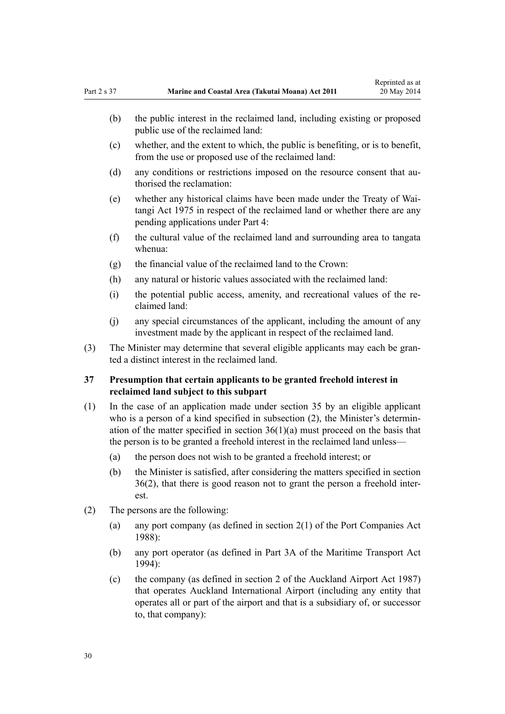- <span id="page-29-0"></span>(b) the public interest in the reclaimed land, including existing or proposed public use of the reclaimed land:
- (c) whether, and the extent to which, the public is benefiting, or is to benefit, from the use or proposed use of the reclaimed land:
- (d) any conditions or restrictions imposed on the resource consent that authorised the reclamation:
- (e) whether any historical claims have been made under the [Treaty of Wai](http://prd-lgnz-nlb.prd.pco.net.nz/pdflink.aspx?id=DLM435367)[tangi Act 1975](http://prd-lgnz-nlb.prd.pco.net.nz/pdflink.aspx?id=DLM435367) in respect of the reclaimed land or whether there are any pending applications under [Part 4:](#page-67-0)
- (f) the cultural value of the reclaimed land and surrounding area to tangata whenua:
- (g) the financial value of the reclaimed land to the Crown:
- (h) any natural or historic values associated with the reclaimed land:
- (i) the potential public access, amenity, and recreational values of the reclaimed land:
- (j) any special circumstances of the applicant, including the amount of any investment made by the applicant in respect of the reclaimed land.
- (3) The Minister may determine that several eligible applicants may each be granted a distinct interest in the reclaimed land.

### **37 Presumption that certain applicants to be granted freehold interest in reclaimed land subject to this subpart**

- (1) In the case of an application made under [section 35](#page-27-0) by an eligible applicant who is a person of a kind specified in subsection (2), the Minister's determination of the matter specified in section  $36(1)(a)$  must proceed on the basis that the person is to be granted a freehold interest in the reclaimed land unless—
	- (a) the person does not wish to be granted a freehold interest; or
	- (b) the Minister is satisfied, after considering the matters specified in [section](#page-28-0) [36\(2\)](#page-28-0), that there is good reason not to grant the person a freehold interest.
- (2) The persons are the following:
	- (a) any port company (as defined in [section 2\(1\)](http://prd-lgnz-nlb.prd.pco.net.nz/pdflink.aspx?id=DLM131688) of the Port Companies Act 1988):
	- (b) any port operator (as defined in [Part 3A](http://prd-lgnz-nlb.prd.pco.net.nz/pdflink.aspx?id=DLM5689750) of the Maritime Transport Act 1994):
	- (c) the company (as defined in [section 2](http://prd-lgnz-nlb.prd.pco.net.nz/pdflink.aspx?id=DLM125376) of the Auckland Airport Act 1987) that operates Auckland International Airport (including any entity that operates all or part of the airport and that is a subsidiary of, or successor to, that company):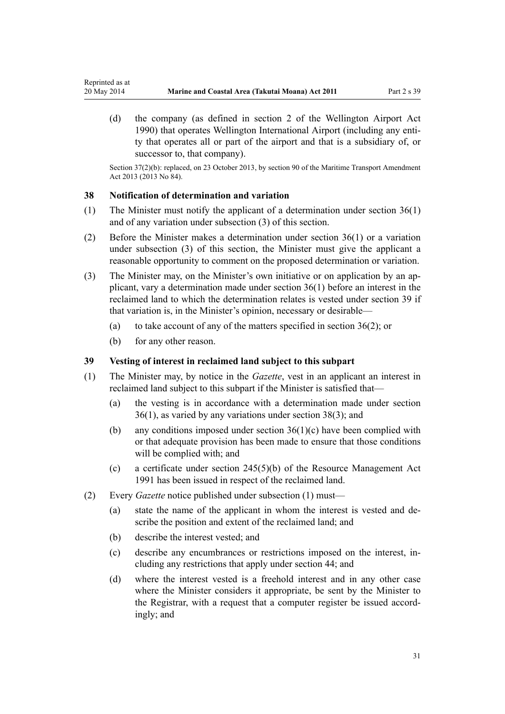(d) the company (as defined in [section 2](http://prd-lgnz-nlb.prd.pco.net.nz/pdflink.aspx?id=DLM211896) of the Wellington Airport Act 1990) that operates Wellington International Airport (including any entity that operates all or part of the airport and that is a subsidiary of, or successor to, that company).

Section 37(2)(b): replaced, on 23 October 2013, by [section 90](http://prd-lgnz-nlb.prd.pco.net.nz/pdflink.aspx?id=DLM4698973) of the Maritime Transport Amendment Act 2013 (2013 No 84).

#### **38 Notification of determination and variation**

<span id="page-30-0"></span>Reprinted as at

- (1) The Minister must notify the applicant of a determination under [section 36\(1\)](#page-28-0) and of any variation under subsection (3) of this section.
- (2) Before the Minister makes a determination under [section 36\(1\)](#page-28-0) or a variation under subsection (3) of this section, the Minister must give the applicant a reasonable opportunity to comment on the proposed determination or variation.
- (3) The Minister may, on the Minister's own initiative or on application by an applicant, vary a determination made under [section 36\(1\)](#page-28-0) before an interest in the reclaimed land to which the determination relates is vested under section 39 if that variation is, in the Minister's opinion, necessary or desirable—
	- (a) to take account of any of the matters specified in section  $36(2)$ ; or
	- (b) for any other reason.

#### **39 Vesting of interest in reclaimed land subject to this subpart**

- (1) The Minister may, by notice in the *Gazette*, vest in an applicant an interest in reclaimed land subject to this subpart if the Minister is satisfied that—
	- (a) the vesting is in accordance with a determination made under [section](#page-28-0) [36\(1\)](#page-28-0), as varied by any variations under section 38(3); and
	- (b) any conditions imposed under section  $36(1)(c)$  have been complied with or that adequate provision has been made to ensure that those conditions will be complied with; and
	- (c) a certificate under [section 245\(5\)\(b\)](http://prd-lgnz-nlb.prd.pco.net.nz/pdflink.aspx?id=DLM237630) of the Resource Management Act 1991 has been issued in respect of the reclaimed land.
- (2) Every *Gazette* notice published under subsection (1) must—
	- (a) state the name of the applicant in whom the interest is vested and describe the position and extent of the reclaimed land; and
	- (b) describe the interest vested; and
	- (c) describe any encumbrances or restrictions imposed on the interest, including any restrictions that apply under [section 44;](#page-34-0) and
	- (d) where the interest vested is a freehold interest and in any other case where the Minister considers it appropriate, be sent by the Minister to the Registrar, with a request that a computer register be issued accordingly; and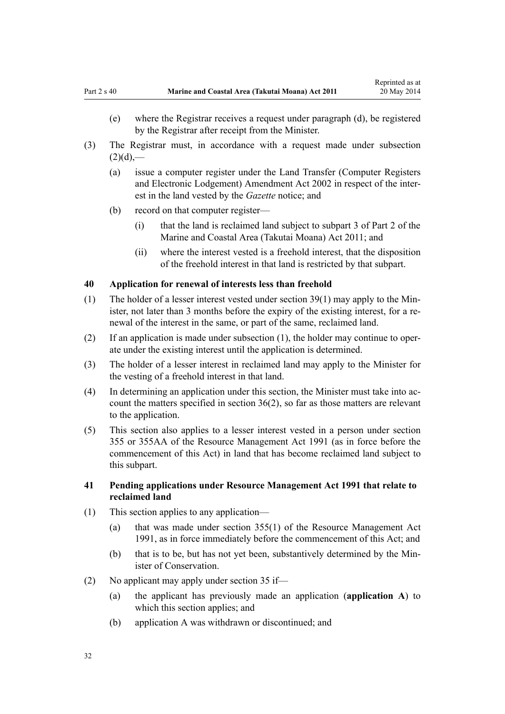- <span id="page-31-0"></span>(e) where the Registrar receives a request under paragraph (d), be registered by the Registrar after receipt from the Minister.
- (3) The Registrar must, in accordance with a request made under subsection  $(2)(d)$ ,—
	- (a) issue a computer register under the [Land Transfer \(Computer Registers](http://prd-lgnz-nlb.prd.pco.net.nz/pdflink.aspx?id=DLM140136) [and Electronic Lodgement\) Amendment Act 2002](http://prd-lgnz-nlb.prd.pco.net.nz/pdflink.aspx?id=DLM140136) in respect of the interest in the land vested by the *Gazette* notice; and
	- (b) record on that computer register—
		- (i) that the land is reclaimed land subject to [subpart 3 of Part 2](#page-25-0) of the Marine and Coastal Area (Takutai Moana) Act 2011; and
		- (ii) where the interest vested is a freehold interest, that the disposition of the freehold interest in that land is restricted by that subpart.

### **40 Application for renewal of interests less than freehold**

- (1) The holder of a lesser interest vested under [section 39\(1\)](#page-30-0) may apply to the Minister, not later than 3 months before the expiry of the existing interest, for a renewal of the interest in the same, or part of the same, reclaimed land.
- (2) If an application is made under subsection (1), the holder may continue to operate under the existing interest until the application is determined.
- (3) The holder of a lesser interest in reclaimed land may apply to the Minister for the vesting of a freehold interest in that land.
- (4) In determining an application under this section, the Minister must take into account the matters specified in [section 36\(2\)](#page-28-0), so far as those matters are relevant to the application.
- (5) This section also applies to a lesser interest vested in a person under [section](http://prd-lgnz-nlb.prd.pco.net.nz/pdflink.aspx?id=DLM239322) [355](http://prd-lgnz-nlb.prd.pco.net.nz/pdflink.aspx?id=DLM239322) or [355AA](http://prd-lgnz-nlb.prd.pco.net.nz/pdflink.aspx?id=DLM239326) of the Resource Management Act 1991 (as in force before the commencement of this Act) in land that has become reclaimed land subject to this subpart.

### **41 Pending applications under Resource Management Act 1991 that relate to reclaimed land**

- (1) This section applies to any application—
	- (a) that was made under [section 355\(1\)](http://prd-lgnz-nlb.prd.pco.net.nz/pdflink.aspx?id=DLM239322) of the Resource Management Act 1991, as in force immediately before the commencement of this Act; and
	- (b) that is to be, but has not yet been, substantively determined by the Minister of Conservation.
- (2) No applicant may apply under [section 35](#page-27-0) if—
	- (a) the applicant has previously made an application (**application A**) to which this section applies; and
	- (b) application A was withdrawn or discontinued; and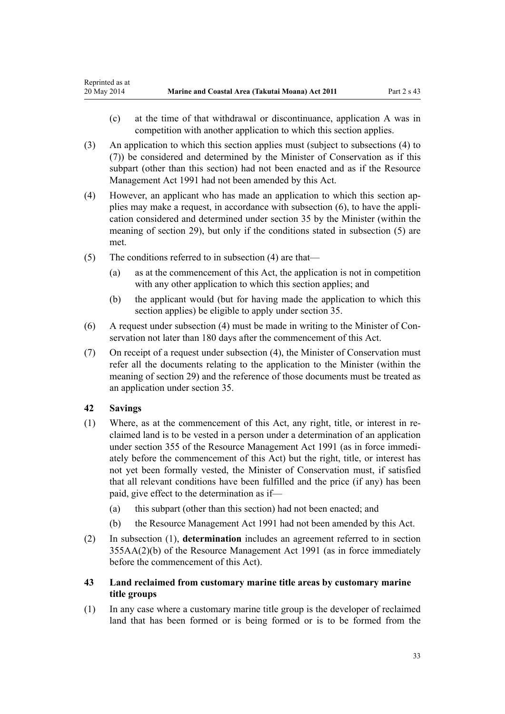- <span id="page-32-0"></span>(c) at the time of that withdrawal or discontinuance, application A was in competition with another application to which this section applies.
- (3) An application to which this section applies must (subject to subsections (4) to (7)) be considered and determined by the Minister of Conservation as if this subpart (other than this section) had not been enacted and as if the [Resource](http://prd-lgnz-nlb.prd.pco.net.nz/pdflink.aspx?id=DLM230264) [Management Act 1991](http://prd-lgnz-nlb.prd.pco.net.nz/pdflink.aspx?id=DLM230264) had not been amended by this Act.
- (4) However, an applicant who has made an application to which this section applies may make a request, in accordance with subsection (6), to have the application considered and determined under [section 35](#page-27-0) by the Minister (within the meaning of [section 29](#page-25-0)), but only if the conditions stated in subsection (5) are met.
- (5) The conditions referred to in subsection (4) are that—
	- (a) as at the commencement of this Act, the application is not in competition with any other application to which this section applies; and
	- (b) the applicant would (but for having made the application to which this section applies) be eligible to apply under [section 35](#page-27-0).
- (6) A request under subsection (4) must be made in writing to the Minister of Conservation not later than 180 days after the commencement of this Act.
- (7) On receipt of a request under subsection (4), the Minister of Conservation must refer all the documents relating to the application to the Minister (within the meaning of [section 29](#page-25-0)) and the reference of those documents must be treated as an application under [section 35.](#page-27-0)

### **42 Savings**

- (1) Where, as at the commencement of this Act, any right, title, or interest in reclaimed land is to be vested in a person under a determination of an application under [section 355](http://prd-lgnz-nlb.prd.pco.net.nz/pdflink.aspx?id=DLM239322) of the Resource Management Act 1991 (as in force immediately before the commencement of this Act) but the right, title, or interest has not yet been formally vested, the Minister of Conservation must, if satisfied that all relevant conditions have been fulfilled and the price (if any) has been paid, give effect to the determination as if—
	- (a) this subpart (other than this section) had not been enacted; and
	- (b) the [Resource Management Act 1991](http://prd-lgnz-nlb.prd.pco.net.nz/pdflink.aspx?id=DLM230264) had not been amended by this Act.
- (2) In subsection (1), **determination** includes an agreement referred to in [section](http://prd-lgnz-nlb.prd.pco.net.nz/pdflink.aspx?id=DLM239326) [355AA\(2\)\(b\)](http://prd-lgnz-nlb.prd.pco.net.nz/pdflink.aspx?id=DLM239326) of the Resource Management Act 1991 (as in force immediately before the commencement of this Act).
- **43 Land reclaimed from customary marine title areas by customary marine title groups**
- (1) In any case where a customary marine title group is the developer of reclaimed land that has been formed or is being formed or is to be formed from the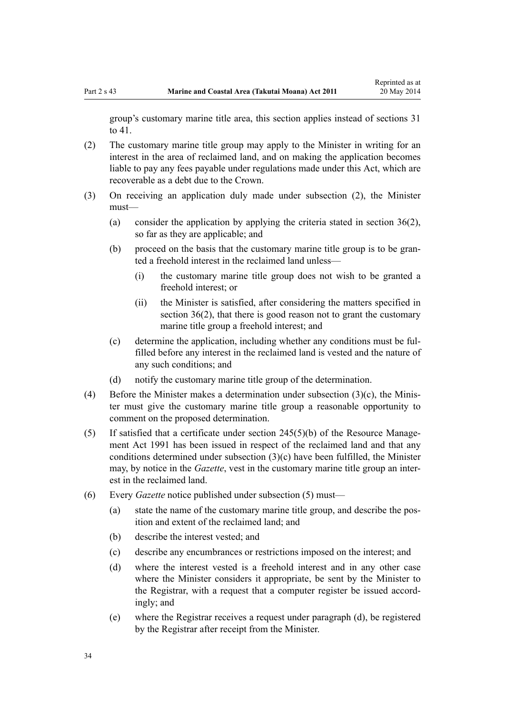group's customary marine title area, this section applies instead of [sections 31](#page-26-0) [to 41.](#page-26-0)

- (2) The customary marine title group may apply to the Minister in writing for an interest in the area of reclaimed land, and on making the application becomes liable to pay any fees payable under regulations made under this Act, which are recoverable as a debt due to the Crown.
- (3) On receiving an application duly made under subsection (2), the Minister must—
	- (a) consider the application by applying the criteria stated in [section 36\(2\)](#page-28-0), so far as they are applicable; and
	- (b) proceed on the basis that the customary marine title group is to be granted a freehold interest in the reclaimed land unless—
		- (i) the customary marine title group does not wish to be granted a freehold interest; or
		- (ii) the Minister is satisfied, after considering the matters specified in [section 36\(2\),](#page-28-0) that there is good reason not to grant the customary marine title group a freehold interest; and
	- (c) determine the application, including whether any conditions must be fulfilled before any interest in the reclaimed land is vested and the nature of any such conditions; and
	- (d) notify the customary marine title group of the determination.
- (4) Before the Minister makes a determination under subsection (3)(c), the Minister must give the customary marine title group a reasonable opportunity to comment on the proposed determination.
- (5) If satisfied that a certificate under [section 245\(5\)\(b\)](http://prd-lgnz-nlb.prd.pco.net.nz/pdflink.aspx?id=DLM237630) of the Resource Management Act 1991 has been issued in respect of the reclaimed land and that any conditions determined under subsection (3)(c) have been fulfilled, the Minister may, by notice in the *Gazette*, vest in the customary marine title group an interest in the reclaimed land.
- (6) Every *Gazette* notice published under subsection (5) must—
	- (a) state the name of the customary marine title group, and describe the position and extent of the reclaimed land; and
	- (b) describe the interest vested; and
	- (c) describe any encumbrances or restrictions imposed on the interest; and
	- (d) where the interest vested is a freehold interest and in any other case where the Minister considers it appropriate, be sent by the Minister to the Registrar, with a request that a computer register be issued accordingly; and
	- (e) where the Registrar receives a request under paragraph (d), be registered by the Registrar after receipt from the Minister.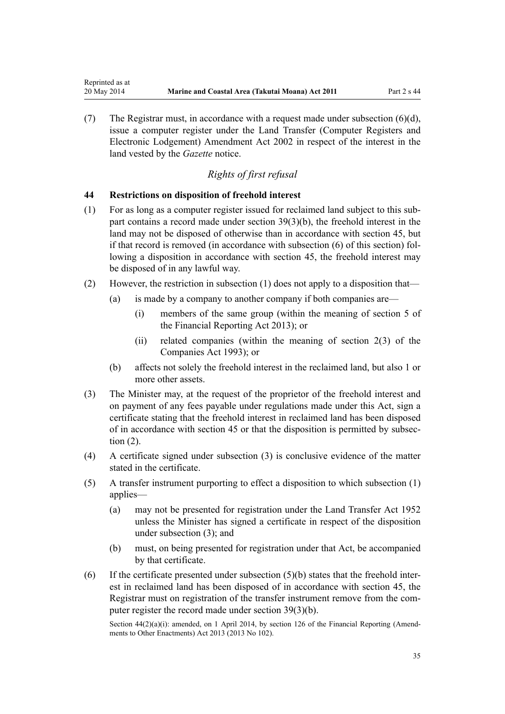(7) The Registrar must, in accordance with a request made under subsection (6)(d), issue a computer register under the [Land Transfer \(Computer Registers and](http://prd-lgnz-nlb.prd.pco.net.nz/pdflink.aspx?id=DLM140136) [Electronic Lodgement\) Amendment Act 2002](http://prd-lgnz-nlb.prd.pco.net.nz/pdflink.aspx?id=DLM140136) in respect of the interest in the land vested by the *Gazette* notice.

### *Rights of first refusal*

#### **44 Restrictions on disposition of freehold interest**

<span id="page-34-0"></span>Reprinted as at

- (1) For as long as a computer register issued for reclaimed land subject to this subpart contains a record made under [section 39\(3\)\(b\)](#page-30-0), the freehold interest in the land may not be disposed of otherwise than in accordance with [section 45](#page-35-0), but if that record is removed (in accordance with subsection (6) of this section) following a disposition in accordance with section 45, the freehold interest may be disposed of in any lawful way.
- (2) However, the restriction in subsection (1) does not apply to a disposition that—
	- (a) is made by a company to another company if both companies are—
		- (i) members of the same group (within the meaning of [section 5](http://prd-lgnz-nlb.prd.pco.net.nz/pdflink.aspx?id=DLM4632837) of the Financial Reporting Act 2013); or
		- (ii) related companies (within the meaning of [section 2\(3\)](http://prd-lgnz-nlb.prd.pco.net.nz/pdflink.aspx?id=DLM319576) of the Companies Act 1993); or
	- (b) affects not solely the freehold interest in the reclaimed land, but also 1 or more other assets.
- (3) The Minister may, at the request of the proprietor of the freehold interest and on payment of any fees payable under regulations made under this Act, sign a certificate stating that the freehold interest in reclaimed land has been disposed of in accordance with [section 45](#page-35-0) or that the disposition is permitted by subsection (2).
- (4) A certificate signed under subsection (3) is conclusive evidence of the matter stated in the certificate.
- (5) A transfer instrument purporting to effect a disposition to which subsection (1) applies—
	- (a) may not be presented for registration under the [Land Transfer Act 1952](http://prd-lgnz-nlb.prd.pco.net.nz/pdflink.aspx?id=DLM269031) unless the Minister has signed a certificate in respect of the disposition under subsection (3); and
	- (b) must, on being presented for registration under that Act, be accompanied by that certificate.
- (6) If the certificate presented under subsection  $(5)(b)$  states that the freehold interest in reclaimed land has been disposed of in accordance with [section 45](#page-35-0), the Registrar must on registration of the transfer instrument remove from the computer register the record made under [section 39\(3\)\(b\).](#page-30-0)

Section  $44(2)(a)(i)$ : amended, on 1 April 2014, by [section 126](http://prd-lgnz-nlb.prd.pco.net.nz/pdflink.aspx?id=DLM5740665) of the Financial Reporting (Amendments to Other Enactments) Act 2013 (2013 No 102).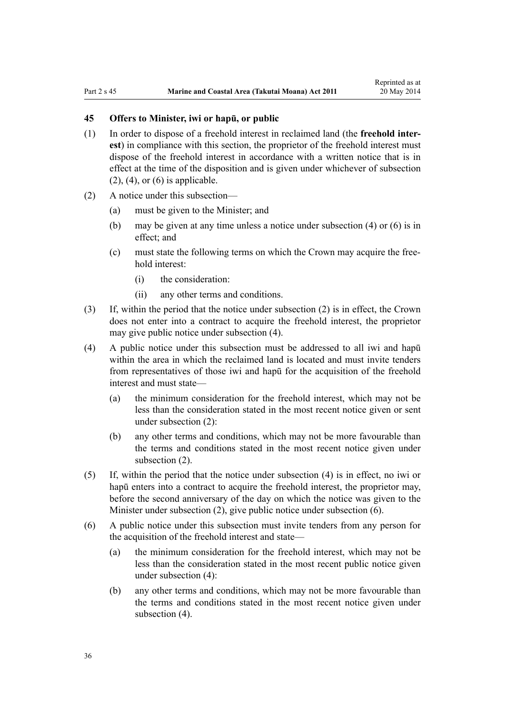### <span id="page-35-0"></span>**45 Offers to Minister, iwi or hapū, or public**

- (1) In order to dispose of a freehold interest in reclaimed land (the **freehold interest**) in compliance with this section, the proprietor of the freehold interest must dispose of the freehold interest in accordance with a written notice that is in effect at the time of the disposition and is given under whichever of subsection  $(2)$ ,  $(4)$ , or  $(6)$  is applicable.
- (2) A notice under this subsection—
	- (a) must be given to the Minister; and
	- (b) may be given at any time unless a notice under subsection (4) or (6) is in effect; and
	- (c) must state the following terms on which the Crown may acquire the freehold interest:
		- (i) the consideration:
		- (ii) any other terms and conditions.
- (3) If, within the period that the notice under subsection (2) is in effect, the Crown does not enter into a contract to acquire the freehold interest, the proprietor may give public notice under subsection (4).
- (4) A public notice under this subsection must be addressed to all iwi and hapū within the area in which the reclaimed land is located and must invite tenders from representatives of those iwi and hapū for the acquisition of the freehold interest and must state—
	- (a) the minimum consideration for the freehold interest, which may not be less than the consideration stated in the most recent notice given or sent under subsection (2):
	- (b) any other terms and conditions, which may not be more favourable than the terms and conditions stated in the most recent notice given under subsection (2).
- (5) If, within the period that the notice under subsection (4) is in effect, no iwi or hapū enters into a contract to acquire the freehold interest, the proprietor may, before the second anniversary of the day on which the notice was given to the Minister under subsection (2), give public notice under subsection (6).
- (6) A public notice under this subsection must invite tenders from any person for the acquisition of the freehold interest and state—
	- (a) the minimum consideration for the freehold interest, which may not be less than the consideration stated in the most recent public notice given under subsection (4):
	- (b) any other terms and conditions, which may not be more favourable than the terms and conditions stated in the most recent notice given under subsection  $(4)$ .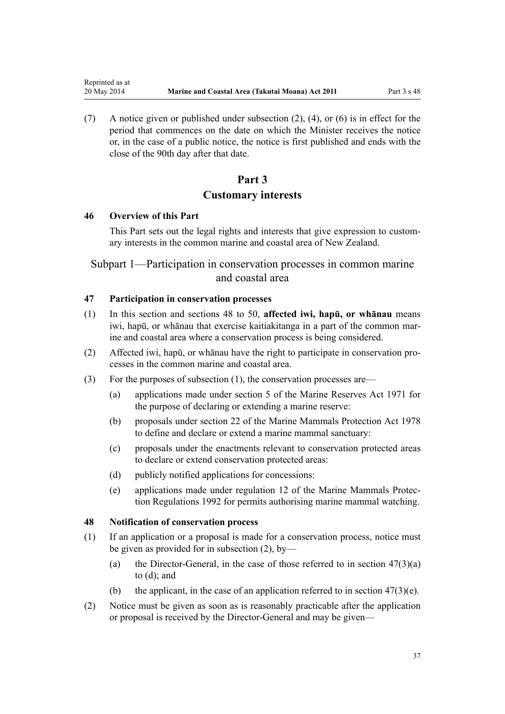(7) A notice given or published under subsection (2), (4), or (6) is in effect for the period that commences on the date on which the Minister receives the notice or, in the case of a public notice, the notice is first published and ends with the close of the 90th day after that date.

# **Part 3 Customary interests**

#### **46 Overview of this Part**

<span id="page-36-0"></span>Reprinted as at

This Part sets out the legal rights and interests that give expression to customary interests in the common marine and coastal area of New Zealand.

# Subpart 1—Participation in conservation processes in common marine and coastal area

## **47 Participation in conservation processes**

- (1) In this section and sections 48 to 50, **affected iwi, hapū, or whānau** means iwi, hapū, or whānau that exercise kaitiakitanga in a part of the common marine and coastal area where a conservation process is being considered.
- (2) Affected iwi, hapū, or whānau have the right to participate in conservation processes in the common marine and coastal area.
- (3) For the purposes of subsection (1), the conservation processes are—
	- (a) applications made under [section 5](http://prd-lgnz-nlb.prd.pco.net.nz/pdflink.aspx?id=DLM398113) of the Marine Reserves Act 1971 for the purpose of declaring or extending a marine reserve:
	- (b) proposals under [section 22](http://prd-lgnz-nlb.prd.pco.net.nz/pdflink.aspx?id=DLM25372) of the Marine Mammals Protection Act 1978 to define and declare or extend a marine mammal sanctuary:
	- (c) proposals under the enactments relevant to conservation protected areas to declare or extend conservation protected areas:
	- (d) publicly notified applications for concessions:
	- (e) applications made under [regulation 12](http://prd-lgnz-nlb.prd.pco.net.nz/pdflink.aspx?id=DLM168830) of the Marine Mammals Protection Regulations 1992 for permits authorising marine mammal watching.

#### **48 Notification of conservation process**

- (1) If an application or a proposal is made for a conservation process, notice must be given as provided for in subsection (2), by—
	- (a) the Director-General, in the case of those referred to in section  $47(3)(a)$ to (d); and
	- (b) the applicant, in the case of an application referred to in section  $47(3)(e)$ .
- (2) Notice must be given as soon as is reasonably practicable after the application or proposal is received by the Director-General and may be given—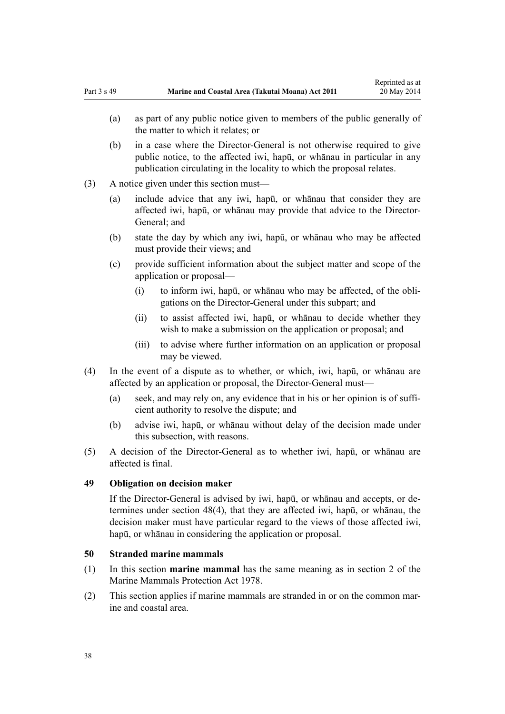- (a) as part of any public notice given to members of the public generally of the matter to which it relates; or
- (b) in a case where the Director-General is not otherwise required to give public notice, to the affected iwi, hapū, or whānau in particular in any publication circulating in the locality to which the proposal relates.
- (3) A notice given under this section must—
	- (a) include advice that any iwi, hapū, or whānau that consider they are affected iwi, hapū, or whānau may provide that advice to the Director-General; and
	- (b) state the day by which any iwi, hapū, or whānau who may be affected must provide their views; and
	- (c) provide sufficient information about the subject matter and scope of the application or proposal—
		- (i) to inform iwi, hapū, or whānau who may be affected, of the obligations on the Director-General under this subpart; and
		- (ii) to assist affected iwi, hapū, or whānau to decide whether they wish to make a submission on the application or proposal; and
		- (iii) to advise where further information on an application or proposal may be viewed.
- (4) In the event of a dispute as to whether, or which, iwi, hapū, or whānau are affected by an application or proposal, the Director-General must—
	- (a) seek, and may rely on, any evidence that in his or her opinion is of sufficient authority to resolve the dispute; and
	- (b) advise iwi, hapū, or whānau without delay of the decision made under this subsection, with reasons.
- (5) A decision of the Director-General as to whether iwi, hapū, or whānau are affected is final.

## **49 Obligation on decision maker**

If the Director-General is advised by iwi, hapū, or whānau and accepts, or determines under [section 48\(4\)](#page-36-0), that they are affected iwi, hapū, or whānau, the decision maker must have particular regard to the views of those affected iwi, hapū, or whānau in considering the application or proposal.

#### **50 Stranded marine mammals**

- (1) In this section **marine mammal** has the same meaning as in [section 2](http://prd-lgnz-nlb.prd.pco.net.nz/pdflink.aspx?id=DLM25116) of the Marine Mammals Protection Act 1978.
- (2) This section applies if marine mammals are stranded in or on the common marine and coastal area.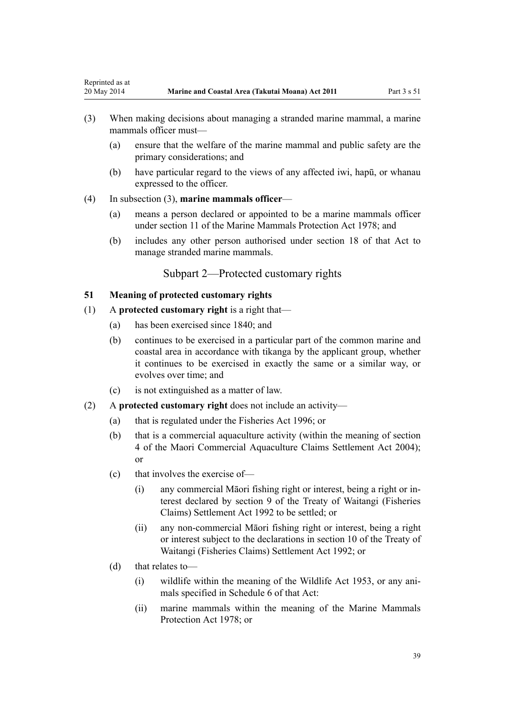- (3) When making decisions about managing a stranded marine mammal, a marine mammals officer must—
	- (a) ensure that the welfare of the marine mammal and public safety are the primary considerations; and
	- (b) have particular regard to the views of any affected iwi, hapū, or whanau expressed to the officer.
- (4) In subsection (3), **marine mammals officer**—

<span id="page-38-0"></span>Reprinted as at

- (a) means a person declared or appointed to be a marine mammals officer under [section 11](http://prd-lgnz-nlb.prd.pco.net.nz/pdflink.aspx?id=DLM25336) of the Marine Mammals Protection Act 1978; and
- (b) includes any other person authorised under [section 18](http://prd-lgnz-nlb.prd.pco.net.nz/pdflink.aspx?id=DLM25362) of that Act to manage stranded marine mammals.

## Subpart 2—Protected customary rights

## **51 Meaning of protected customary rights**

- (1) A **protected customary right** is a right that—
	- (a) has been exercised since 1840; and
	- (b) continues to be exercised in a particular part of the common marine and coastal area in accordance with tikanga by the applicant group, whether it continues to be exercised in exactly the same or a similar way, or evolves over time; and
	- (c) is not extinguished as a matter of law.
- (2) A **protected customary right** does not include an activity—
	- (a) that is regulated under the [Fisheries Act 1996](http://prd-lgnz-nlb.prd.pco.net.nz/pdflink.aspx?id=DLM394191); or
	- (b) that is a commercial aquaculture activity (within the meaning of [section](http://prd-lgnz-nlb.prd.pco.net.nz/pdflink.aspx?id=DLM324356) [4](http://prd-lgnz-nlb.prd.pco.net.nz/pdflink.aspx?id=DLM324356) of the Maori Commercial Aquaculture Claims Settlement Act 2004); or
	- (c) that involves the exercise of—
		- (i) any commercial Māori fishing right or interest, being a right or interest declared by [section 9](http://prd-lgnz-nlb.prd.pco.net.nz/pdflink.aspx?id=DLM281460) of the Treaty of Waitangi (Fisheries Claims) Settlement Act 1992 to be settled; or
		- (ii) any non-commercial Māori fishing right or interest, being a right or interest subject to the declarations in [section 10](http://prd-lgnz-nlb.prd.pco.net.nz/pdflink.aspx?id=DLM281461) of the Treaty of Waitangi (Fisheries Claims) Settlement Act 1992; or
	- (d) that relates to—
		- (i) wildlife within the meaning of the [Wildlife Act 1953](http://prd-lgnz-nlb.prd.pco.net.nz/pdflink.aspx?id=DLM276813), or any animals specified in [Schedule 6](http://prd-lgnz-nlb.prd.pco.net.nz/pdflink.aspx?id=DLM278592) of that Act:
		- (ii) marine mammals within the meaning of the [Marine Mammals](http://prd-lgnz-nlb.prd.pco.net.nz/pdflink.aspx?id=DLM25110) [Protection Act 1978;](http://prd-lgnz-nlb.prd.pco.net.nz/pdflink.aspx?id=DLM25110) or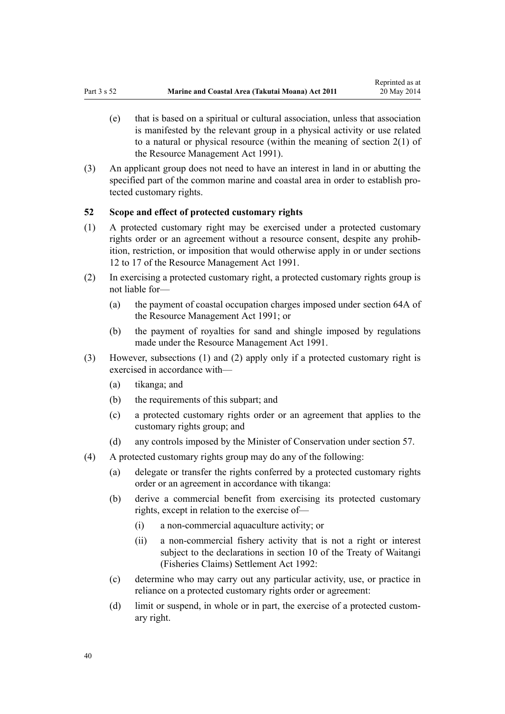- <span id="page-39-0"></span>(e) that is based on a spiritual or cultural association, unless that association is manifested by the relevant group in a physical activity or use related to a natural or physical resource (within the meaning of [section 2\(1\)](http://prd-lgnz-nlb.prd.pco.net.nz/pdflink.aspx?id=DLM230272) of the Resource Management Act 1991).
- (3) An applicant group does not need to have an interest in land in or abutting the specified part of the common marine and coastal area in order to establish protected customary rights.

## **52 Scope and effect of protected customary rights**

- (1) A protected customary right may be exercised under a protected customary rights order or an agreement without a resource consent, despite any prohibition, restriction, or imposition that would otherwise apply in or under [sections](http://prd-lgnz-nlb.prd.pco.net.nz/pdflink.aspx?id=DLM231949) [12 to 17](http://prd-lgnz-nlb.prd.pco.net.nz/pdflink.aspx?id=DLM231949) of the Resource Management Act 1991.
- (2) In exercising a protected customary right, a protected customary rights group is not liable for—
	- (a) the payment of coastal occupation charges imposed under [section 64A](http://prd-lgnz-nlb.prd.pco.net.nz/pdflink.aspx?id=DLM233610) of the Resource Management Act 1991; or
	- (b) the payment of royalties for sand and shingle imposed by regulations made under the [Resource Management Act 1991](http://prd-lgnz-nlb.prd.pco.net.nz/pdflink.aspx?id=DLM230264).
- (3) However, subsections (1) and (2) apply only if a protected customary right is exercised in accordance with—
	- (a) tikanga; and
	- (b) the requirements of this subpart; and
	- (c) a protected customary rights order or an agreement that applies to the customary rights group; and
	- (d) any controls imposed by the Minister of Conservation under [section 57](#page-42-0).
- (4) A protected customary rights group may do any of the following:
	- (a) delegate or transfer the rights conferred by a protected customary rights order or an agreement in accordance with tikanga:
	- (b) derive a commercial benefit from exercising its protected customary rights, except in relation to the exercise of—
		- (i) a non-commercial aquaculture activity; or
		- (ii) a non-commercial fishery activity that is not a right or interest subject to the declarations in [section 10](http://prd-lgnz-nlb.prd.pco.net.nz/pdflink.aspx?id=DLM281461) of the Treaty of Waitangi (Fisheries Claims) Settlement Act 1992:
	- (c) determine who may carry out any particular activity, use, or practice in reliance on a protected customary rights order or agreement:
	- (d) limit or suspend, in whole or in part, the exercise of a protected customary right.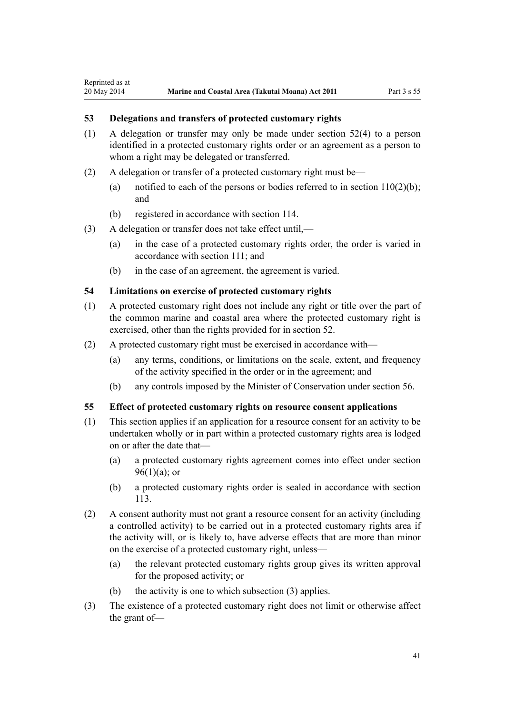#### **53 Delegations and transfers of protected customary rights**

Reprinted as at

- (1) A delegation or transfer may only be made under [section 52\(4\)](#page-39-0) to a person identified in a protected customary rights order or an agreement as a person to whom a right may be delegated or transferred.
- (2) A delegation or transfer of a protected customary right must be—
	- (a) notified to each of the persons or bodies referred to in section  $110(2)(b)$ ; and
	- (b) registered in accordance with [section 114](#page-75-0).
- (3) A delegation or transfer does not take effect until,—
	- (a) in the case of a protected customary rights order, the order is varied in accordance with [section 111;](#page-74-0) and
	- (b) in the case of an agreement, the agreement is varied.

#### **54 Limitations on exercise of protected customary rights**

- (1) A protected customary right does not include any right or title over the part of the common marine and coastal area where the protected customary right is exercised, other than the rights provided for in [section 52](#page-39-0).
- (2) A protected customary right must be exercised in accordance with—
	- (a) any terms, conditions, or limitations on the scale, extent, and frequency of the activity specified in the order or in the agreement; and
	- (b) any controls imposed by the Minister of Conservation under [section 56](#page-41-0).

#### **55 Effect of protected customary rights on resource consent applications**

- (1) This section applies if an application for a resource consent for an activity to be undertaken wholly or in part within a protected customary rights area is lodged on or after the date that—
	- (a) a protected customary rights agreement comes into effect under [section](#page-68-0)  $96(1)(a)$ ; or
	- (b) a protected customary rights order is sealed in accordance with [section](#page-75-0) [113](#page-75-0).
- (2) A consent authority must not grant a resource consent for an activity (including a controlled activity) to be carried out in a protected customary rights area if the activity will, or is likely to, have adverse effects that are more than minor on the exercise of a protected customary right, unless—
	- (a) the relevant protected customary rights group gives its written approval for the proposed activity; or
	- (b) the activity is one to which subsection (3) applies.
- (3) The existence of a protected customary right does not limit or otherwise affect the grant of—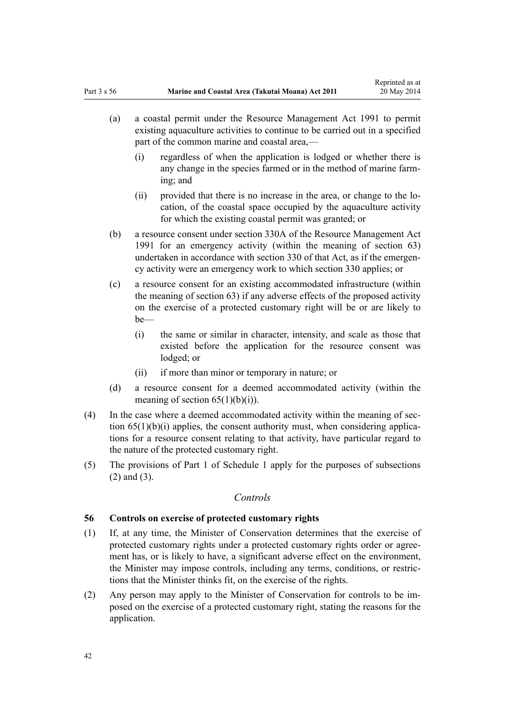- <span id="page-41-0"></span>(a) a coastal permit under the [Resource Management Act 1991](http://prd-lgnz-nlb.prd.pco.net.nz/pdflink.aspx?id=DLM230264) to permit existing aquaculture activities to continue to be carried out in a specified part of the common marine and coastal area,—
	- (i) regardless of when the application is lodged or whether there is any change in the species farmed or in the method of marine farming; and
	- (ii) provided that there is no increase in the area, or change to the location, of the coastal space occupied by the aquaculture activity for which the existing coastal permit was granted; or
- (b) a resource consent under [section 330A](http://prd-lgnz-nlb.prd.pco.net.nz/pdflink.aspx?id=DLM239008) of the Resource Management Act 1991 for an emergency activity (within the meaning of [section 63](#page-46-0)) undertaken in accordance with [section 330](http://prd-lgnz-nlb.prd.pco.net.nz/pdflink.aspx?id=DLM239003) of that Act, as if the emergency activity were an emergency work to which section 330 applies; or
- (c) a resource consent for an existing accommodated infrastructure (within the meaning of [section 63\)](#page-46-0) if any adverse effects of the proposed activity on the exercise of a protected customary right will be or are likely to be—
	- (i) the same or similar in character, intensity, and scale as those that existed before the application for the resource consent was lodged; or
	- (ii) if more than minor or temporary in nature; or
- (d) a resource consent for a deemed accommodated activity (within the meaning of section  $65(1)(b)(i)$ .
- (4) In the case where a deemed accommodated activity within the meaning of [sec](#page-50-0)tion  $65(1)(b)(i)$  applies, the consent authority must, when considering applications for a resource consent relating to that activity, have particular regard to the nature of the protected customary right.
- (5) The provisions of [Part 1](#page-83-0) of Schedule 1 apply for the purposes of subsections (2) and (3).

## *Controls*

## **56 Controls on exercise of protected customary rights**

- (1) If, at any time, the Minister of Conservation determines that the exercise of protected customary rights under a protected customary rights order or agreement has, or is likely to have, a significant adverse effect on the environment, the Minister may impose controls, including any terms, conditions, or restrictions that the Minister thinks fit, on the exercise of the rights.
- (2) Any person may apply to the Minister of Conservation for controls to be imposed on the exercise of a protected customary right, stating the reasons for the application.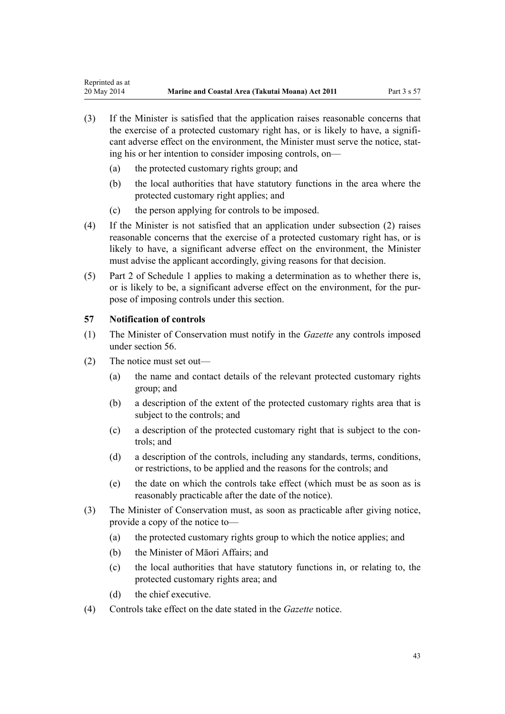- <span id="page-42-0"></span>(3) If the Minister is satisfied that the application raises reasonable concerns that the exercise of a protected customary right has, or is likely to have, a significant adverse effect on the environment, the Minister must serve the notice, stating his or her intention to consider imposing controls, on—
	- (a) the protected customary rights group; and
	- (b) the local authorities that have statutory functions in the area where the protected customary right applies; and
	- (c) the person applying for controls to be imposed.
- (4) If the Minister is not satisfied that an application under subsection (2) raises reasonable concerns that the exercise of a protected customary right has, or is likely to have, a significant adverse effect on the environment, the Minister must advise the applicant accordingly, giving reasons for that decision.
- (5) [Part 2](#page-85-0) of Schedule 1 applies to making a determination as to whether there is, or is likely to be, a significant adverse effect on the environment, for the purpose of imposing controls under this section.

## **57 Notification of controls**

- (1) The Minister of Conservation must notify in the *Gazette* any controls imposed under [section 56](#page-41-0).
- (2) The notice must set out—
	- (a) the name and contact details of the relevant protected customary rights group; and
	- (b) a description of the extent of the protected customary rights area that is subject to the controls; and
	- (c) a description of the protected customary right that is subject to the controls; and
	- (d) a description of the controls, including any standards, terms, conditions, or restrictions, to be applied and the reasons for the controls; and
	- (e) the date on which the controls take effect (which must be as soon as is reasonably practicable after the date of the notice).
- (3) The Minister of Conservation must, as soon as practicable after giving notice, provide a copy of the notice to—
	- (a) the protected customary rights group to which the notice applies; and
	- (b) the Minister of Māori Affairs; and
	- (c) the local authorities that have statutory functions in, or relating to, the protected customary rights area; and
	- (d) the chief executive.
- (4) Controls take effect on the date stated in the *Gazette* notice.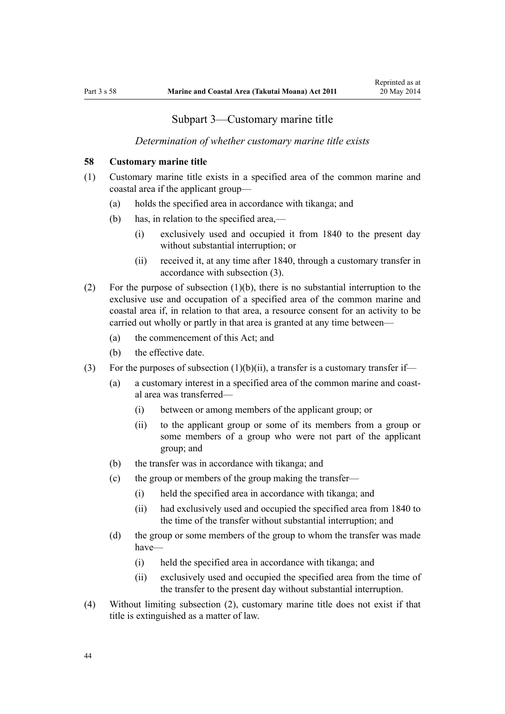## Subpart 3—Customary marine title

#### *Determination of whether customary marine title exists*

#### <span id="page-43-0"></span>**58 Customary marine title**

- (1) Customary marine title exists in a specified area of the common marine and coastal area if the applicant group—
	- (a) holds the specified area in accordance with tikanga; and
	- (b) has, in relation to the specified area,—
		- (i) exclusively used and occupied it from 1840 to the present day without substantial interruption; or
		- (ii) received it, at any time after 1840, through a customary transfer in accordance with subsection (3).
- (2) For the purpose of subsection (1)(b), there is no substantial interruption to the exclusive use and occupation of a specified area of the common marine and coastal area if, in relation to that area, a resource consent for an activity to be carried out wholly or partly in that area is granted at any time between—
	- (a) the commencement of this Act; and
	- (b) the effective date.
- (3) For the purposes of subsection  $(1)(b)(ii)$ , a transfer is a customary transfer if-
	- (a) a customary interest in a specified area of the common marine and coastal area was transferred—
		- (i) between or among members of the applicant group; or
		- (ii) to the applicant group or some of its members from a group or some members of a group who were not part of the applicant group; and
	- (b) the transfer was in accordance with tikanga; and
	- (c) the group or members of the group making the transfer—
		- (i) held the specified area in accordance with tikanga; and
		- (ii) had exclusively used and occupied the specified area from 1840 to the time of the transfer without substantial interruption; and
	- (d) the group or some members of the group to whom the transfer was made have—
		- (i) held the specified area in accordance with tikanga; and
		- (ii) exclusively used and occupied the specified area from the time of the transfer to the present day without substantial interruption.
- (4) Without limiting subsection (2), customary marine title does not exist if that title is extinguished as a matter of law.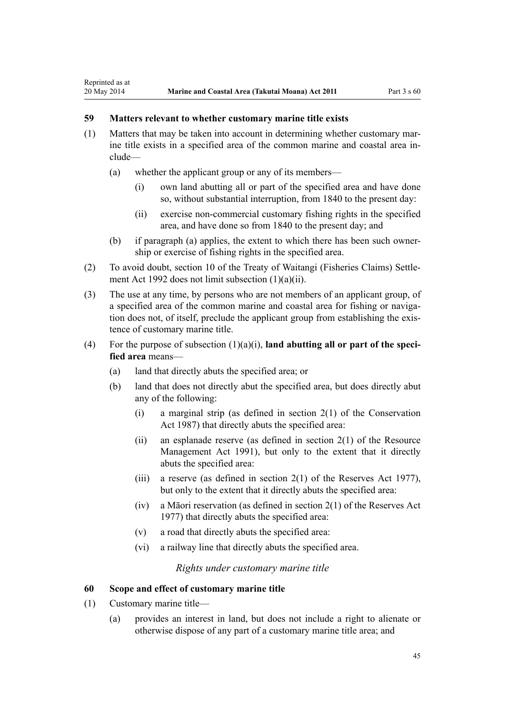## **59 Matters relevant to whether customary marine title exists**

<span id="page-44-0"></span>Reprinted as at

- (1) Matters that may be taken into account in determining whether customary marine title exists in a specified area of the common marine and coastal area include—
	- (a) whether the applicant group or any of its members—
		- (i) own land abutting all or part of the specified area and have done so, without substantial interruption, from 1840 to the present day:
		- (ii) exercise non-commercial customary fishing rights in the specified area, and have done so from 1840 to the present day; and
	- (b) if paragraph (a) applies, the extent to which there has been such ownership or exercise of fishing rights in the specified area.
- (2) To avoid doubt, [section 10](http://prd-lgnz-nlb.prd.pco.net.nz/pdflink.aspx?id=DLM281461) of the Treaty of Waitangi (Fisheries Claims) Settlement Act 1992 does not limit subsection (1)(a)(ii).
- (3) The use at any time, by persons who are not members of an applicant group, of a specified area of the common marine and coastal area for fishing or navigation does not, of itself, preclude the applicant group from establishing the existence of customary marine title.
- (4) For the purpose of subsection (1)(a)(i), **land abutting all or part of the specified area** means—
	- (a) land that directly abuts the specified area; or
	- (b) land that does not directly abut the specified area, but does directly abut any of the following:
		- (i) a marginal strip (as defined in [section 2\(1\)](http://prd-lgnz-nlb.prd.pco.net.nz/pdflink.aspx?id=DLM103616) of the Conservation Act 1987) that directly abuts the specified area:
		- (ii) an esplanade reserve (as defined in section  $2(1)$  of the Resource Management Act 1991), but only to the extent that it directly abuts the specified area:
		- (iii) a reserve (as defined in section  $2(1)$  of the Reserves Act 1977), but only to the extent that it directly abuts the specified area:
		- (iv) a Māori reservation (as defined in [section 2\(1\)](http://prd-lgnz-nlb.prd.pco.net.nz/pdflink.aspx?id=DLM444310) of the Reserves Act 1977) that directly abuts the specified area:
		- (v) a road that directly abuts the specified area:
		- (vi) a railway line that directly abuts the specified area.

*Rights under customary marine title*

#### **60 Scope and effect of customary marine title**

- (1) Customary marine title—
	- (a) provides an interest in land, but does not include a right to alienate or otherwise dispose of any part of a customary marine title area; and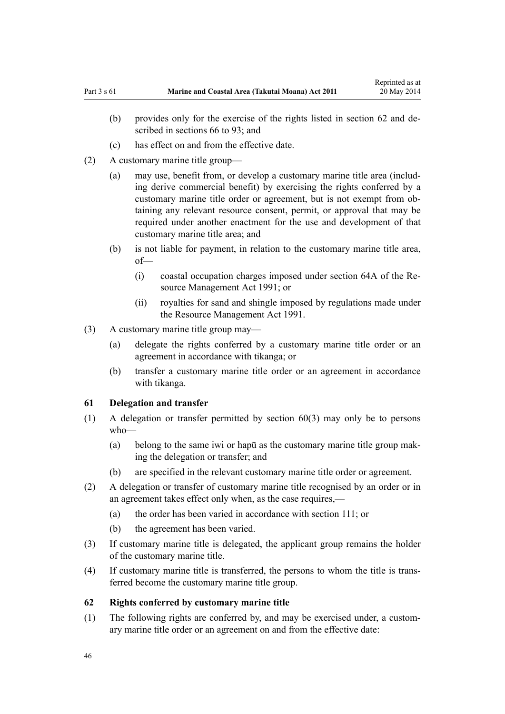- <span id="page-45-0"></span>(b) provides only for the exercise of the rights listed in section 62 and described in [sections 66 to 93;](#page-51-0) and
- (c) has effect on and from the effective date.
- (2) A customary marine title group—
	- (a) may use, benefit from, or develop a customary marine title area (including derive commercial benefit) by exercising the rights conferred by a customary marine title order or agreement, but is not exempt from obtaining any relevant resource consent, permit, or approval that may be required under another enactment for the use and development of that customary marine title area; and
	- (b) is not liable for payment, in relation to the customary marine title area, of—
		- (i) coastal occupation charges imposed under [section 64A](http://prd-lgnz-nlb.prd.pco.net.nz/pdflink.aspx?id=DLM233610) of the Resource Management Act 1991; or
		- (ii) royalties for sand and shingle imposed by regulations made under the [Resource Management Act 1991](http://prd-lgnz-nlb.prd.pco.net.nz/pdflink.aspx?id=DLM230264).
- (3) A customary marine title group may—
	- (a) delegate the rights conferred by a customary marine title order or an agreement in accordance with tikanga; or
	- (b) transfer a customary marine title order or an agreement in accordance with tikanga.

#### **61 Delegation and transfer**

- (1) A delegation or transfer permitted by [section 60\(3\)](#page-44-0) may only be to persons who—
	- (a) belong to the same iwi or hapū as the customary marine title group making the delegation or transfer; and
	- (b) are specified in the relevant customary marine title order or agreement.
- (2) A delegation or transfer of customary marine title recognised by an order or in an agreement takes effect only when, as the case requires,—
	- (a) the order has been varied in accordance with [section 111](#page-74-0); or
	- (b) the agreement has been varied.
- (3) If customary marine title is delegated, the applicant group remains the holder of the customary marine title.
- (4) If customary marine title is transferred, the persons to whom the title is transferred become the customary marine title group.

## **62 Rights conferred by customary marine title**

(1) The following rights are conferred by, and may be exercised under, a customary marine title order or an agreement on and from the effective date: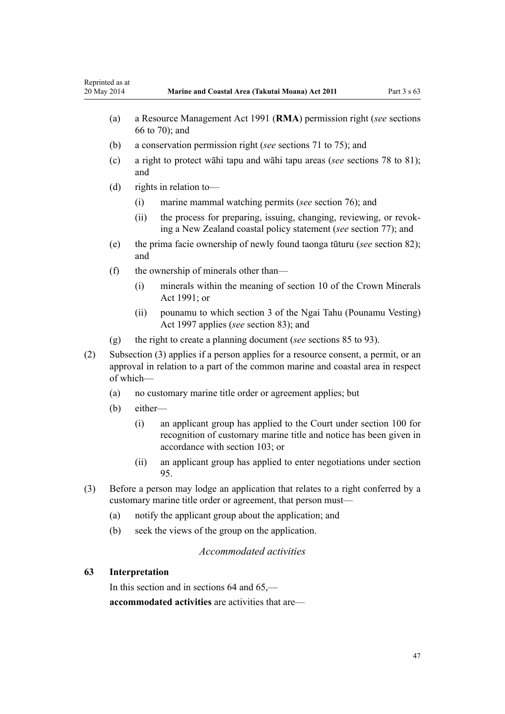<span id="page-46-0"></span>

| Reprinted as at<br>20 May 2014 |                                                                                                                                                                                    |                                                                                  | Marine and Coastal Area (Takutai Moana) Act 2011                                                                                                                           | Part $3 \times 63$ |  |
|--------------------------------|------------------------------------------------------------------------------------------------------------------------------------------------------------------------------------|----------------------------------------------------------------------------------|----------------------------------------------------------------------------------------------------------------------------------------------------------------------------|--------------------|--|
|                                | (a)                                                                                                                                                                                |                                                                                  | a Resource Management Act 1991 (RMA) permission right (see sections<br>66 to 70); and                                                                                      |                    |  |
|                                | (b)                                                                                                                                                                                |                                                                                  | a conservation permission right (see sections 71 to 75); and                                                                                                               |                    |  |
|                                | (c)                                                                                                                                                                                | a right to protect wahi tapu and wahi tapu areas (see sections 78 to 81);<br>and |                                                                                                                                                                            |                    |  |
|                                | (d)                                                                                                                                                                                | rights in relation to-                                                           |                                                                                                                                                                            |                    |  |
|                                |                                                                                                                                                                                    | (i)                                                                              | marine mammal watching permits (see section 76); and                                                                                                                       |                    |  |
|                                |                                                                                                                                                                                    | (ii)                                                                             | the process for preparing, issuing, changing, reviewing, or revok-<br>ing a New Zealand coastal policy statement (see section 77); and                                     |                    |  |
| (e)<br>and                     |                                                                                                                                                                                    |                                                                                  | the prima facie ownership of newly found taonga tūturu (see section 82);                                                                                                   |                    |  |
|                                | (f)                                                                                                                                                                                | the ownership of minerals other than—                                            |                                                                                                                                                                            |                    |  |
|                                |                                                                                                                                                                                    | (i)                                                                              | minerals within the meaning of section 10 of the Crown Minerals<br>Act 1991; or                                                                                            |                    |  |
|                                |                                                                                                                                                                                    | (ii)                                                                             | pounamu to which section 3 of the Ngai Tahu (Pounamu Vesting)<br>Act 1997 applies (see section 83); and                                                                    |                    |  |
|                                | (g)                                                                                                                                                                                |                                                                                  | the right to create a planning document (see sections 85 to 93).                                                                                                           |                    |  |
| (2)                            | Subsection (3) applies if a person applies for a resource consent, a permit, or an<br>approval in relation to a part of the common marine and coastal area in respect<br>of which- |                                                                                  |                                                                                                                                                                            |                    |  |
|                                | (a)                                                                                                                                                                                | no customary marine title order or agreement applies; but                        |                                                                                                                                                                            |                    |  |
|                                | (b)                                                                                                                                                                                | either-                                                                          |                                                                                                                                                                            |                    |  |
|                                |                                                                                                                                                                                    | (i)                                                                              | an applicant group has applied to the Court under section 100 for<br>recognition of customary marine title and notice has been given in<br>accordance with section 103; or |                    |  |
|                                |                                                                                                                                                                                    | (ii)                                                                             | an applicant group has applied to enter negotiations under section<br>95.                                                                                                  |                    |  |
| (2)                            |                                                                                                                                                                                    |                                                                                  | Defere a nergen may ladge an emplication that relates to a right conferred by a                                                                                            |                    |  |

- (3) Before a person may lodge an application that relates to a right conferred by a customary marine title order or agreement, that person must—
	- (a) notify the applicant group about the application; and
	- (b) seek the views of the group on the application.

## *Accommodated activities*

## **63 Interpretation**

In this section and in sections 64 and 65, **accommodated activities** are activities that are—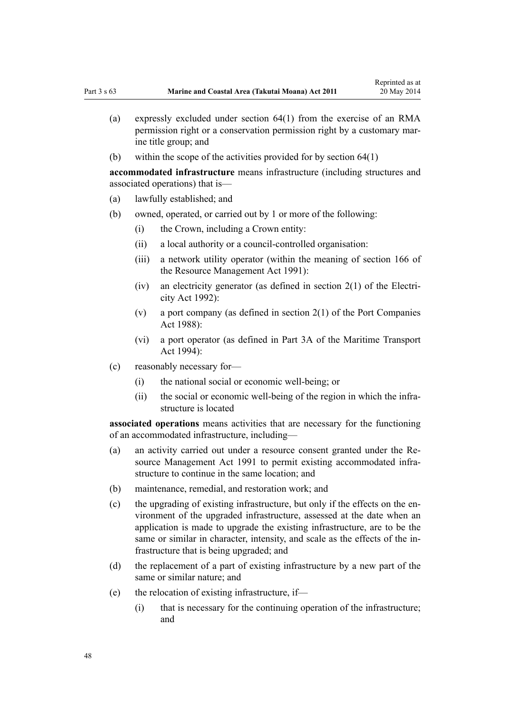- (a) expressly excluded under [section 64\(1\)](#page-48-0) from the exercise of an RMA permission right or a conservation permission right by a customary marine title group; and
- (b) within the scope of the activities provided for by [section 64\(1\)](#page-48-0)

**accommodated infrastructure** means infrastructure (including structures and associated operations) that is—

- (a) lawfully established; and
- (b) owned, operated, or carried out by 1 or more of the following:
	- (i) the Crown, including a Crown entity:
	- (ii) a local authority or a council-controlled organisation:
	- (iii) a network utility operator (within the meaning of [section 166](http://prd-lgnz-nlb.prd.pco.net.nz/pdflink.aspx?id=DLM236206) of the Resource Management Act 1991):
	- (iv) an electricity generator (as defined in [section 2\(1\)](http://prd-lgnz-nlb.prd.pco.net.nz/pdflink.aspx?id=DLM281866) of the Electricity Act 1992):
	- (v) a port company (as defined in [section 2\(1\)](http://prd-lgnz-nlb.prd.pco.net.nz/pdflink.aspx?id=DLM131688) of the Port Companies Act 1988):
	- (vi) a port operator (as defined in [Part 3A](http://prd-lgnz-nlb.prd.pco.net.nz/pdflink.aspx?id=DLM5689750) of the Maritime Transport Act 1994):
- (c) reasonably necessary for—
	- (i) the national social or economic well-being; or
	- (ii) the social or economic well-being of the region in which the infrastructure is located

**associated operations** means activities that are necessary for the functioning of an accommodated infrastructure, including—

- (a) an activity carried out under a resource consent granted under the [Re](http://prd-lgnz-nlb.prd.pco.net.nz/pdflink.aspx?id=DLM230264)[source Management Act 1991](http://prd-lgnz-nlb.prd.pco.net.nz/pdflink.aspx?id=DLM230264) to permit existing accommodated infrastructure to continue in the same location; and
- (b) maintenance, remedial, and restoration work; and
- (c) the upgrading of existing infrastructure, but only if the effects on the environment of the upgraded infrastructure, assessed at the date when an application is made to upgrade the existing infrastructure, are to be the same or similar in character, intensity, and scale as the effects of the infrastructure that is being upgraded; and
- (d) the replacement of a part of existing infrastructure by a new part of the same or similar nature; and
- (e) the relocation of existing infrastructure, if—
	- (i) that is necessary for the continuing operation of the infrastructure; and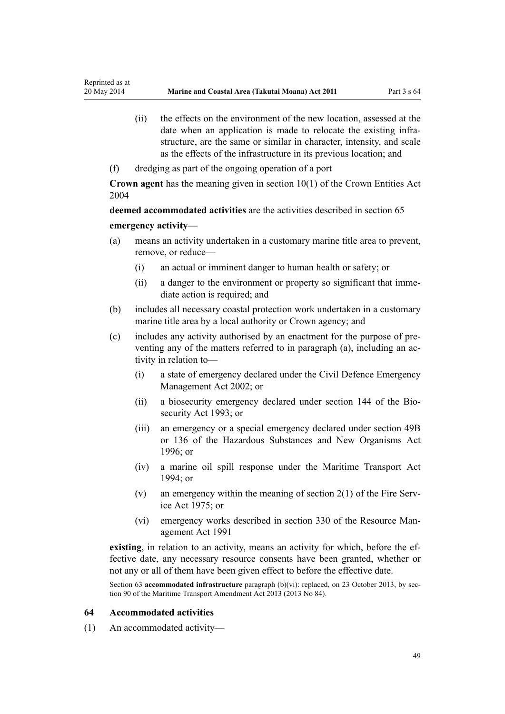- <span id="page-48-0"></span>(ii) the effects on the environment of the new location, assessed at the date when an application is made to relocate the existing infrastructure, are the same or similar in character, intensity, and scale as the effects of the infrastructure in its previous location; and
- (f) dredging as part of the ongoing operation of a port

**Crown agent** has the meaning given in [section 10\(1\)](http://prd-lgnz-nlb.prd.pco.net.nz/pdflink.aspx?id=DLM329649) of the Crown Entities Act 2004

**deemed accommodated activities** are the activities described in [section 65](#page-50-0) **emergency activity**—

- (a) means an activity undertaken in a customary marine title area to prevent, remove, or reduce—
	- (i) an actual or imminent danger to human health or safety; or
	- (ii) a danger to the environment or property so significant that immediate action is required; and
- (b) includes all necessary coastal protection work undertaken in a customary marine title area by a local authority or Crown agency; and
- (c) includes any activity authorised by an enactment for the purpose of preventing any of the matters referred to in paragraph (a), including an activity in relation to—
	- (i) a state of emergency declared under the [Civil Defence Emergency](http://prd-lgnz-nlb.prd.pco.net.nz/pdflink.aspx?id=DLM149788) [Management Act 2002;](http://prd-lgnz-nlb.prd.pco.net.nz/pdflink.aspx?id=DLM149788) or
	- (ii) a biosecurity emergency declared under [section 144](http://prd-lgnz-nlb.prd.pco.net.nz/pdflink.aspx?id=DLM149788) of the Biosecurity Act 1993; or
	- (iii) an emergency or a special emergency declared under [section 49B](http://prd-lgnz-nlb.prd.pco.net.nz/pdflink.aspx?id=DLM384019) or [136](http://prd-lgnz-nlb.prd.pco.net.nz/pdflink.aspx?id=DLM384998) of the Hazardous Substances and New Organisms Act  $1996$ ; or
	- (iv) a marine oil spill response under the [Maritime Transport Act](http://prd-lgnz-nlb.prd.pco.net.nz/pdflink.aspx?id=DLM334659) [1994](http://prd-lgnz-nlb.prd.pco.net.nz/pdflink.aspx?id=DLM334659); or
	- (v) an emergency within the meaning of [section 2\(1\)](http://prd-lgnz-nlb.prd.pco.net.nz/pdflink.aspx?id=DLM432653) of the Fire Service Act 1975; or
	- (vi) emergency works described in [section 330](http://prd-lgnz-nlb.prd.pco.net.nz/pdflink.aspx?id=DLM239003) of the Resource Management Act 1991

**existing**, in relation to an activity, means an activity for which, before the effective date, any necessary resource consents have been granted, whether or not any or all of them have been given effect to before the effective date.

Section 63 **accommodated infrastructure** paragraph (b)(vi): replaced, on 23 October 2013, by [sec](http://prd-lgnz-nlb.prd.pco.net.nz/pdflink.aspx?id=DLM4698973)[tion 90](http://prd-lgnz-nlb.prd.pco.net.nz/pdflink.aspx?id=DLM4698973) of the Maritime Transport Amendment Act 2013 (2013 No 84).

#### **64 Accommodated activities**

(1) An accommodated activity—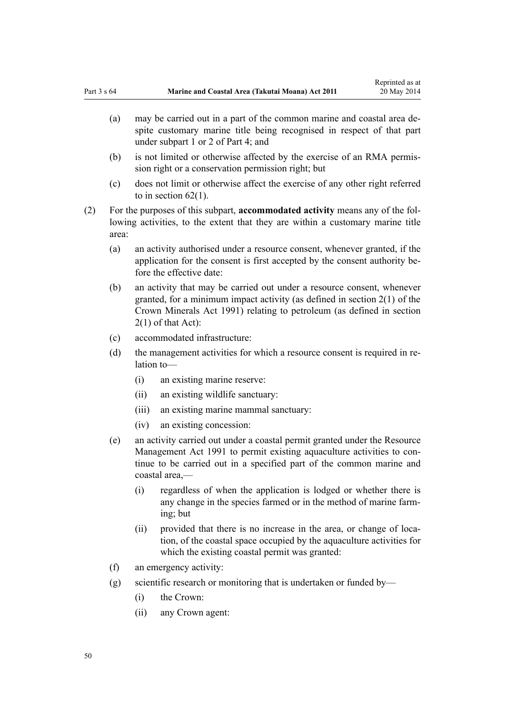- (a) may be carried out in a part of the common marine and coastal area despite customary marine title being recognised in respect of that part under [subpart 1](#page-67-0) or [2](#page-69-0) of Part 4; and
- (b) is not limited or otherwise affected by the exercise of an RMA permission right or a conservation permission right; but
- (c) does not limit or otherwise affect the exercise of any other right referred to in [section 62\(1\)](#page-45-0).
- (2) For the purposes of this subpart, **accommodated activity** means any of the following activities, to the extent that they are within a customary marine title area:
	- (a) an activity authorised under a resource consent, whenever granted, if the application for the consent is first accepted by the consent authority before the effective date:
	- (b) an activity that may be carried out under a resource consent, whenever granted, for a minimum impact activity (as defined in [section 2\(1\)](http://prd-lgnz-nlb.prd.pco.net.nz/pdflink.aspx?id=DLM242543) of the Crown Minerals Act 1991) relating to petroleum (as defined in section 2(1) of that Act):
	- (c) accommodated infrastructure:
	- (d) the management activities for which a resource consent is required in relation to—
		- (i) an existing marine reserve:
		- (ii) an existing wildlife sanctuary:
		- (iii) an existing marine mammal sanctuary:
		- (iv) an existing concession:
	- (e) an activity carried out under a coastal permit granted under the [Resource](http://prd-lgnz-nlb.prd.pco.net.nz/pdflink.aspx?id=DLM230264) [Management Act 1991](http://prd-lgnz-nlb.prd.pco.net.nz/pdflink.aspx?id=DLM230264) to permit existing aquaculture activities to continue to be carried out in a specified part of the common marine and coastal area,—
		- (i) regardless of when the application is lodged or whether there is any change in the species farmed or in the method of marine farming; but
		- (ii) provided that there is no increase in the area, or change of location, of the coastal space occupied by the aquaculture activities for which the existing coastal permit was granted:
	- (f) an emergency activity:
	- (g) scientific research or monitoring that is undertaken or funded by—
		- (i) the Crown:
		- (ii) any Crown agent: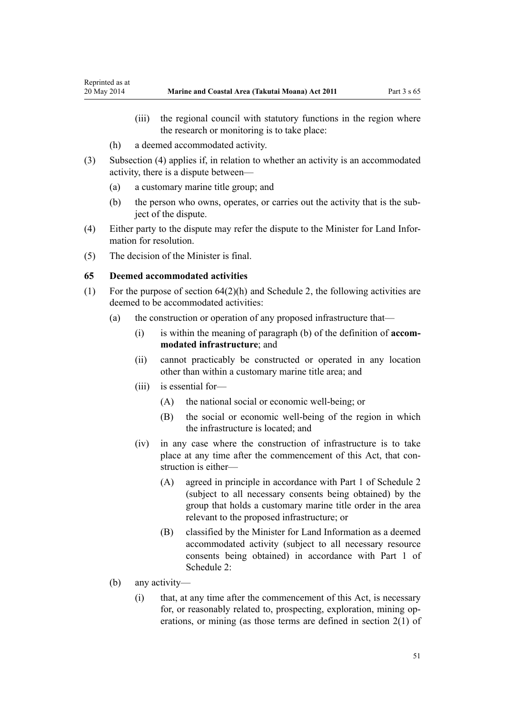- <span id="page-50-0"></span>(iii) the regional council with statutory functions in the region where the research or monitoring is to take place:
- (h) a deemed accommodated activity.
- (3) Subsection (4) applies if, in relation to whether an activity is an accommodated activity, there is a dispute between—
	- (a) a customary marine title group; and
	- (b) the person who owns, operates, or carries out the activity that is the subject of the dispute.
- (4) Either party to the dispute may refer the dispute to the Minister for Land Information for resolution.
- (5) The decision of the Minister is final.

#### **65 Deemed accommodated activities**

- (1) For the purpose of [section 64\(2\)\(h\)](#page-48-0) and [Schedule 2](#page-90-0), the following activities are deemed to be accommodated activities:
	- (a) the construction or operation of any proposed infrastructure that—
		- (i) is within the meaning of paragraph (b) of the definition of **accommodated infrastructure**; and
		- (ii) cannot practicably be constructed or operated in any location other than within a customary marine title area; and
		- (iii) is essential for—
			- (A) the national social or economic well-being; or
			- (B) the social or economic well-being of the region in which the infrastructure is located; and
		- (iv) in any case where the construction of infrastructure is to take place at any time after the commencement of this Act, that construction is either—
			- (A) agreed in principle in accordance with [Part 1](#page-90-0) of Schedule 2 (subject to all necessary consents being obtained) by the group that holds a customary marine title order in the area relevant to the proposed infrastructure; or
			- (B) classified by the Minister for Land Information as a deemed accommodated activity (subject to all necessary resource consents being obtained) in accordance with [Part 1](#page-90-0) of Schedule 2:
	- (b) any activity—
		- (i) that, at any time after the commencement of this Act, is necessary for, or reasonably related to, prospecting, exploration, mining operations, or mining (as those terms are defined in [section 2\(1\)](http://prd-lgnz-nlb.prd.pco.net.nz/pdflink.aspx?id=DLM242543) of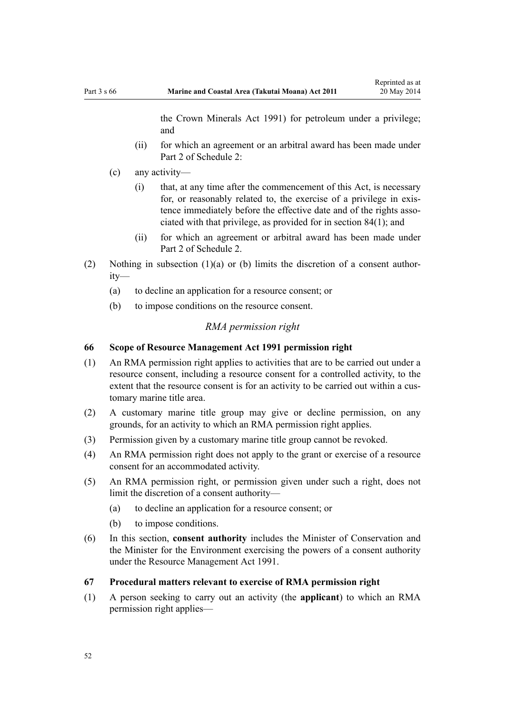the Crown Minerals Act 1991) for petroleum under a privilege; and

- <span id="page-51-0"></span>(ii) for which an agreement or an arbitral award has been made under [Part 2](#page-93-0) of Schedule 2:
- (c) any activity—
	- (i) that, at any time after the commencement of this Act, is necessary for, or reasonably related to, the exercise of a privilege in existence immediately before the effective date and of the rights associated with that privilege, as provided for in [section 84\(1\)](#page-61-0); and
	- (ii) for which an agreement or arbitral award has been made under [Part 2](#page-93-0) of Schedule 2.
- (2) Nothing in subsection (1)(a) or (b) limits the discretion of a consent authority—
	- (a) to decline an application for a resource consent; or
	- (b) to impose conditions on the resource consent.

#### *RMA permission right*

## **66 Scope of Resource Management Act 1991 permission right**

- (1) An RMA permission right applies to activities that are to be carried out under a resource consent, including a resource consent for a controlled activity, to the extent that the resource consent is for an activity to be carried out within a customary marine title area.
- (2) A customary marine title group may give or decline permission, on any grounds, for an activity to which an RMA permission right applies.
- (3) Permission given by a customary marine title group cannot be revoked.
- (4) An RMA permission right does not apply to the grant or exercise of a resource consent for an accommodated activity.
- (5) An RMA permission right, or permission given under such a right, does not limit the discretion of a consent authority—
	- (a) to decline an application for a resource consent; or
	- (b) to impose conditions.
- (6) In this section, **consent authority** includes the Minister of Conservation and the Minister for the Environment exercising the powers of a consent authority under the [Resource Management Act 1991](http://prd-lgnz-nlb.prd.pco.net.nz/pdflink.aspx?id=DLM230264).
- **67 Procedural matters relevant to exercise of RMA permission right**
- (1) A person seeking to carry out an activity (the **applicant**) to which an RMA permission right applies—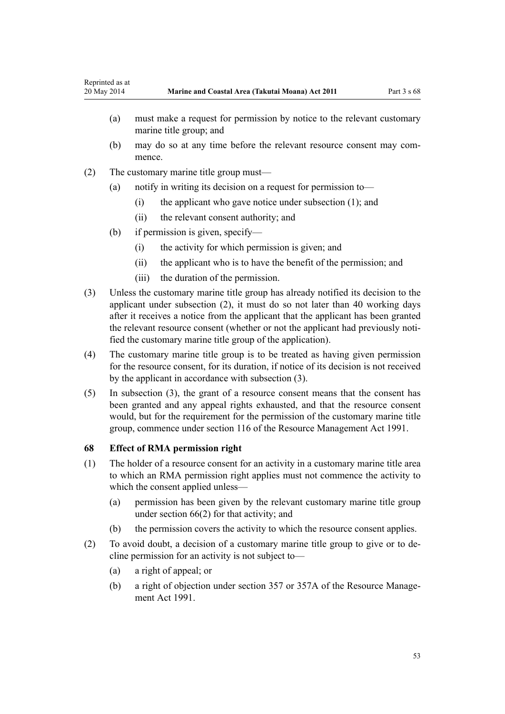- (a) must make a request for permission by notice to the relevant customary marine title group; and
- (b) may do so at any time before the relevant resource consent may commence.
- (2) The customary marine title group must—
	- (a) notify in writing its decision on a request for permission to—
		- (i) the applicant who gave notice under subsection (1); and
		- (ii) the relevant consent authority; and
	- (b) if permission is given, specify—
		- (i) the activity for which permission is given; and
		- (ii) the applicant who is to have the benefit of the permission; and
		- (iii) the duration of the permission.
- (3) Unless the customary marine title group has already notified its decision to the applicant under subsection (2), it must do so not later than 40 working days after it receives a notice from the applicant that the applicant has been granted the relevant resource consent (whether or not the applicant had previously notified the customary marine title group of the application).
- (4) The customary marine title group is to be treated as having given permission for the resource consent, for its duration, if notice of its decision is not received by the applicant in accordance with subsection (3).
- (5) In subsection (3), the grant of a resource consent means that the consent has been granted and any appeal rights exhausted, and that the resource consent would, but for the requirement for the permission of the customary marine title group, commence under [section 116](http://prd-lgnz-nlb.prd.pco.net.nz/pdflink.aspx?id=DLM234865) of the Resource Management Act 1991.

#### **68 Effect of RMA permission right**

- (1) The holder of a resource consent for an activity in a customary marine title area to which an RMA permission right applies must not commence the activity to which the consent applied unless—
	- (a) permission has been given by the relevant customary marine title group under [section 66\(2\)](#page-51-0) for that activity; and
	- (b) the permission covers the activity to which the resource consent applies.
- (2) To avoid doubt, a decision of a customary marine title group to give or to decline permission for an activity is not subject to—
	- (a) a right of appeal; or
	- (b) a right of objection under [section 357](http://prd-lgnz-nlb.prd.pco.net.nz/pdflink.aspx?id=DLM239342) or [357A](http://prd-lgnz-nlb.prd.pco.net.nz/pdflink.aspx?id=DLM239356) of the Resource Management Act 1991.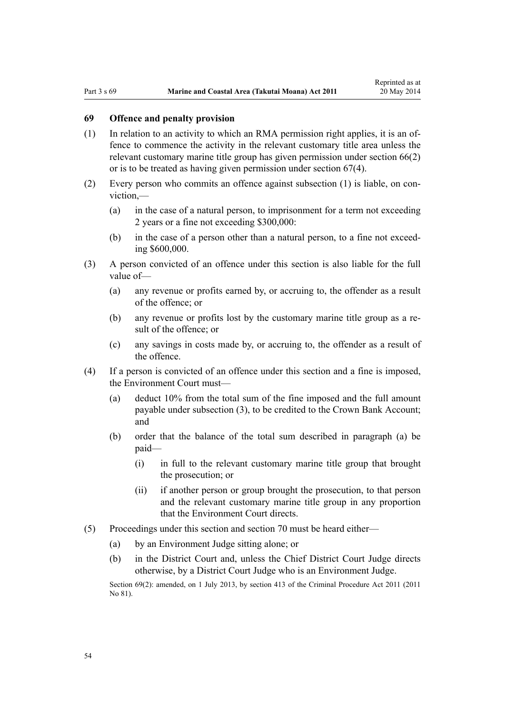## **69 Offence and penalty provision**

- (1) In relation to an activity to which an RMA permission right applies, it is an offence to commence the activity in the relevant customary title area unless the relevant customary marine title group has given permission under [section 66\(2\)](#page-51-0) or is to be treated as having given permission under [section 67\(4\).](#page-51-0)
- (2) Every person who commits an offence against subsection (1) is liable, on conviction,—
	- (a) in the case of a natural person, to imprisonment for a term not exceeding 2 years or a fine not exceeding \$300,000:
	- (b) in the case of a person other than a natural person, to a fine not exceeding \$600,000.
- (3) A person convicted of an offence under this section is also liable for the full value of—
	- (a) any revenue or profits earned by, or accruing to, the offender as a result of the offence; or
	- (b) any revenue or profits lost by the customary marine title group as a result of the offence; or
	- (c) any savings in costs made by, or accruing to, the offender as a result of the offence.
- (4) If a person is convicted of an offence under this section and a fine is imposed, the Environment Court must—
	- (a) deduct 10% from the total sum of the fine imposed and the full amount payable under subsection (3), to be credited to the Crown Bank Account; and
	- (b) order that the balance of the total sum described in paragraph (a) be paid—
		- (i) in full to the relevant customary marine title group that brought the prosecution; or
		- (ii) if another person or group brought the prosecution, to that person and the relevant customary marine title group in any proportion that the Environment Court directs.
- (5) Proceedings under this section and [section 70](#page-54-0) must be heard either—
	- (a) by an Environment Judge sitting alone; or
	- (b) in the District Court and, unless the Chief District Court Judge directs otherwise, by a District Court Judge who is an Environment Judge.

Section 69(2): amended, on 1 July 2013, by [section 413](http://prd-lgnz-nlb.prd.pco.net.nz/pdflink.aspx?id=DLM3360714) of the Criminal Procedure Act 2011 (2011) No 81).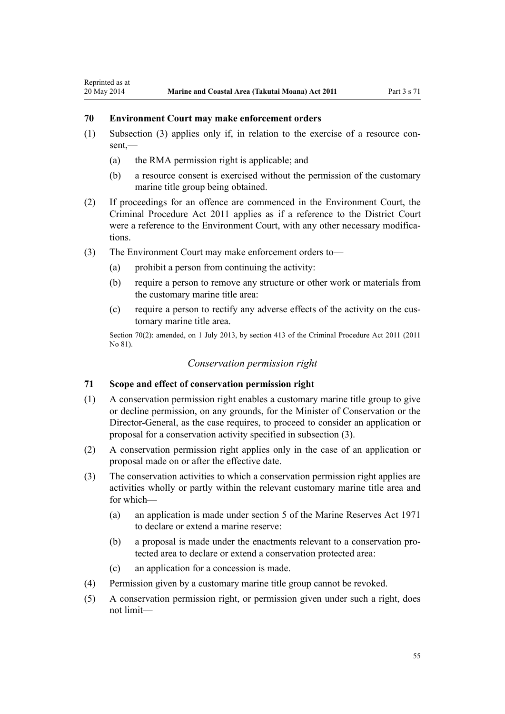## <span id="page-54-0"></span>**70 Environment Court may make enforcement orders**

- (1) Subsection (3) applies only if, in relation to the exercise of a resource con $sent$  —
	- (a) the RMA permission right is applicable; and
	- (b) a resource consent is exercised without the permission of the customary marine title group being obtained.
- (2) If proceedings for an offence are commenced in the Environment Court, the [Criminal Procedure Act 2011](http://prd-lgnz-nlb.prd.pco.net.nz/pdflink.aspx?id=DLM3359902) applies as if a reference to the District Court were a reference to the Environment Court, with any other necessary modifications.
- (3) The Environment Court may make enforcement orders to—
	- (a) prohibit a person from continuing the activity:
	- (b) require a person to remove any structure or other work or materials from the customary marine title area:
	- (c) require a person to rectify any adverse effects of the activity on the customary marine title area.

Section 70(2): amended, on 1 July 2013, by [section 413](http://prd-lgnz-nlb.prd.pco.net.nz/pdflink.aspx?id=DLM3360714) of the Criminal Procedure Act 2011 (2011) No 81).

## *Conservation permission right*

#### **71 Scope and effect of conservation permission right**

- (1) A conservation permission right enables a customary marine title group to give or decline permission, on any grounds, for the Minister of Conservation or the Director-General, as the case requires, to proceed to consider an application or proposal for a conservation activity specified in subsection (3).
- (2) A conservation permission right applies only in the case of an application or proposal made on or after the effective date.
- (3) The conservation activities to which a conservation permission right applies are activities wholly or partly within the relevant customary marine title area and for which—
	- (a) an application is made under [section 5](http://prd-lgnz-nlb.prd.pco.net.nz/pdflink.aspx?id=DLM398113) of the Marine Reserves Act 1971 to declare or extend a marine reserve:
	- (b) a proposal is made under the enactments relevant to a conservation protected area to declare or extend a conservation protected area:
	- (c) an application for a concession is made.
- (4) Permission given by a customary marine title group cannot be revoked.
- (5) A conservation permission right, or permission given under such a right, does not limit—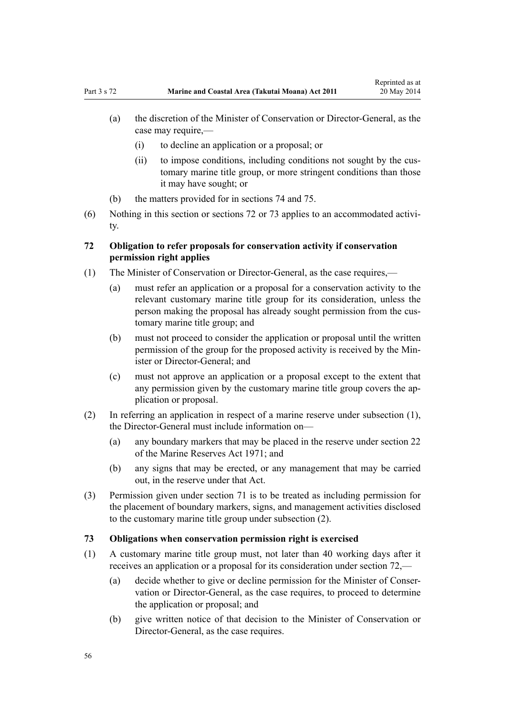- (a) the discretion of the Minister of Conservation or Director-General, as the case may require,—
	- (i) to decline an application or a proposal; or
	- (ii) to impose conditions, including conditions not sought by the customary marine title group, or more stringent conditions than those it may have sought; or
- (b) the matters provided for in [sections 74](#page-56-0) and [75.](#page-56-0)
- (6) Nothing in this section or sections 72 or 73 applies to an accommodated activity.

## **72 Obligation to refer proposals for conservation activity if conservation permission right applies**

- (1) The Minister of Conservation or Director-General, as the case requires,—
	- (a) must refer an application or a proposal for a conservation activity to the relevant customary marine title group for its consideration, unless the person making the proposal has already sought permission from the customary marine title group; and
	- (b) must not proceed to consider the application or proposal until the written permission of the group for the proposed activity is received by the Minister or Director-General: and
	- (c) must not approve an application or a proposal except to the extent that any permission given by the customary marine title group covers the application or proposal.
- (2) In referring an application in respect of a marine reserve under subsection (1), the Director-General must include information on—
	- (a) any boundary markers that may be placed in the reserve under [section 22](http://prd-lgnz-nlb.prd.pco.net.nz/pdflink.aspx?id=DLM398410) of the Marine Reserves Act 1971; and
	- (b) any signs that may be erected, or any management that may be carried out, in the reserve under that Act.
- (3) Permission given under [section 71](#page-54-0) is to be treated as including permission for the placement of boundary markers, signs, and management activities disclosed to the customary marine title group under subsection (2).

#### **73 Obligations when conservation permission right is exercised**

- (1) A customary marine title group must, not later than 40 working days after it receives an application or a proposal for its consideration under section 72,—
	- (a) decide whether to give or decline permission for the Minister of Conservation or Director-General, as the case requires, to proceed to determine the application or proposal; and
	- (b) give written notice of that decision to the Minister of Conservation or Director-General, as the case requires.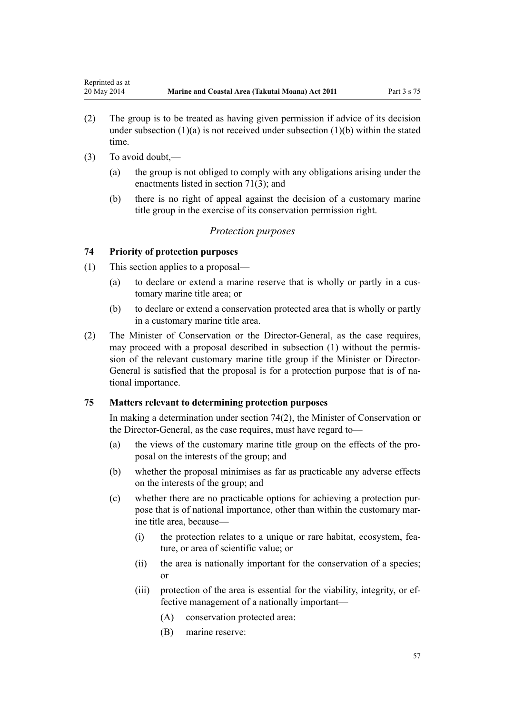- <span id="page-56-0"></span>(2) The group is to be treated as having given permission if advice of its decision under subsection  $(1)(a)$  is not received under subsection  $(1)(b)$  within the stated time.
- (3) To avoid doubt,—
	- (a) the group is not obliged to comply with any obligations arising under the enactments listed in [section 71\(3\);](#page-54-0) and
	- (b) there is no right of appeal against the decision of a customary marine title group in the exercise of its conservation permission right.

## *Protection purposes*

#### **74 Priority of protection purposes**

- (1) This section applies to a proposal—
	- (a) to declare or extend a marine reserve that is wholly or partly in a customary marine title area; or
	- (b) to declare or extend a conservation protected area that is wholly or partly in a customary marine title area.
- (2) The Minister of Conservation or the Director-General, as the case requires, may proceed with a proposal described in subsection (1) without the permission of the relevant customary marine title group if the Minister or Director-General is satisfied that the proposal is for a protection purpose that is of national importance.

#### **75 Matters relevant to determining protection purposes**

In making a determination under section 74(2), the Minister of Conservation or the Director-General, as the case requires, must have regard to—

- (a) the views of the customary marine title group on the effects of the proposal on the interests of the group; and
- (b) whether the proposal minimises as far as practicable any adverse effects on the interests of the group; and
- (c) whether there are no practicable options for achieving a protection purpose that is of national importance, other than within the customary marine title area, because—
	- (i) the protection relates to a unique or rare habitat, ecosystem, feature, or area of scientific value; or
	- (ii) the area is nationally important for the conservation of a species; or
	- (iii) protection of the area is essential for the viability, integrity, or effective management of a nationally important—
		- (A) conservation protected area:
		- (B) marine reserve: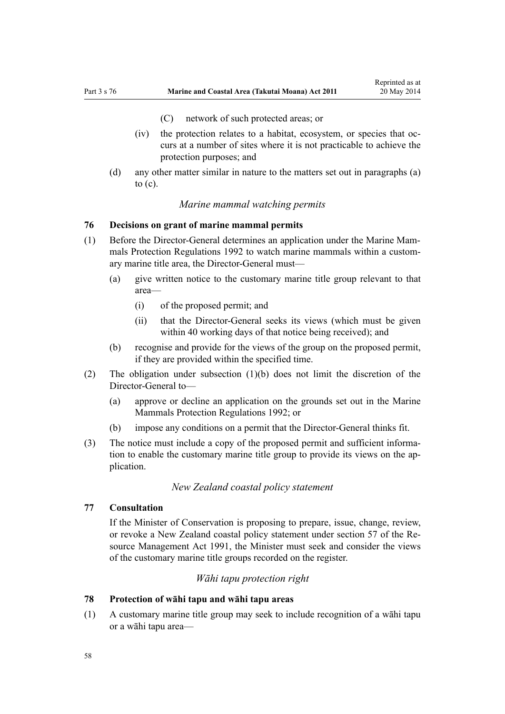- (C) network of such protected areas; or
- <span id="page-57-0"></span>(iv) the protection relates to a habitat, ecosystem, or species that occurs at a number of sites where it is not practicable to achieve the protection purposes; and
- (d) any other matter similar in nature to the matters set out in paragraphs (a) to  $(c)$ .

## *Marine mammal watching permits*

## **76 Decisions on grant of marine mammal permits**

- (1) Before the Director-General determines an application under the [Marine Mam](http://prd-lgnz-nlb.prd.pco.net.nz/pdflink.aspx?id=DLM168285)[mals Protection Regulations 1992](http://prd-lgnz-nlb.prd.pco.net.nz/pdflink.aspx?id=DLM168285) to watch marine mammals within a customary marine title area, the Director-General must—
	- (a) give written notice to the customary marine title group relevant to that area—
		- (i) of the proposed permit; and
		- (ii) that the Director-General seeks its views (which must be given within 40 working days of that notice being received); and
	- (b) recognise and provide for the views of the group on the proposed permit, if they are provided within the specified time.
- (2) The obligation under subsection (1)(b) does not limit the discretion of the Director-General to—
	- (a) approve or decline an application on the grounds set out in the [Marine](http://prd-lgnz-nlb.prd.pco.net.nz/pdflink.aspx?id=DLM168285) [Mammals Protection Regulations 1992](http://prd-lgnz-nlb.prd.pco.net.nz/pdflink.aspx?id=DLM168285); or
	- (b) impose any conditions on a permit that the Director-General thinks fit.
- (3) The notice must include a copy of the proposed permit and sufficient information to enable the customary marine title group to provide its views on the application.

## *New Zealand coastal policy statement*

## **77 Consultation**

If the Minister of Conservation is proposing to prepare, issue, change, review, or revoke a New Zealand coastal policy statement under [section 57](http://prd-lgnz-nlb.prd.pco.net.nz/pdflink.aspx?id=DLM233379) of the Resource Management Act 1991, the Minister must seek and consider the views of the customary marine title groups recorded on the register.

#### *Wāhi tapu protection right*

#### **78 Protection of wāhi tapu and wāhi tapu areas**

(1) A customary marine title group may seek to include recognition of a wāhi tapu or a wāhi tapu area—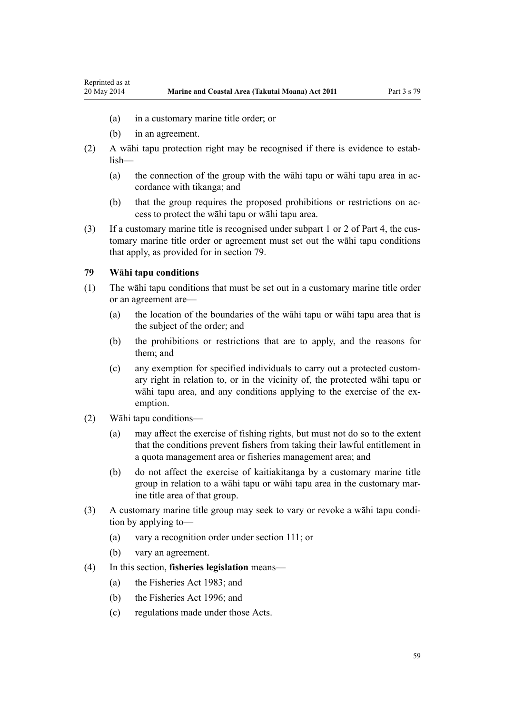- <span id="page-58-0"></span>(a) in a customary marine title order; or
- (b) in an agreement.
- (2) A wāhi tapu protection right may be recognised if there is evidence to establish—
	- (a) the connection of the group with the wāhi tapu or wāhi tapu area in accordance with tikanga; and
	- (b) that the group requires the proposed prohibitions or restrictions on access to protect the wāhi tapu or wāhi tapu area.
- (3) If a customary marine title is recognised under [subpart 1](#page-67-0) or [2](#page-69-0) of Part 4, the customary marine title order or agreement must set out the wāhi tapu conditions that apply, as provided for in section 79.

#### **79 Wāhi tapu conditions**

- (1) The wāhi tapu conditions that must be set out in a customary marine title order or an agreement are—
	- (a) the location of the boundaries of the wāhi tapu or wāhi tapu area that is the subject of the order; and
	- (b) the prohibitions or restrictions that are to apply, and the reasons for them; and
	- (c) any exemption for specified individuals to carry out a protected customary right in relation to, or in the vicinity of, the protected wāhi tapu or wāhi tapu area, and any conditions applying to the exercise of the exemption.
- (2) Wāhi tapu conditions—
	- (a) may affect the exercise of fishing rights, but must not do so to the extent that the conditions prevent fishers from taking their lawful entitlement in a quota management area or fisheries management area; and
	- (b) do not affect the exercise of kaitiakitanga by a customary marine title group in relation to a wāhi tapu or wāhi tapu area in the customary marine title area of that group.
- (3) A customary marine title group may seek to vary or revoke a wāhi tapu condition by applying to—
	- (a) vary a recognition order under [section 111;](#page-74-0) or
	- (b) vary an agreement.
- (4) In this section, **fisheries legislation** means—
	- (a) the [Fisheries Act 1983](http://prd-lgnz-nlb.prd.pco.net.nz/pdflink.aspx?id=DLM66581); and
	- (b) the [Fisheries Act 1996](http://prd-lgnz-nlb.prd.pco.net.nz/pdflink.aspx?id=DLM394191); and
	- (c) regulations made under those Acts.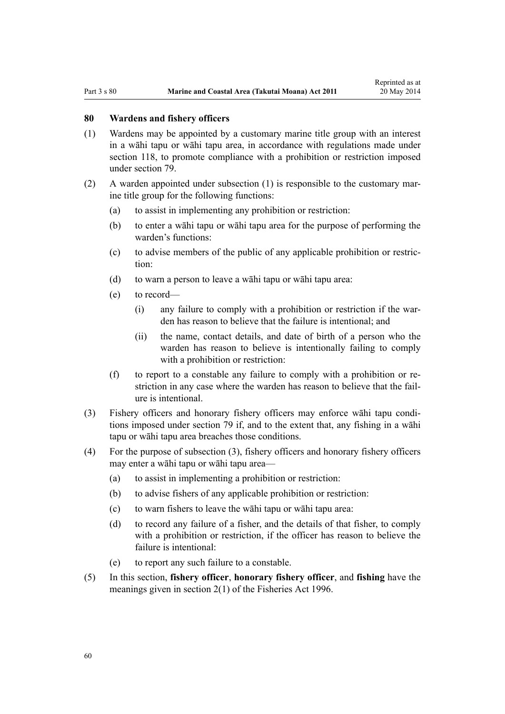#### **80 Wardens and fishery officers**

- (1) Wardens may be appointed by a customary marine title group with an interest in a wāhi tapu or wāhi tapu area, in accordance with regulations made under [section 118,](#page-77-0) to promote compliance with a prohibition or restriction imposed under [section 79](#page-58-0).
- (2) A warden appointed under subsection (1) is responsible to the customary marine title group for the following functions:
	- (a) to assist in implementing any prohibition or restriction:
	- (b) to enter a wāhi tapu or wāhi tapu area for the purpose of performing the warden's functions:
	- (c) to advise members of the public of any applicable prohibition or restriction:
	- (d) to warn a person to leave a wāhi tapu or wāhi tapu area:
	- (e) to record—
		- (i) any failure to comply with a prohibition or restriction if the warden has reason to believe that the failure is intentional; and
		- (ii) the name, contact details, and date of birth of a person who the warden has reason to believe is intentionally failing to comply with a prohibition or restriction:
	- (f) to report to a constable any failure to comply with a prohibition or restriction in any case where the warden has reason to believe that the failure is intentional.
- (3) Fishery officers and honorary fishery officers may enforce wāhi tapu conditions imposed under [section 79](#page-58-0) if, and to the extent that, any fishing in a wāhi tapu or wāhi tapu area breaches those conditions.
- (4) For the purpose of subsection (3), fishery officers and honorary fishery officers may enter a wāhi tapu or wāhi tapu area—
	- (a) to assist in implementing a prohibition or restriction:
	- (b) to advise fishers of any applicable prohibition or restriction:
	- (c) to warn fishers to leave the wāhi tapu or wāhi tapu area:
	- (d) to record any failure of a fisher, and the details of that fisher, to comply with a prohibition or restriction, if the officer has reason to believe the failure is intentional:
	- (e) to report any such failure to a constable.
- (5) In this section, **fishery officer**, **honorary fishery officer**, and **fishing** have the meanings given in [section 2\(1\)](http://prd-lgnz-nlb.prd.pco.net.nz/pdflink.aspx?id=DLM394199) of the Fisheries Act 1996.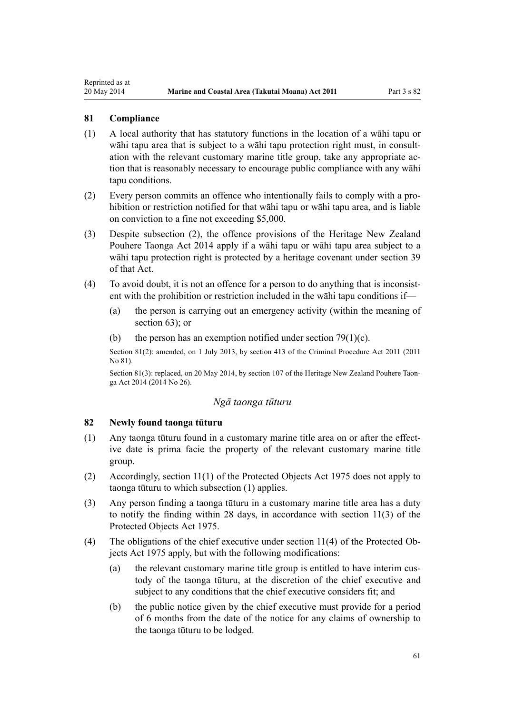#### **81 Compliance**

<span id="page-60-0"></span>Reprinted as at

- (1) A local authority that has statutory functions in the location of a wāhi tapu or wāhi tapu area that is subject to a wāhi tapu protection right must, in consultation with the relevant customary marine title group, take any appropriate action that is reasonably necessary to encourage public compliance with any wāhi tapu conditions.
- (2) Every person commits an offence who intentionally fails to comply with a prohibition or restriction notified for that wāhi tapu or wāhi tapu area, and is liable on conviction to a fine not exceeding \$5,000.
- (3) Despite subsection (2), the offence provisions of the [Heritage New Zealand](http://prd-lgnz-nlb.prd.pco.net.nz/pdflink.aspx?id=DLM4005402) [Pouhere Taonga Act 2014](http://prd-lgnz-nlb.prd.pco.net.nz/pdflink.aspx?id=DLM4005402) apply if a wāhi tapu or wāhi tapu area subject to a wāhi tapu protection right is protected by a heritage covenant under [section 39](http://prd-lgnz-nlb.prd.pco.net.nz/pdflink.aspx?id=DLM4005548) of that Act.
- (4) To avoid doubt, it is not an offence for a person to do anything that is inconsistent with the prohibition or restriction included in the wāhi tapu conditions if—
	- (a) the person is carrying out an emergency activity (within the meaning of [section 63](#page-46-0)); or
	- (b) the person has an exemption notified under section  $79(1)(c)$ .

Section 81(2): amended, on 1 July 2013, by [section 413](http://prd-lgnz-nlb.prd.pco.net.nz/pdflink.aspx?id=DLM3360714) of the Criminal Procedure Act 2011 (2011 No 81).

Section 81(3): replaced, on 20 May 2014, by [section 107](http://prd-lgnz-nlb.prd.pco.net.nz/pdflink.aspx?id=DLM4005646) of the Heritage New Zealand Pouhere Taonga Act 2014 (2014 No 26).

#### *Ngā taonga tūturu*

## **82 Newly found taonga tūturu**

- (1) Any taonga tūturu found in a customary marine title area on or after the effective date is prima facie the property of the relevant customary marine title group.
- (2) Accordingly, [section 11\(1\)](http://prd-lgnz-nlb.prd.pco.net.nz/pdflink.aspx?id=DLM432422) of the Protected Objects Act 1975 does not apply to taonga tūturu to which subsection (1) applies.
- (3) Any person finding a taonga tūturu in a customary marine title area has a duty to notify the finding within 28 days, in accordance with [section 11\(3\)](http://prd-lgnz-nlb.prd.pco.net.nz/pdflink.aspx?id=DLM432422) of the Protected Objects Act 1975.
- (4) The obligations of the chief executive under [section 11\(4\)](http://prd-lgnz-nlb.prd.pco.net.nz/pdflink.aspx?id=DLM432422) of the Protected Objects Act 1975 apply, but with the following modifications:
	- (a) the relevant customary marine title group is entitled to have interim custody of the taonga tūturu, at the discretion of the chief executive and subject to any conditions that the chief executive considers fit; and
	- (b) the public notice given by the chief executive must provide for a period of 6 months from the date of the notice for any claims of ownership to the taonga tūturu to be lodged.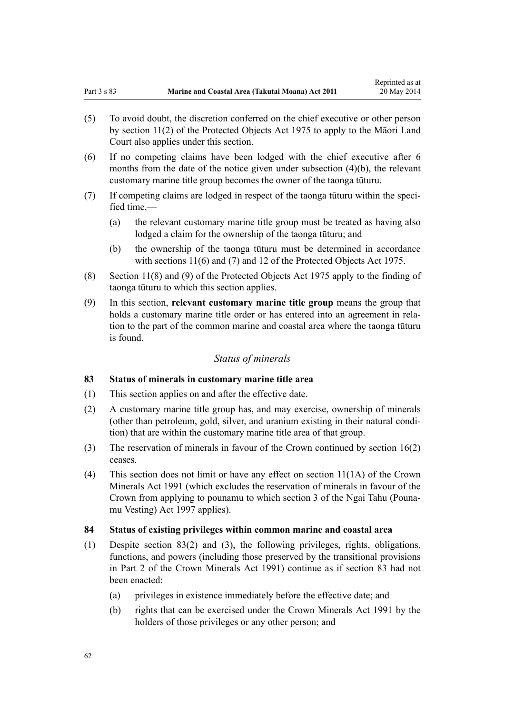- <span id="page-61-0"></span>(5) To avoid doubt, the discretion conferred on the chief executive or other person by [section 11\(2\)](http://prd-lgnz-nlb.prd.pco.net.nz/pdflink.aspx?id=DLM432422) of the Protected Objects Act 1975 to apply to the Māori Land Court also applies under this section.
- (6) If no competing claims have been lodged with the chief executive after 6 months from the date of the notice given under subsection (4)(b), the relevant customary marine title group becomes the owner of the taonga tūturu.
- (7) If competing claims are lodged in respect of the taonga tūturu within the specified time,—
	- (a) the relevant customary marine title group must be treated as having also lodged a claim for the ownership of the taonga tūturu; and
	- (b) the ownership of the taonga tūturu must be determined in accordance with [sections 11\(6\) and \(7\)](http://prd-lgnz-nlb.prd.pco.net.nz/pdflink.aspx?id=DLM432422) and [12](http://prd-lgnz-nlb.prd.pco.net.nz/pdflink.aspx?id=DLM432435) of the Protected Objects Act 1975.
- (8) [Section 11\(8\) and \(9\)](http://prd-lgnz-nlb.prd.pco.net.nz/pdflink.aspx?id=DLM432422) of the Protected Objects Act 1975 apply to the finding of taonga tūturu to which this section applies.
- (9) In this section, **relevant customary marine title group** means the group that holds a customary marine title order or has entered into an agreement in relation to the part of the common marine and coastal area where the taonga tūturu is found.

## *Status of minerals*

## **83 Status of minerals in customary marine title area**

- (1) This section applies on and after the effective date.
- (2) A customary marine title group has, and may exercise, ownership of minerals (other than petroleum, gold, silver, and uranium existing in their natural condition) that are within the customary marine title area of that group.
- (3) The reservation of minerals in favour of the Crown continued by [section 16\(2\)](#page-19-0) ceases.
- (4) This section does not limit or have any effect on [section 11\(1A\)](http://prd-lgnz-nlb.prd.pco.net.nz/pdflink.aspx?id=DLM246311) of the Crown Minerals Act 1991 (which excludes the reservation of minerals in favour of the Crown from applying to pounamu to which [section 3](http://prd-lgnz-nlb.prd.pco.net.nz/pdflink.aspx?id=DLM413605) of the Ngai Tahu (Pounamu Vesting) Act 1997 applies).

#### **84 Status of existing privileges within common marine and coastal area**

- (1) Despite section 83(2) and (3), the following privileges, rights, obligations, functions, and powers (including those preserved by the transitional provisions in [Part 2](http://prd-lgnz-nlb.prd.pco.net.nz/pdflink.aspx?id=DLM247305) of the Crown Minerals Act 1991) continue as if section 83 had not been enacted:
	- (a) privileges in existence immediately before the effective date; and
	- (b) rights that can be exercised under the [Crown Minerals Act 1991](http://prd-lgnz-nlb.prd.pco.net.nz/pdflink.aspx?id=DLM242535) by the holders of those privileges or any other person; and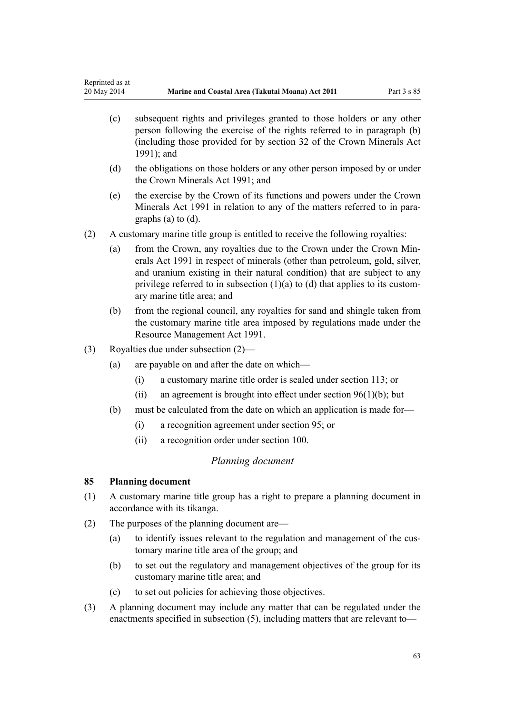- <span id="page-62-0"></span>(c) subsequent rights and privileges granted to those holders or any other person following the exercise of the rights referred to in paragraph (b) (including those provided for by [section 32](http://prd-lgnz-nlb.prd.pco.net.nz/pdflink.aspx?id=DLM5226938) of the Crown Minerals Act 1991); and
- (d) the obligations on those holders or any other person imposed by or under the [Crown Minerals Act 1991;](http://prd-lgnz-nlb.prd.pco.net.nz/pdflink.aspx?id=DLM242535) and
- (e) the exercise by the Crown of its functions and powers under the [Crown](http://prd-lgnz-nlb.prd.pco.net.nz/pdflink.aspx?id=DLM242535) [Minerals Act 1991](http://prd-lgnz-nlb.prd.pco.net.nz/pdflink.aspx?id=DLM242535) in relation to any of the matters referred to in paragraphs (a) to (d).
- (2) A customary marine title group is entitled to receive the following royalties:
	- (a) from the Crown, any royalties due to the Crown under the [Crown Min](http://prd-lgnz-nlb.prd.pco.net.nz/pdflink.aspx?id=DLM242535)[erals Act 1991](http://prd-lgnz-nlb.prd.pco.net.nz/pdflink.aspx?id=DLM242535) in respect of minerals (other than petroleum, gold, silver, and uranium existing in their natural condition) that are subject to any privilege referred to in subsection  $(1)(a)$  to  $(d)$  that applies to its customary marine title area; and
	- (b) from the regional council, any royalties for sand and shingle taken from the customary marine title area imposed by regulations made under the [Resource Management Act 1991](http://prd-lgnz-nlb.prd.pco.net.nz/pdflink.aspx?id=DLM230264).
- (3) Royalties due under subsection (2)—
	- (a) are payable on and after the date on which—
		- (i) a customary marine title order is sealed under [section 113](#page-68-0); or
		- (ii) an agreement is brought into effect under section  $96(1)(b)$ ; but
	- (b) must be calculated from the date on which an application is made for—
		- (i) a recognition agreement under [section 95](#page-67-0); or
		- (ii) a recognition order under [section 100](#page-70-0).

#### *Planning document*

#### **85 Planning document**

- (1) A customary marine title group has a right to prepare a planning document in accordance with its tikanga.
- (2) The purposes of the planning document are—
	- (a) to identify issues relevant to the regulation and management of the customary marine title area of the group; and
	- (b) to set out the regulatory and management objectives of the group for its customary marine title area; and
	- (c) to set out policies for achieving those objectives.
- (3) A planning document may include any matter that can be regulated under the enactments specified in subsection (5), including matters that are relevant to—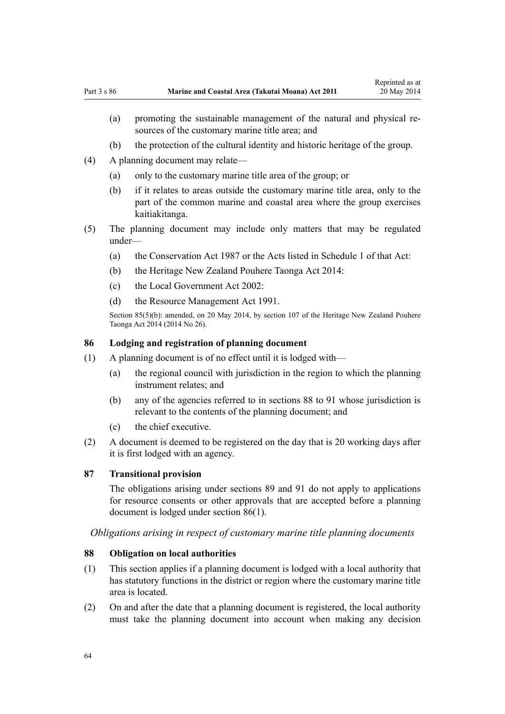- (b) the protection of the cultural identity and historic heritage of the group.
- <span id="page-63-0"></span>(4) A planning document may relate—
	- (a) only to the customary marine title area of the group; or
	- (b) if it relates to areas outside the customary marine title area, only to the part of the common marine and coastal area where the group exercises kaitiakitanga.
- (5) The planning document may include only matters that may be regulated under—
	- (a) the [Conservation Act 1987](http://prd-lgnz-nlb.prd.pco.net.nz/pdflink.aspx?id=DLM103609) or the Acts listed in [Schedule 1](http://prd-lgnz-nlb.prd.pco.net.nz/pdflink.aspx?id=DLM107200) of that Act:
	- (b) the [Heritage New Zealand Pouhere Taonga Act 2014:](http://prd-lgnz-nlb.prd.pco.net.nz/pdflink.aspx?id=DLM4005402)
	- (c) the [Local Government Act 2002](http://prd-lgnz-nlb.prd.pco.net.nz/pdflink.aspx?id=DLM170872):
	- (d) the [Resource Management Act 1991](http://prd-lgnz-nlb.prd.pco.net.nz/pdflink.aspx?id=DLM230264).

Section 85(5)(b): amended, on 20 May 2014, by [section 107](http://prd-lgnz-nlb.prd.pco.net.nz/pdflink.aspx?id=DLM4005646) of the Heritage New Zealand Pouhere Taonga Act 2014 (2014 No 26).

#### **86 Lodging and registration of planning document**

- (1) A planning document is of no effect until it is lodged with—
	- (a) the regional council with jurisdiction in the region to which the planning instrument relates; and
	- (b) any of the agencies referred to in sections 88 to 91 whose jurisdiction is relevant to the contents of the planning document; and
	- (c) the chief executive.
- (2) A document is deemed to be registered on the day that is 20 working days after it is first lodged with an agency.

#### **87 Transitional provision**

The obligations arising under [sections 89](#page-64-0) and [91](#page-64-0) do not apply to applications for resource consents or other approvals that are accepted before a planning document is lodged under section 86(1).

*Obligations arising in respect of customary marine title planning documents*

## **88 Obligation on local authorities**

- (1) This section applies if a planning document is lodged with a local authority that has statutory functions in the district or region where the customary marine title area is located.
- (2) On and after the date that a planning document is registered, the local authority must take the planning document into account when making any decision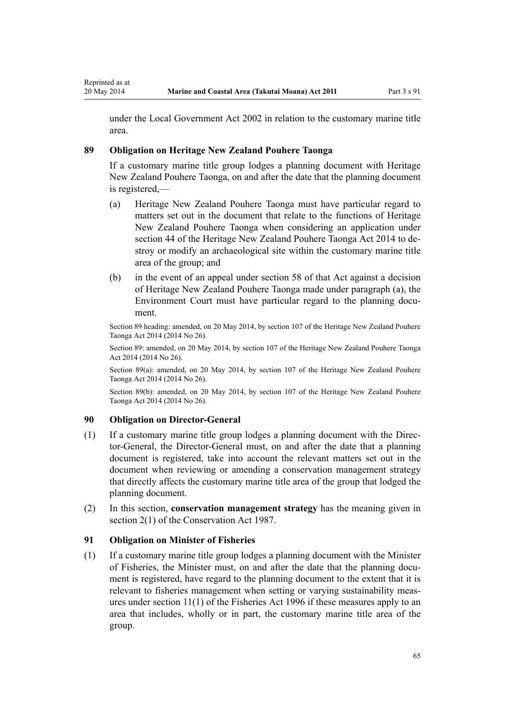<span id="page-64-0"></span>under the [Local Government Act 2002](http://prd-lgnz-nlb.prd.pco.net.nz/pdflink.aspx?id=DLM170872) in relation to the customary marine title area.

## **89 Obligation on Heritage New Zealand Pouhere Taonga**

If a customary marine title group lodges a planning document with Heritage New Zealand Pouhere Taonga, on and after the date that the planning document is registered,—

- (a) Heritage New Zealand Pouhere Taonga must have particular regard to matters set out in the document that relate to the functions of Heritage New Zealand Pouhere Taonga when considering an application under [section 44](http://prd-lgnz-nlb.prd.pco.net.nz/pdflink.aspx?id=DLM4005562) of the Heritage New Zealand Pouhere Taonga Act 2014 to destroy or modify an archaeological site within the customary marine title area of the group; and
- (b) in the event of an appeal under [section 58](http://prd-lgnz-nlb.prd.pco.net.nz/pdflink.aspx?id=DLM4005583) of that Act against a decision of Heritage New Zealand Pouhere Taonga made under paragraph (a), the Environment Court must have particular regard to the planning document.

Section 89 heading: amended, on 20 May 2014, by [section 107](http://prd-lgnz-nlb.prd.pco.net.nz/pdflink.aspx?id=DLM4005646) of the Heritage New Zealand Pouhere Taonga Act 2014 (2014 No 26).

Section 89: amended, on 20 May 2014, by [section 107](http://prd-lgnz-nlb.prd.pco.net.nz/pdflink.aspx?id=DLM4005646) of the Heritage New Zealand Pouhere Taonga Act 2014 (2014 No 26).

Section 89(a): amended, on 20 May 2014, by [section 107](http://prd-lgnz-nlb.prd.pco.net.nz/pdflink.aspx?id=DLM4005646) of the Heritage New Zealand Pouhere Taonga Act 2014 (2014 No 26).

Section 89(b): amended, on 20 May 2014, by [section 107](http://prd-lgnz-nlb.prd.pco.net.nz/pdflink.aspx?id=DLM4005646) of the Heritage New Zealand Pouhere Taonga Act 2014 (2014 No 26).

## **90 Obligation on Director-General**

- (1) If a customary marine title group lodges a planning document with the Director-General, the Director-General must, on and after the date that a planning document is registered, take into account the relevant matters set out in the document when reviewing or amending a conservation management strategy that directly affects the customary marine title area of the group that lodged the planning document.
- (2) In this section, **conservation management strategy** has the meaning given in [section 2\(1\)](http://prd-lgnz-nlb.prd.pco.net.nz/pdflink.aspx?id=DLM103616) of the Conservation Act 1987.

#### **91 Obligation on Minister of Fisheries**

(1) If a customary marine title group lodges a planning document with the Minister of Fisheries, the Minister must, on and after the date that the planning document is registered, have regard to the planning document to the extent that it is relevant to fisheries management when setting or varying sustainability measures under [section 11\(1\)](http://prd-lgnz-nlb.prd.pco.net.nz/pdflink.aspx?id=DLM395397) of the Fisheries Act 1996 if these measures apply to an area that includes, wholly or in part, the customary marine title area of the group.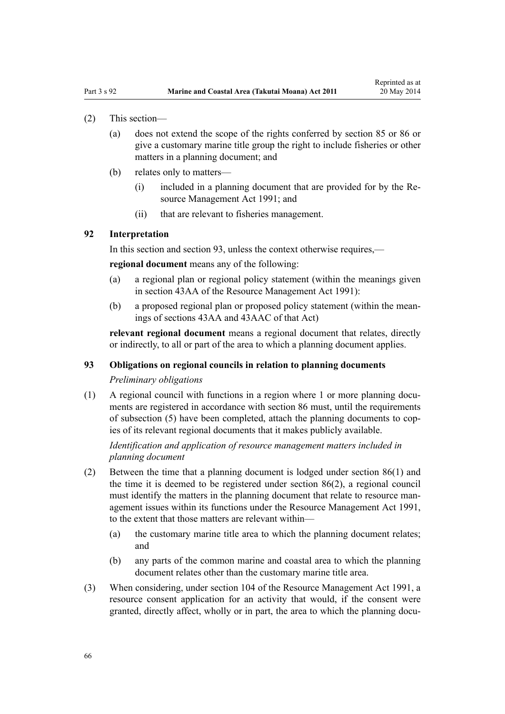- (2) This section—
	- (a) does not extend the scope of the rights conferred by [section 85](#page-62-0) or [86](#page-63-0) or give a customary marine title group the right to include fisheries or other matters in a planning document; and
	- (b) relates only to matters—
		- (i) included in a planning document that are provided for by the [Re](http://prd-lgnz-nlb.prd.pco.net.nz/pdflink.aspx?id=DLM230264)[source Management Act 1991](http://prd-lgnz-nlb.prd.pco.net.nz/pdflink.aspx?id=DLM230264); and
		- (ii) that are relevant to fisheries management.

#### **92 Interpretation**

In this section and section 93, unless the context otherwise requires,—

**regional document** means any of the following:

- (a) a regional plan or regional policy statement (within the meanings given in [section 43AA](http://prd-lgnz-nlb.prd.pco.net.nz/pdflink.aspx?id=DLM2412743) of the Resource Management Act 1991):
- (b) a proposed regional plan or proposed policy statement (within the meanings of [sections 43AA](http://prd-lgnz-nlb.prd.pco.net.nz/pdflink.aspx?id=DLM2412743) and [43AAC](http://prd-lgnz-nlb.prd.pco.net.nz/pdflink.aspx?id=DLM2412769) of that Act)

**relevant regional document** means a regional document that relates, directly or indirectly, to all or part of the area to which a planning document applies.

#### **93 Obligations on regional councils in relation to planning documents**

#### *Preliminary obligations*

(1) A regional council with functions in a region where 1 or more planning documents are registered in accordance with [section 86](#page-63-0) must, until the requirements of subsection (5) have been completed, attach the planning documents to copies of its relevant regional documents that it makes publicly available.

*Identification and application of resource management matters included in planning document*

- (2) Between the time that a planning document is lodged under [section 86\(1\)](#page-63-0) and the time it is deemed to be registered under section 86(2), a regional council must identify the matters in the planning document that relate to resource management issues within its functions under the [Resource Management Act 1991](http://prd-lgnz-nlb.prd.pco.net.nz/pdflink.aspx?id=DLM230264), to the extent that those matters are relevant within—
	- (a) the customary marine title area to which the planning document relates; and
	- (b) any parts of the common marine and coastal area to which the planning document relates other than the customary marine title area.
- (3) When considering, under [section 104](http://prd-lgnz-nlb.prd.pco.net.nz/pdflink.aspx?id=DLM234355) of the Resource Management Act 1991, a resource consent application for an activity that would, if the consent were granted, directly affect, wholly or in part, the area to which the planning docu-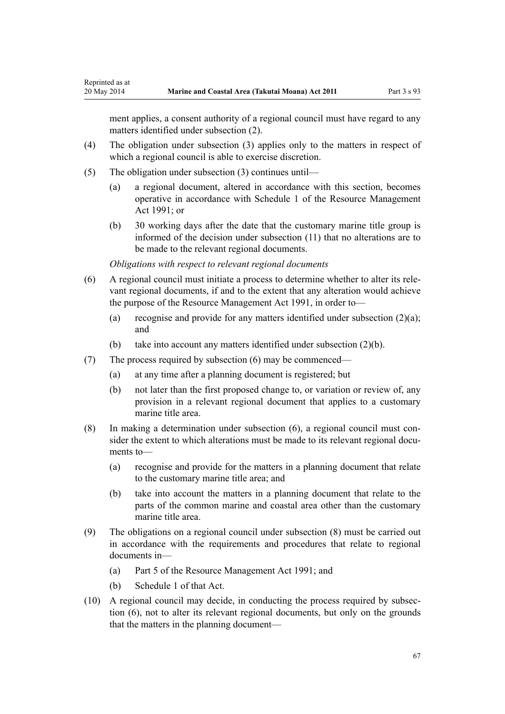ment applies, a consent authority of a regional council must have regard to any matters identified under subsection (2).

- (4) The obligation under subsection (3) applies only to the matters in respect of which a regional council is able to exercise discretion.
- (5) The obligation under subsection (3) continues until—

Reprinted as at

- (a) a regional document, altered in accordance with this section, becomes operative in accordance with [Schedule 1](http://prd-lgnz-nlb.prd.pco.net.nz/pdflink.aspx?id=DLM240686) of the Resource Management Act 1991; or
- (b) 30 working days after the date that the customary marine title group is informed of the decision under subsection (11) that no alterations are to be made to the relevant regional documents.

*Obligations with respect to relevant regional documents*

- (6) A regional council must initiate a process to determine whether to alter its relevant regional documents, if and to the extent that any alteration would achieve the purpose of the [Resource Management Act 1991,](http://prd-lgnz-nlb.prd.pco.net.nz/pdflink.aspx?id=DLM230264) in order to—
	- (a) recognise and provide for any matters identified under subsection (2)(a); and
	- (b) take into account any matters identified under subsection (2)(b).
- (7) The process required by subsection (6) may be commenced—
	- (a) at any time after a planning document is registered; but
	- (b) not later than the first proposed change to, or variation or review of, any provision in a relevant regional document that applies to a customary marine title area.
- (8) In making a determination under subsection (6), a regional council must consider the extent to which alterations must be made to its relevant regional documents to—
	- (a) recognise and provide for the matters in a planning document that relate to the customary marine title area; and
	- (b) take into account the matters in a planning document that relate to the parts of the common marine and coastal area other than the customary marine title area.
- (9) The obligations on a regional council under subsection (8) must be carried out in accordance with the requirements and procedures that relate to regional documents in—
	- (a) [Part 5](http://prd-lgnz-nlb.prd.pco.net.nz/pdflink.aspx?id=DLM233301) of the Resource Management Act 1991; and
	- (b) [Schedule 1](http://prd-lgnz-nlb.prd.pco.net.nz/pdflink.aspx?id=DLM240686) of that Act.
- (10) A regional council may decide, in conducting the process required by subsection (6), not to alter its relevant regional documents, but only on the grounds that the matters in the planning document—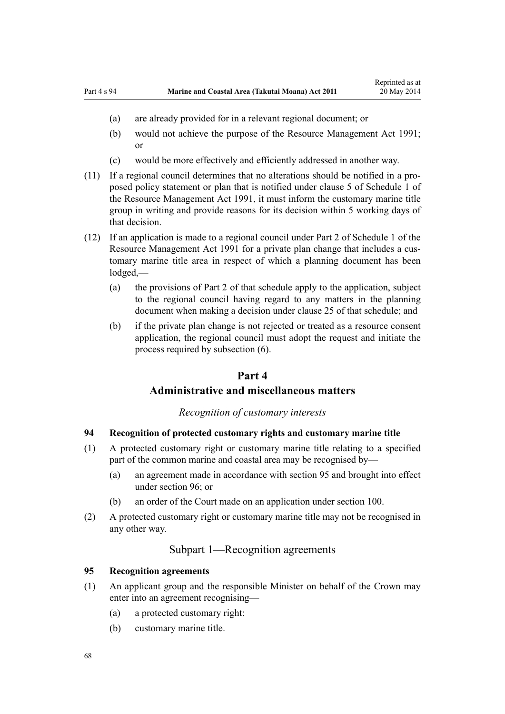- <span id="page-67-0"></span>(a) are already provided for in a relevant regional document; or
- (b) would not achieve the purpose of the [Resource Management Act 1991;](http://prd-lgnz-nlb.prd.pco.net.nz/pdflink.aspx?id=DLM230264) or
- (c) would be more effectively and efficiently addressed in another way.
- (11) If a regional council determines that no alterations should be notified in a proposed policy statement or plan that is notified under [clause 5](http://prd-lgnz-nlb.prd.pco.net.nz/pdflink.aspx?id=DLM241213) of Schedule 1 of the Resource Management Act 1991, it must inform the customary marine title group in writing and provide reasons for its decision within 5 working days of that decision.
- (12) If an application is made to a regional council under [Part 2](http://prd-lgnz-nlb.prd.pco.net.nz/pdflink.aspx?id=DLM241513) of Schedule 1 of the Resource Management Act 1991 for a private plan change that includes a customary marine title area in respect of which a planning document has been lodged,—
	- (a) the provisions of [Part 2](http://prd-lgnz-nlb.prd.pco.net.nz/pdflink.aspx?id=DLM241513) of that schedule apply to the application, subject to the regional council having regard to any matters in the planning document when making a decision under [clause 25](http://prd-lgnz-nlb.prd.pco.net.nz/pdflink.aspx?id=DLM241526) of that schedule; and
	- (b) if the private plan change is not rejected or treated as a resource consent application, the regional council must adopt the request and initiate the process required by subsection (6).

## **Part 4**

## **Administrative and miscellaneous matters**

## *Recognition of customary interests*

## **94 Recognition of protected customary rights and customary marine title**

- (1) A protected customary right or customary marine title relating to a specified part of the common marine and coastal area may be recognised by—
	- (a) an agreement made in accordance with section 95 and brought into effect under [section 96](#page-68-0); or
	- (b) an order of the Court made on an application under [section 100](#page-70-0).
- (2) A protected customary right or customary marine title may not be recognised in any other way.

## Subpart 1—Recognition agreements

#### **95 Recognition agreements**

- (1) An applicant group and the responsible Minister on behalf of the Crown may enter into an agreement recognising—
	- (a) a protected customary right:
	- (b) customary marine title.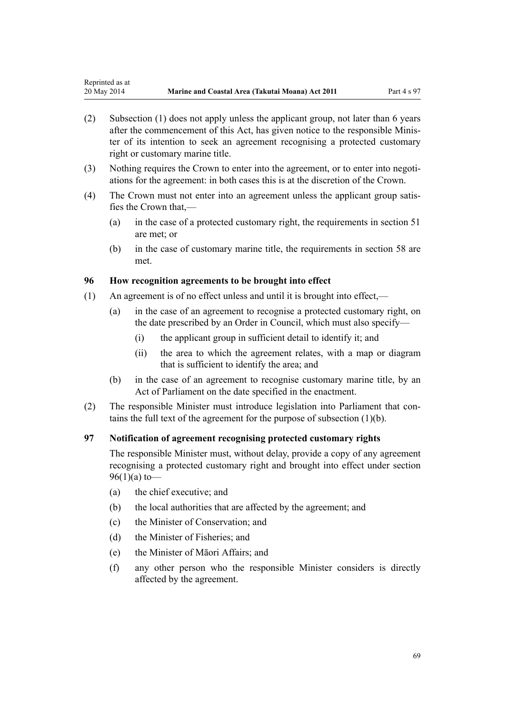- <span id="page-68-0"></span>(2) Subsection (1) does not apply unless the applicant group, not later than 6 years after the commencement of this Act, has given notice to the responsible Minister of its intention to seek an agreement recognising a protected customary right or customary marine title.
- (3) Nothing requires the Crown to enter into the agreement, or to enter into negotiations for the agreement: in both cases this is at the discretion of the Crown.
- (4) The Crown must not enter into an agreement unless the applicant group satisfies the Crown that,—
	- (a) in the case of a protected customary right, the requirements in [section 51](#page-38-0) are met; or
	- (b) in the case of customary marine title, the requirements in [section 58](#page-43-0) are met.

## **96 How recognition agreements to be brought into effect**

- (1) An agreement is of no effect unless and until it is brought into effect,—
	- (a) in the case of an agreement to recognise a protected customary right, on the date prescribed by an Order in Council, which must also specify—
		- (i) the applicant group in sufficient detail to identify it; and
		- (ii) the area to which the agreement relates, with a map or diagram that is sufficient to identify the area; and
	- (b) in the case of an agreement to recognise customary marine title, by an Act of Parliament on the date specified in the enactment.
- (2) The responsible Minister must introduce legislation into Parliament that contains the full text of the agreement for the purpose of subsection (1)(b).

## **97 Notification of agreement recognising protected customary rights**

The responsible Minister must, without delay, provide a copy of any agreement recognising a protected customary right and brought into effect under section 96(1)(a) to—

- (a) the chief executive; and
- (b) the local authorities that are affected by the agreement; and
- (c) the Minister of Conservation; and
- (d) the Minister of Fisheries; and
- (e) the Minister of Māori Affairs; and
- (f) any other person who the responsible Minister considers is directly affected by the agreement.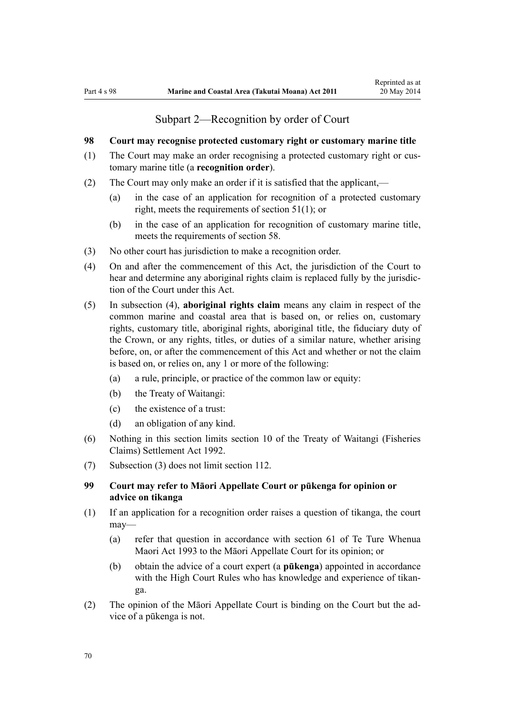## Subpart 2—Recognition by order of Court

#### <span id="page-69-0"></span>**98 Court may recognise protected customary right or customary marine title**

- (1) The Court may make an order recognising a protected customary right or customary marine title (a **recognition order**).
- (2) The Court may only make an order if it is satisfied that the applicant,—
	- (a) in the case of an application for recognition of a protected customary right, meets the requirements of [section 51\(1\)](#page-38-0); or
	- (b) in the case of an application for recognition of customary marine title, meets the requirements of [section 58](#page-43-0).
- (3) No other court has jurisdiction to make a recognition order.
- (4) On and after the commencement of this Act, the jurisdiction of the Court to hear and determine any aboriginal rights claim is replaced fully by the jurisdiction of the Court under this Act.
- (5) In subsection (4), **aboriginal rights claim** means any claim in respect of the common marine and coastal area that is based on, or relies on, customary rights, customary title, aboriginal rights, aboriginal title, the fiduciary duty of the Crown, or any rights, titles, or duties of a similar nature, whether arising before, on, or after the commencement of this Act and whether or not the claim is based on, or relies on, any 1 or more of the following:
	- (a) a rule, principle, or practice of the common law or equity:
	- (b) the Treaty of Waitangi:
	- (c) the existence of a trust:
	- (d) an obligation of any kind.
- (6) Nothing in this section limits [section 10](http://prd-lgnz-nlb.prd.pco.net.nz/pdflink.aspx?id=DLM281461) of the Treaty of Waitangi (Fisheries Claims) Settlement Act 1992.
- (7) Subsection (3) does not limit [section 112](#page-75-0).

## **99 Court may refer to Māori Appellate Court or pūkenga for opinion or advice on tikanga**

- (1) If an application for a recognition order raises a question of tikanga, the court may—
	- (a) refer that question in accordance with [section 61](http://prd-lgnz-nlb.prd.pco.net.nz/pdflink.aspx?id=DLM290946) of Te Ture Whenua Maori Act 1993 to the Māori Appellate Court for its opinion; or
	- (b) obtain the advice of a court expert (a **pūkenga**) appointed in accordance with the High Court Rules who has knowledge and experience of tikanga.
- (2) The opinion of the Māori Appellate Court is binding on the Court but the advice of a pūkenga is not.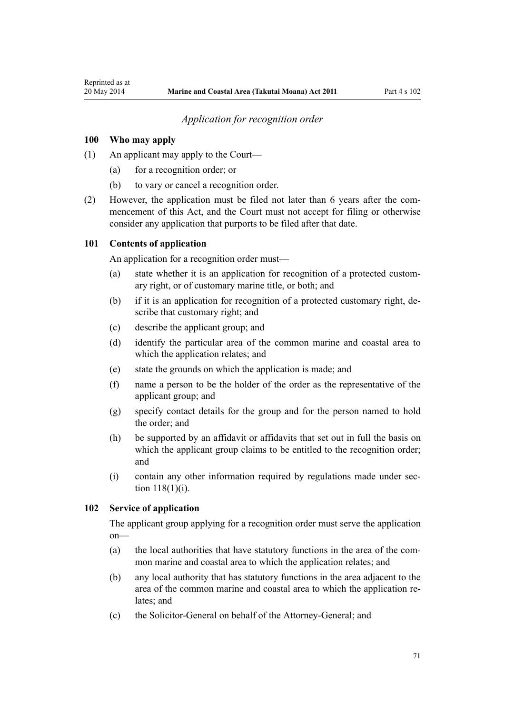## *Application for recognition order*

#### <span id="page-70-0"></span>**100 Who may apply**

- (1) An applicant may apply to the Court—
	- (a) for a recognition order; or
	- (b) to vary or cancel a recognition order.
- (2) However, the application must be filed not later than 6 years after the commencement of this Act, and the Court must not accept for filing or otherwise consider any application that purports to be filed after that date.

#### **101 Contents of application**

An application for a recognition order must—

- (a) state whether it is an application for recognition of a protected customary right, or of customary marine title, or both; and
- (b) if it is an application for recognition of a protected customary right, describe that customary right; and
- (c) describe the applicant group; and
- (d) identify the particular area of the common marine and coastal area to which the application relates; and
- (e) state the grounds on which the application is made; and
- (f) name a person to be the holder of the order as the representative of the applicant group; and
- (g) specify contact details for the group and for the person named to hold the order; and
- (h) be supported by an affidavit or affidavits that set out in full the basis on which the applicant group claims to be entitled to the recognition order; and
- (i) contain any other information required by regulations made under [sec](#page-77-0)[tion 118\(1\)\(i\)](#page-77-0).

## **102 Service of application**

The applicant group applying for a recognition order must serve the application on—

- (a) the local authorities that have statutory functions in the area of the common marine and coastal area to which the application relates; and
- (b) any local authority that has statutory functions in the area adjacent to the area of the common marine and coastal area to which the application relates: and
- (c) the Solicitor-General on behalf of the Attorney-General; and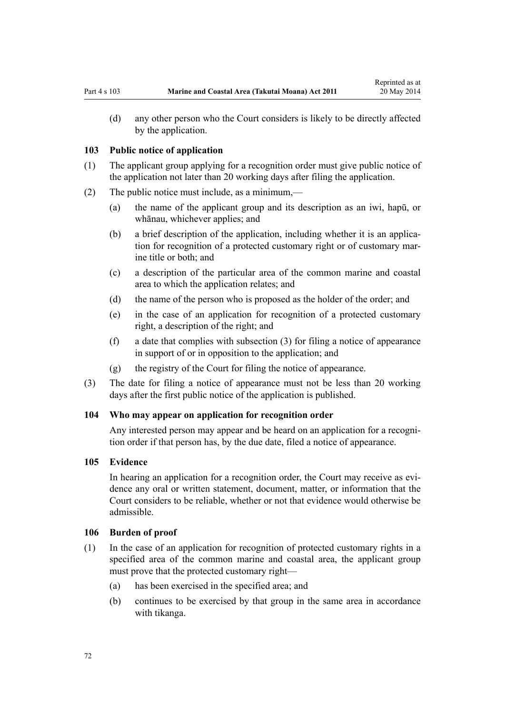<span id="page-71-0"></span>(d) any other person who the Court considers is likely to be directly affected by the application.

#### **103 Public notice of application**

- (1) The applicant group applying for a recognition order must give public notice of the application not later than 20 working days after filing the application.
- (2) The public notice must include, as a minimum,—
	- (a) the name of the applicant group and its description as an iwi, hapū, or whānau, whichever applies; and
	- (b) a brief description of the application, including whether it is an application for recognition of a protected customary right or of customary marine title or both; and
	- (c) a description of the particular area of the common marine and coastal area to which the application relates; and
	- (d) the name of the person who is proposed as the holder of the order; and
	- (e) in the case of an application for recognition of a protected customary right, a description of the right; and
	- (f) a date that complies with subsection (3) for filing a notice of appearance in support of or in opposition to the application; and
	- (g) the registry of the Court for filing the notice of appearance.
- (3) The date for filing a notice of appearance must not be less than 20 working days after the first public notice of the application is published.

#### **104 Who may appear on application for recognition order**

Any interested person may appear and be heard on an application for a recognition order if that person has, by the due date, filed a notice of appearance.

#### **105 Evidence**

In hearing an application for a recognition order, the Court may receive as evidence any oral or written statement, document, matter, or information that the Court considers to be reliable, whether or not that evidence would otherwise be admissible.

#### **106 Burden of proof**

- (1) In the case of an application for recognition of protected customary rights in a specified area of the common marine and coastal area, the applicant group must prove that the protected customary right—
	- (a) has been exercised in the specified area; and
	- (b) continues to be exercised by that group in the same area in accordance with tikanga.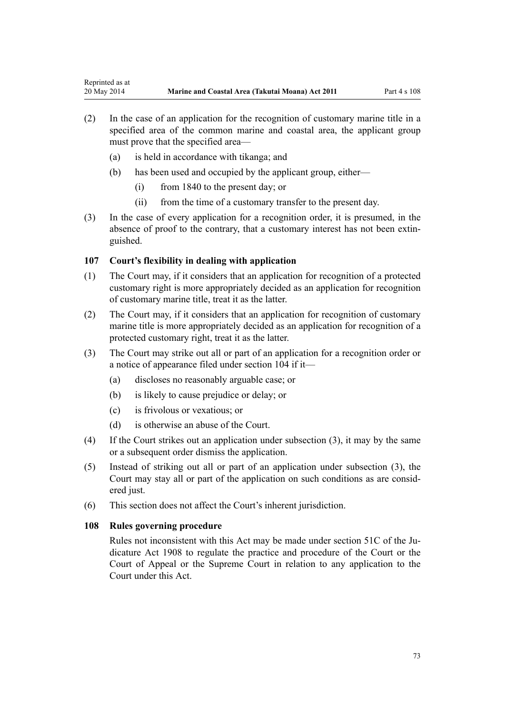- (2) In the case of an application for the recognition of customary marine title in a specified area of the common marine and coastal area, the applicant group must prove that the specified area—
	- (a) is held in accordance with tikanga; and
	- (b) has been used and occupied by the applicant group, either—
		- (i) from 1840 to the present day; or
		- (ii) from the time of a customary transfer to the present day.
- (3) In the case of every application for a recognition order, it is presumed, in the absence of proof to the contrary, that a customary interest has not been extinguished.

# **107 Court's flexibility in dealing with application**

- (1) The Court may, if it considers that an application for recognition of a protected customary right is more appropriately decided as an application for recognition of customary marine title, treat it as the latter.
- (2) The Court may, if it considers that an application for recognition of customary marine title is more appropriately decided as an application for recognition of a protected customary right, treat it as the latter.
- (3) The Court may strike out all or part of an application for a recognition order or a notice of appearance filed under [section 104](#page-71-0) if it—
	- (a) discloses no reasonably arguable case; or
	- (b) is likely to cause prejudice or delay; or
	- (c) is frivolous or vexatious; or
	- (d) is otherwise an abuse of the Court.
- (4) If the Court strikes out an application under subsection (3), it may by the same or a subsequent order dismiss the application.
- (5) Instead of striking out all or part of an application under subsection (3), the Court may stay all or part of the application on such conditions as are considered just.
- (6) This section does not affect the Court's inherent jurisdiction.

# **108 Rules governing procedure**

Rules not inconsistent with this Act may be made under [section 51C](http://prd-lgnz-nlb.prd.pco.net.nz/pdflink.aspx?id=DLM146607) of the Judicature Act 1908 to regulate the practice and procedure of the Court or the Court of Appeal or the Supreme Court in relation to any application to the Court under this Act.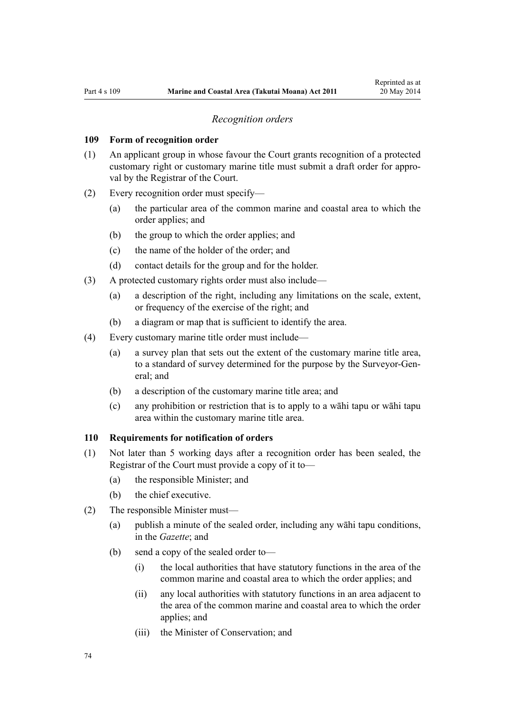#### *Recognition orders*

#### <span id="page-73-0"></span>**109 Form of recognition order**

- (1) An applicant group in whose favour the Court grants recognition of a protected customary right or customary marine title must submit a draft order for approval by the Registrar of the Court.
- (2) Every recognition order must specify—
	- (a) the particular area of the common marine and coastal area to which the order applies; and
	- (b) the group to which the order applies; and
	- (c) the name of the holder of the order; and
	- (d) contact details for the group and for the holder.
- (3) A protected customary rights order must also include—
	- (a) a description of the right, including any limitations on the scale, extent, or frequency of the exercise of the right; and
	- (b) a diagram or map that is sufficient to identify the area.
- (4) Every customary marine title order must include—
	- (a) a survey plan that sets out the extent of the customary marine title area, to a standard of survey determined for the purpose by the Surveyor-General; and
	- (b) a description of the customary marine title area; and
	- (c) any prohibition or restriction that is to apply to a wāhi tapu or wāhi tapu area within the customary marine title area.

#### **110 Requirements for notification of orders**

- (1) Not later than 5 working days after a recognition order has been sealed, the Registrar of the Court must provide a copy of it to—
	- (a) the responsible Minister; and
	- (b) the chief executive.
- (2) The responsible Minister must—
	- (a) publish a minute of the sealed order, including any wāhi tapu conditions, in the *Gazette*; and
	- (b) send a copy of the sealed order to—
		- (i) the local authorities that have statutory functions in the area of the common marine and coastal area to which the order applies; and
		- (ii) any local authorities with statutory functions in an area adjacent to the area of the common marine and coastal area to which the order applies; and
		- (iii) the Minister of Conservation; and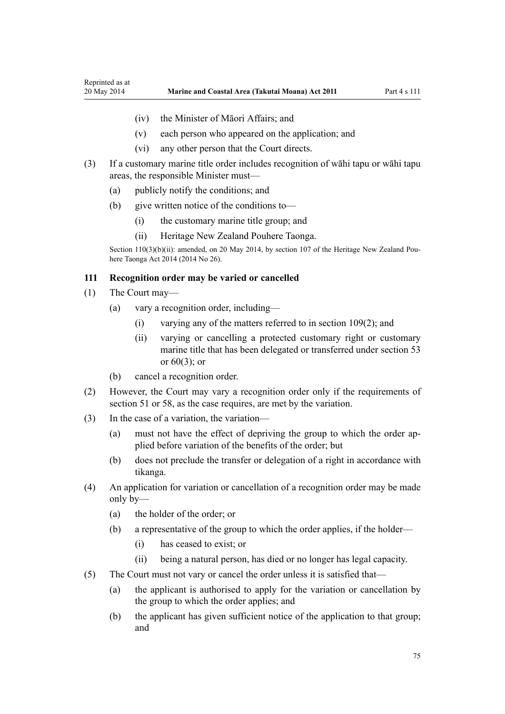- <span id="page-74-0"></span>(iv) the Minister of Māori Affairs; and
- (v) each person who appeared on the application; and
- (vi) any other person that the Court directs.
- (3) If a customary marine title order includes recognition of wāhi tapu or wāhi tapu areas, the responsible Minister must—
	- (a) publicly notify the conditions; and
	- (b) give written notice of the conditions to—
		- (i) the customary marine title group; and
		- (ii) Heritage New Zealand Pouhere Taonga.

Section 110(3)(b)(ii): amended, on 20 May 2014, by [section 107](http://prd-lgnz-nlb.prd.pco.net.nz/pdflink.aspx?id=DLM4005646) of the Heritage New Zealand Pouhere Taonga Act 2014 (2014 No 26).

## **111 Recognition order may be varied or cancelled**

- (1) The Court may—
	- (a) vary a recognition order, including—
		- (i) varying any of the matters referred to in [section 109\(2\);](#page-73-0) and
		- (ii) varying or cancelling a protected customary right or customary marine title that has been delegated or transferred under [section 53](#page-40-0) or [60\(3\);](#page-44-0) or
	- (b) cancel a recognition order.
- (2) However, the Court may vary a recognition order only if the requirements of [section 51](#page-38-0) or [58,](#page-43-0) as the case requires, are met by the variation.
- (3) In the case of a variation, the variation—
	- (a) must not have the effect of depriving the group to which the order applied before variation of the benefits of the order; but
	- (b) does not preclude the transfer or delegation of a right in accordance with tikanga.
- (4) An application for variation or cancellation of a recognition order may be made only by—
	- (a) the holder of the order; or
	- (b) a representative of the group to which the order applies, if the holder—
		- (i) has ceased to exist; or
		- (ii) being a natural person, has died or no longer has legal capacity.
- (5) The Court must not vary or cancel the order unless it is satisfied that—
	- (a) the applicant is authorised to apply for the variation or cancellation by the group to which the order applies; and
	- (b) the applicant has given sufficient notice of the application to that group; and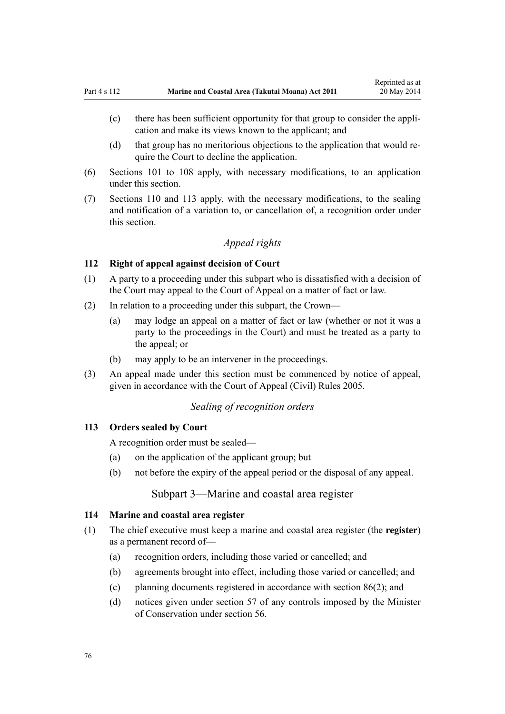- <span id="page-75-0"></span>(c) there has been sufficient opportunity for that group to consider the application and make its views known to the applicant; and
- (d) that group has no meritorious objections to the application that would require the Court to decline the application.
- (6) [Sections 101 to 108](#page-70-0) apply, with necessary modifications, to an application under this section.
- (7) [Sections 110](#page-73-0) and 113 apply, with the necessary modifications, to the sealing and notification of a variation to, or cancellation of, a recognition order under this section.

# *Appeal rights*

## **112 Right of appeal against decision of Court**

- (1) A party to a proceeding under this subpart who is dissatisfied with a decision of the Court may appeal to the Court of Appeal on a matter of fact or law.
- (2) In relation to a proceeding under this subpart, the Crown—
	- (a) may lodge an appeal on a matter of fact or law (whether or not it was a party to the proceedings in the Court) and must be treated as a party to the appeal; or
	- (b) may apply to be an intervener in the proceedings.
- (3) An appeal made under this section must be commenced by notice of appeal, given in accordance with the [Court of Appeal \(Civil\) Rules 2005](http://prd-lgnz-nlb.prd.pco.net.nz/pdflink.aspx?id=DLM319745).

# *Sealing of recognition orders*

#### **113 Orders sealed by Court**

A recognition order must be sealed—

- (a) on the application of the applicant group; but
- (b) not before the expiry of the appeal period or the disposal of any appeal.

# Subpart 3—Marine and coastal area register

## **114 Marine and coastal area register**

- (1) The chief executive must keep a marine and coastal area register (the **register**) as a permanent record of—
	- (a) recognition orders, including those varied or cancelled; and
	- (b) agreements brought into effect, including those varied or cancelled; and
	- (c) planning documents registered in accordance with [section 86\(2\)](#page-63-0); and
	- (d) notices given under [section 57](#page-42-0) of any controls imposed by the Minister of Conservation under [section 56.](#page-41-0)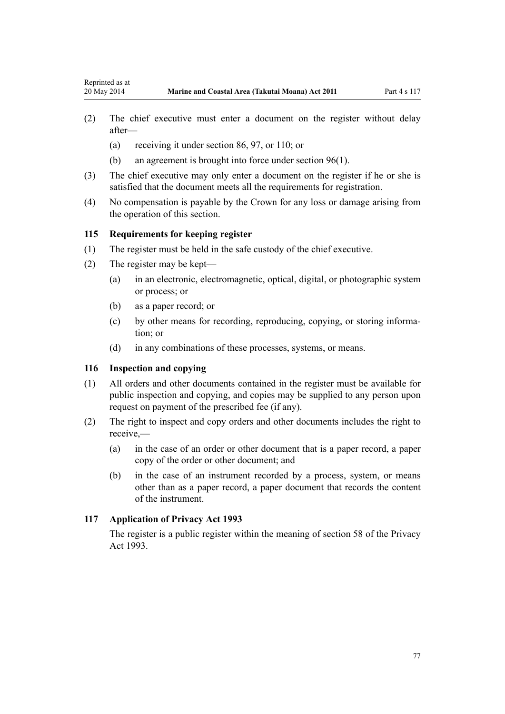- (2) The chief executive must enter a document on the register without delay after—
	- (a) receiving it under [section 86](#page-63-0), [97](#page-68-0), or [110](#page-73-0); or
	- (b) an agreement is brought into force under [section 96\(1\).](#page-68-0)
- (3) The chief executive may only enter a document on the register if he or she is satisfied that the document meets all the requirements for registration.
- (4) No compensation is payable by the Crown for any loss or damage arising from the operation of this section.

## **115 Requirements for keeping register**

- (1) The register must be held in the safe custody of the chief executive.
- (2) The register may be kept—
	- (a) in an electronic, electromagnetic, optical, digital, or photographic system or process; or
	- (b) as a paper record; or
	- (c) by other means for recording, reproducing, copying, or storing information; or
	- (d) in any combinations of these processes, systems, or means.

## **116 Inspection and copying**

- (1) All orders and other documents contained in the register must be available for public inspection and copying, and copies may be supplied to any person upon request on payment of the prescribed fee (if any).
- (2) The right to inspect and copy orders and other documents includes the right to receive,—
	- (a) in the case of an order or other document that is a paper record, a paper copy of the order or other document; and
	- (b) in the case of an instrument recorded by a process, system, or means other than as a paper record, a paper document that records the content of the instrument.

## **117 Application of Privacy Act 1993**

The register is a public register within the meaning of [section 58](http://prd-lgnz-nlb.prd.pco.net.nz/pdflink.aspx?id=DLM297424) of the Privacy Act 1993.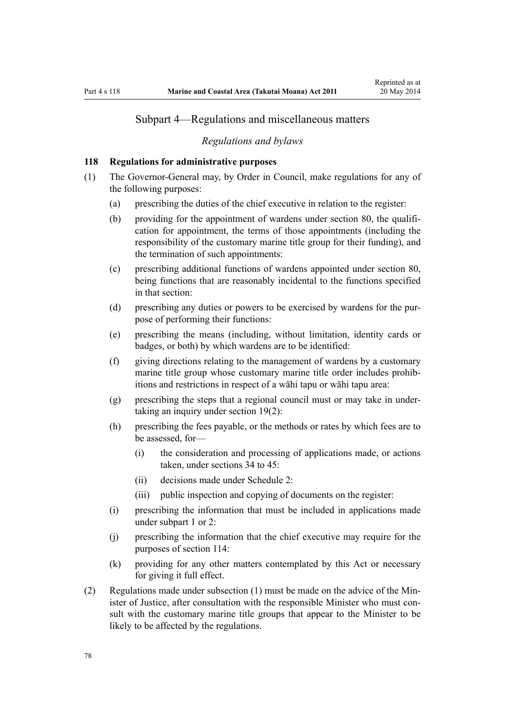# Subpart 4—Regulations and miscellaneous matters

#### *Regulations and bylaws*

## **118 Regulations for administrative purposes**

- (1) The Governor-General may, by Order in Council, make regulations for any of the following purposes:
	- (a) prescribing the duties of the chief executive in relation to the register:
	- (b) providing for the appointment of wardens under [section 80,](#page-59-0) the qualification for appointment, the terms of those appointments (including the responsibility of the customary marine title group for their funding), and the termination of such appointments:
	- (c) prescribing additional functions of wardens appointed under [section 80](#page-59-0), being functions that are reasonably incidental to the functions specified in that section:
	- (d) prescribing any duties or powers to be exercised by wardens for the purpose of performing their functions:
	- (e) prescribing the means (including, without limitation, identity cards or badges, or both) by which wardens are to be identified:
	- (f) giving directions relating to the management of wardens by a customary marine title group whose customary marine title order includes prohibitions and restrictions in respect of a wāhi tapu or wāhi tapu area:
	- (g) prescribing the steps that a regional council must or may take in undertaking an inquiry under [section 19\(2\)](#page-20-0):
	- (h) prescribing the fees payable, or the methods or rates by which fees are to be assessed, for—
		- (i) the consideration and processing of applications made, or actions taken, under [sections 34 to 45:](#page-27-0)
		- (ii) decisions made under [Schedule 2:](#page-90-0)
		- (iii) public inspection and copying of documents on the register:
	- (i) prescribing the information that must be included in applications made under [subpart 1](#page-67-0) or [2:](#page-69-0)
	- (j) prescribing the information that the chief executive may require for the purposes of [section 114:](#page-75-0)
	- (k) providing for any other matters contemplated by this Act or necessary for giving it full effect.
- (2) Regulations made under subsection (1) must be made on the advice of the Minister of Justice, after consultation with the responsible Minister who must consult with the customary marine title groups that appear to the Minister to be likely to be affected by the regulations.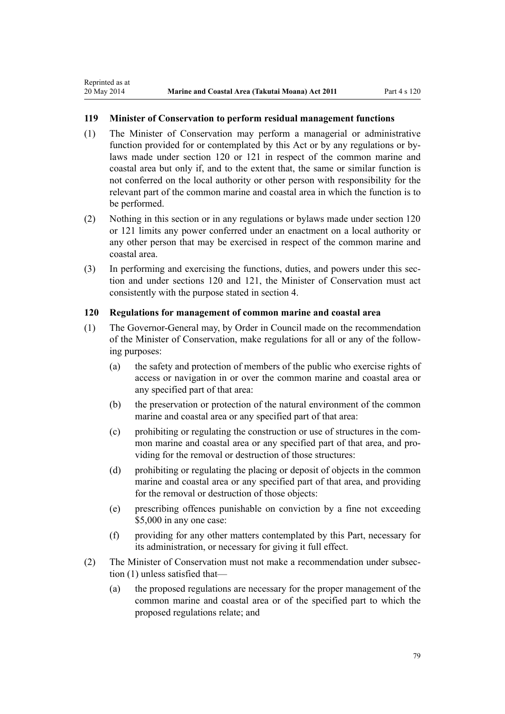<span id="page-78-0"></span>Reprinted as at

# **119 Minister of Conservation to perform residual management functions**

- (1) The Minister of Conservation may perform a managerial or administrative function provided for or contemplated by this Act or by any regulations or bylaws made under section 120 or [121](#page-79-0) in respect of the common marine and coastal area but only if, and to the extent that, the same or similar function is not conferred on the local authority or other person with responsibility for the relevant part of the common marine and coastal area in which the function is to be performed.
- (2) Nothing in this section or in any regulations or bylaws made under section 120 or [121](#page-79-0) limits any power conferred under an enactment on a local authority or any other person that may be exercised in respect of the common marine and coastal area.
- (3) In performing and exercising the functions, duties, and powers under this section and under sections 120 and [121,](#page-79-0) the Minister of Conservation must act consistently with the purpose stated in [section 4](#page-8-0).

## **120 Regulations for management of common marine and coastal area**

- (1) The Governor-General may, by Order in Council made on the recommendation of the Minister of Conservation, make regulations for all or any of the following purposes:
	- (a) the safety and protection of members of the public who exercise rights of access or navigation in or over the common marine and coastal area or any specified part of that area:
	- (b) the preservation or protection of the natural environment of the common marine and coastal area or any specified part of that area:
	- (c) prohibiting or regulating the construction or use of structures in the common marine and coastal area or any specified part of that area, and providing for the removal or destruction of those structures:
	- (d) prohibiting or regulating the placing or deposit of objects in the common marine and coastal area or any specified part of that area, and providing for the removal or destruction of those objects:
	- (e) prescribing offences punishable on conviction by a fine not exceeding \$5,000 in any one case:
	- (f) providing for any other matters contemplated by this Part, necessary for its administration, or necessary for giving it full effect.
- (2) The Minister of Conservation must not make a recommendation under subsection (1) unless satisfied that—
	- (a) the proposed regulations are necessary for the proper management of the common marine and coastal area or of the specified part to which the proposed regulations relate; and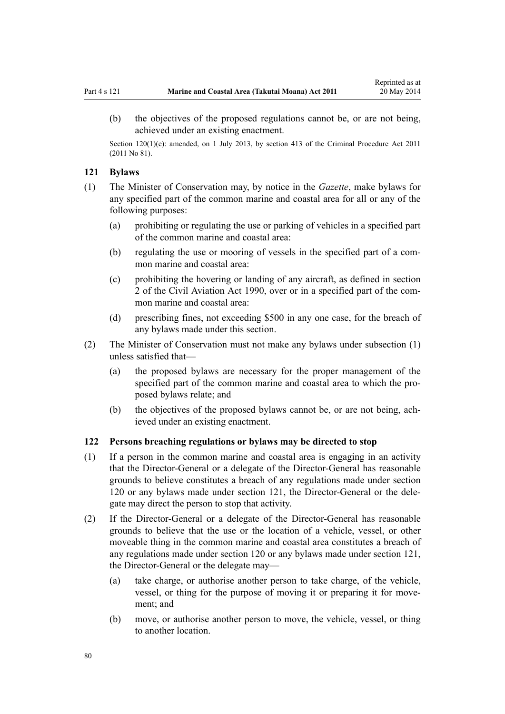<span id="page-79-0"></span>(b) the objectives of the proposed regulations cannot be, or are not being, achieved under an existing enactment.

Section 120(1)(e): amended, on 1 July 2013, by [section 413](http://prd-lgnz-nlb.prd.pco.net.nz/pdflink.aspx?id=DLM3360714) of the Criminal Procedure Act 2011 (2011 No 81).

## **121 Bylaws**

- (1) The Minister of Conservation may, by notice in the *Gazette*, make bylaws for any specified part of the common marine and coastal area for all or any of the following purposes:
	- (a) prohibiting or regulating the use or parking of vehicles in a specified part of the common marine and coastal area:
	- (b) regulating the use or mooring of vessels in the specified part of a common marine and coastal area:
	- (c) prohibiting the hovering or landing of any aircraft, as defined in [section](http://prd-lgnz-nlb.prd.pco.net.nz/pdflink.aspx?id=DLM214692) [2](http://prd-lgnz-nlb.prd.pco.net.nz/pdflink.aspx?id=DLM214692) of the Civil Aviation Act 1990, over or in a specified part of the common marine and coastal area:
	- (d) prescribing fines, not exceeding \$500 in any one case, for the breach of any bylaws made under this section.
- (2) The Minister of Conservation must not make any bylaws under subsection (1) unless satisfied that—
	- (a) the proposed bylaws are necessary for the proper management of the specified part of the common marine and coastal area to which the proposed bylaws relate; and
	- (b) the objectives of the proposed bylaws cannot be, or are not being, achieved under an existing enactment.

# **122 Persons breaching regulations or bylaws may be directed to stop**

- (1) If a person in the common marine and coastal area is engaging in an activity that the Director-General or a delegate of the Director-General has reasonable grounds to believe constitutes a breach of any regulations made under [section](#page-78-0) [120](#page-78-0) or any bylaws made under section 121, the Director-General or the delegate may direct the person to stop that activity.
- (2) If the Director-General or a delegate of the Director-General has reasonable grounds to believe that the use or the location of a vehicle, vessel, or other moveable thing in the common marine and coastal area constitutes a breach of any regulations made under [section 120](#page-78-0) or any bylaws made under [section 121](#page-78-0), the Director-General or the delegate may—
	- (a) take charge, or authorise another person to take charge, of the vehicle, vessel, or thing for the purpose of moving it or preparing it for movement; and
	- (b) move, or authorise another person to move, the vehicle, vessel, or thing to another location.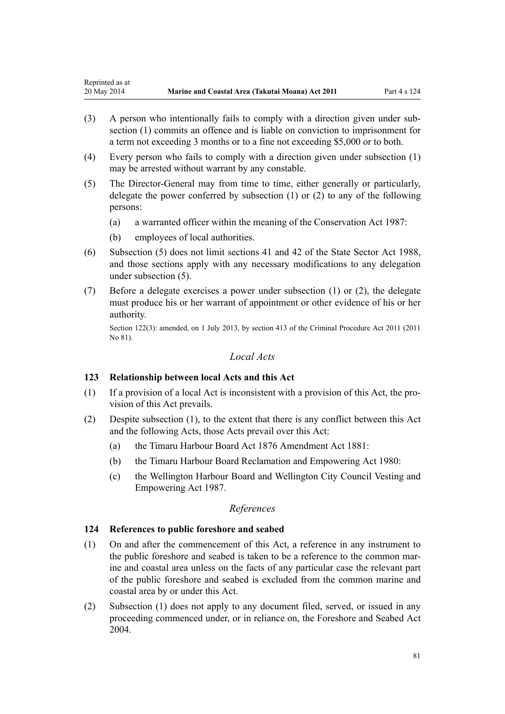- (3) A person who intentionally fails to comply with a direction given under subsection (1) commits an offence and is liable on conviction to imprisonment for a term not exceeding 3 months or to a fine not exceeding \$5,000 or to both.
- (4) Every person who fails to comply with a direction given under subsection (1) may be arrested without warrant by any constable.
- (5) The Director-General may from time to time, either generally or particularly, delegate the power conferred by subsection (1) or (2) to any of the following persons:
	- (a) a warranted officer within the meaning of the [Conservation Act 1987](http://prd-lgnz-nlb.prd.pco.net.nz/pdflink.aspx?id=DLM103609):
	- (b) employees of local authorities.
- (6) Subsection (5) does not limit [sections 41](http://prd-lgnz-nlb.prd.pco.net.nz/pdflink.aspx?id=DLM129566) and [42](http://prd-lgnz-nlb.prd.pco.net.nz/pdflink.aspx?id=DLM129571) of the State Sector Act 1988, and those sections apply with any necessary modifications to any delegation under subsection (5).
- (7) Before a delegate exercises a power under subsection (1) or (2), the delegate must produce his or her warrant of appointment or other evidence of his or her authority.

Section 122(3): amended, on 1 July 2013, by [section 413](http://prd-lgnz-nlb.prd.pco.net.nz/pdflink.aspx?id=DLM3360714) of the Criminal Procedure Act 2011 (2011 No 81).

## *Local Acts*

## **123 Relationship between local Acts and this Act**

- (1) If a provision of a local Act is inconsistent with a provision of this Act, the provision of this Act prevails.
- (2) Despite subsection (1), to the extent that there is any conflict between this Act and the following Acts, those Acts prevail over this Act:
	- (a) the [Timaru Harbour Board Act 1876 Amendment Act 1881](http://prd-lgnz-nlb.prd.pco.net.nz/pdflink.aspx?id=DLM15371):
	- (b) the [Timaru Harbour Board Reclamation and Empowering Act 1980:](http://prd-lgnz-nlb.prd.pco.net.nz/pdflink.aspx?id=DLM74774)
	- (c) the [Wellington Harbour Board and Wellington City Council Vesting and](http://prd-lgnz-nlb.prd.pco.net.nz/pdflink.aspx?id=DLM78106) [Empowering Act 1987.](http://prd-lgnz-nlb.prd.pco.net.nz/pdflink.aspx?id=DLM78106)

# *References*

## **124 References to public foreshore and seabed**

- (1) On and after the commencement of this Act, a reference in any instrument to the public foreshore and seabed is taken to be a reference to the common marine and coastal area unless on the facts of any particular case the relevant part of the public foreshore and seabed is excluded from the common marine and coastal area by or under this Act.
- (2) Subsection (1) does not apply to any document filed, served, or issued in any proceeding commenced under, or in reliance on, the [Foreshore and Seabed Act](http://prd-lgnz-nlb.prd.pco.net.nz/pdflink.aspx?id=DLM319838) [2004](http://prd-lgnz-nlb.prd.pco.net.nz/pdflink.aspx?id=DLM319838).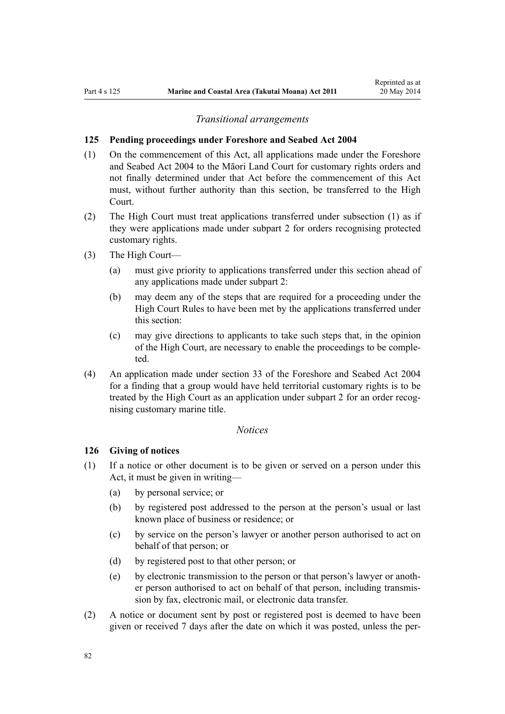#### *Transitional arrangements*

#### **125 Pending proceedings under Foreshore and Seabed Act 2004**

- (1) On the commencement of this Act, all applications made under the [Foreshore](http://prd-lgnz-nlb.prd.pco.net.nz/pdflink.aspx?id=DLM319838) [and Seabed Act 2004](http://prd-lgnz-nlb.prd.pco.net.nz/pdflink.aspx?id=DLM319838) to the Māori Land Court for customary rights orders and not finally determined under that Act before the commencement of this Act must, without further authority than this section, be transferred to the High Court.
- (2) The High Court must treat applications transferred under subsection (1) as if they were applications made under [subpart 2](#page-69-0) for orders recognising protected customary rights.
- (3) The High Court—
	- (a) must give priority to applications transferred under this section ahead of any applications made under [subpart 2](#page-69-0):
	- (b) may deem any of the steps that are required for a proceeding under the High Court Rules to have been met by the applications transferred under this section:
	- (c) may give directions to applicants to take such steps that, in the opinion of the High Court, are necessary to enable the proceedings to be completed.
- (4) An application made under [section 33](http://prd-lgnz-nlb.prd.pco.net.nz/pdflink.aspx?id=DLM320263) of the Foreshore and Seabed Act 2004 for a finding that a group would have held territorial customary rights is to be treated by the High Court as an application under [subpart 2](#page-69-0) for an order recognising customary marine title.

## *Notices*

## **126 Giving of notices**

- (1) If a notice or other document is to be given or served on a person under this Act, it must be given in writing—
	- (a) by personal service; or
	- (b) by registered post addressed to the person at the person's usual or last known place of business or residence; or
	- (c) by service on the person's lawyer or another person authorised to act on behalf of that person; or
	- (d) by registered post to that other person; or
	- (e) by electronic transmission to the person or that person's lawyer or another person authorised to act on behalf of that person, including transmission by fax, electronic mail, or electronic data transfer.
- (2) A notice or document sent by post or registered post is deemed to have been given or received 7 days after the date on which it was posted, unless the per-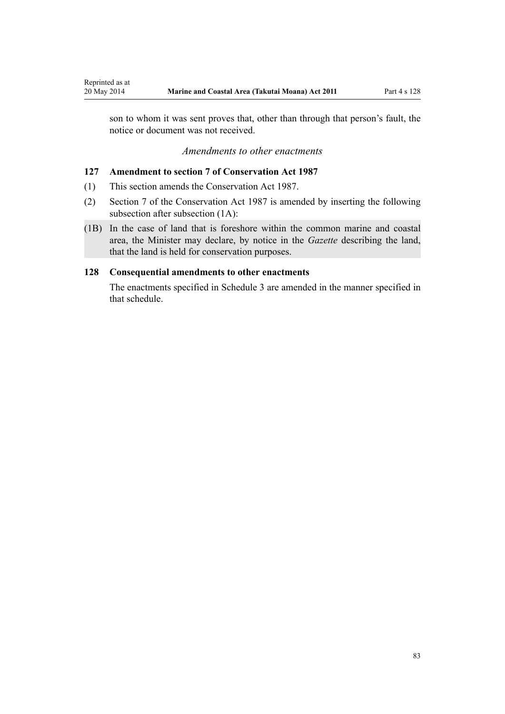son to whom it was sent proves that, other than through that person's fault, the notice or document was not received.

## *Amendments to other enactments*

## **127 Amendment to section 7 of Conservation Act 1987**

(1) This section amends the [Conservation Act 1987.](http://prd-lgnz-nlb.prd.pco.net.nz/pdflink.aspx?id=DLM103609)

<span id="page-82-0"></span>Reprinted as at

- (2) [Section 7](http://prd-lgnz-nlb.prd.pco.net.nz/pdflink.aspx?id=DLM104251) of the Conservation Act 1987 is amended by inserting the following subsection after subsection (1A):
- (1B) In the case of land that is foreshore within the common marine and coastal area, the Minister may declare, by notice in the *Gazette* describing the land, that the land is held for conservation purposes.

## **128 Consequential amendments to other enactments**

The enactments specified in [Schedule 3 a](#page-96-0)re amended in the manner specified in that schedule.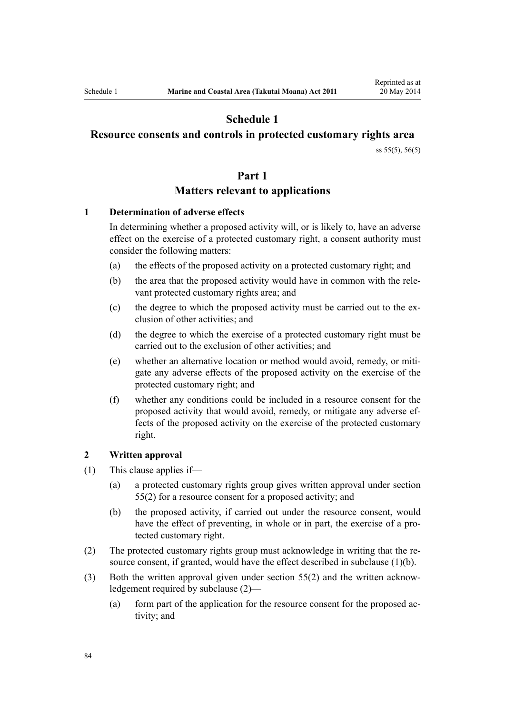# **Schedule 1**

# <span id="page-83-0"></span>**Resource consents and controls in protected customary rights area**

[ss 55\(5\)](#page-40-0), [56\(5\)](#page-41-0)

## **Part 1**

## **Matters relevant to applications**

## **1 Determination of adverse effects**

In determining whether a proposed activity will, or is likely to, have an adverse effect on the exercise of a protected customary right, a consent authority must consider the following matters:

- (a) the effects of the proposed activity on a protected customary right; and
- (b) the area that the proposed activity would have in common with the relevant protected customary rights area; and
- (c) the degree to which the proposed activity must be carried out to the exclusion of other activities; and
- (d) the degree to which the exercise of a protected customary right must be carried out to the exclusion of other activities; and
- (e) whether an alternative location or method would avoid, remedy, or mitigate any adverse effects of the proposed activity on the exercise of the protected customary right; and
- (f) whether any conditions could be included in a resource consent for the proposed activity that would avoid, remedy, or mitigate any adverse effects of the proposed activity on the exercise of the protected customary right.

#### **2 Written approval**

- (1) This clause applies if—
	- (a) a protected customary rights group gives written approval under [section](#page-40-0) [55\(2\)](#page-40-0) for a resource consent for a proposed activity; and
	- (b) the proposed activity, if carried out under the resource consent, would have the effect of preventing, in whole or in part, the exercise of a protected customary right.
- (2) The protected customary rights group must acknowledge in writing that the resource consent, if granted, would have the effect described in subclause (1)(b).
- (3) Both the written approval given under [section 55\(2\)](#page-40-0) and the written acknowledgement required by subclause (2)—
	- (a) form part of the application for the resource consent for the proposed activity; and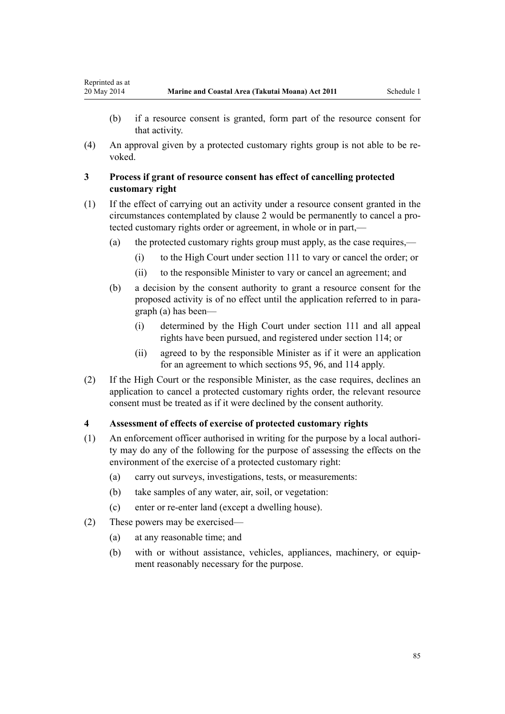Reprinted as at

(4) An approval given by a protected customary rights group is not able to be revoked.

# **3 Process if grant of resource consent has effect of cancelling protected customary right**

- (1) If the effect of carrying out an activity under a resource consent granted in the circumstances contemplated by [clause 2](#page-83-0) would be permanently to cancel a protected customary rights order or agreement, in whole or in part,—
	- (a) the protected customary rights group must apply, as the case requires,—
		- (i) to the High Court under [section 111](#page-74-0) to vary or cancel the order; or
		- (ii) to the responsible Minister to vary or cancel an agreement; and
	- (b) a decision by the consent authority to grant a resource consent for the proposed activity is of no effect until the application referred to in paragraph (a) has been—
		- (i) determined by the High Court under [section 111](#page-74-0) and all appeal rights have been pursued, and registered under [section 114;](#page-75-0) or
		- (ii) agreed to by the responsible Minister as if it were an application for an agreement to which [sections 95](#page-67-0), [96](#page-68-0), and [114](#page-75-0) apply.
- (2) If the High Court or the responsible Minister, as the case requires, declines an application to cancel a protected customary rights order, the relevant resource consent must be treated as if it were declined by the consent authority.

## **4 Assessment of effects of exercise of protected customary rights**

- (1) An enforcement officer authorised in writing for the purpose by a local authority may do any of the following for the purpose of assessing the effects on the environment of the exercise of a protected customary right:
	- (a) carry out surveys, investigations, tests, or measurements:
	- (b) take samples of any water, air, soil, or vegetation:
	- (c) enter or re-enter land (except a dwelling house).
- (2) These powers may be exercised—
	- (a) at any reasonable time; and
	- (b) with or without assistance, vehicles, appliances, machinery, or equipment reasonably necessary for the purpose.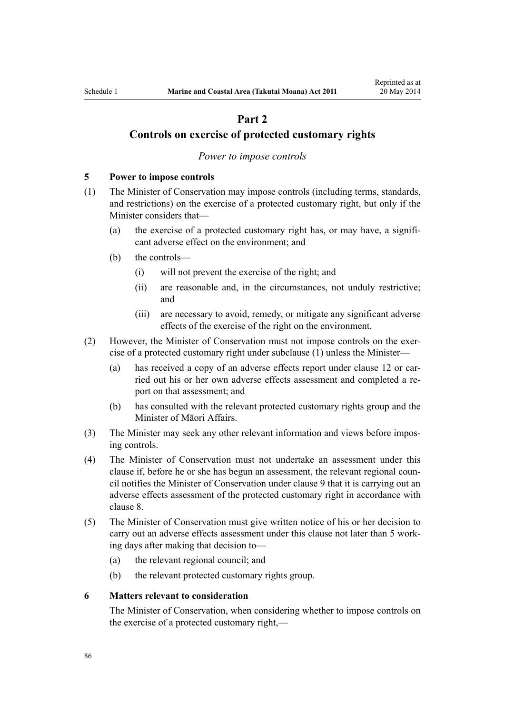# **Part 2**

## <span id="page-85-0"></span>**Controls on exercise of protected customary rights**

#### *Power to impose controls*

## **5 Power to impose controls**

- (1) The Minister of Conservation may impose controls (including terms, standards, and restrictions) on the exercise of a protected customary right, but only if the Minister considers that—
	- (a) the exercise of a protected customary right has, or may have, a significant adverse effect on the environment; and
	- (b) the controls—
		- (i) will not prevent the exercise of the right; and
		- (ii) are reasonable and, in the circumstances, not unduly restrictive; and
		- (iii) are necessary to avoid, remedy, or mitigate any significant adverse effects of the exercise of the right on the environment.
- (2) However, the Minister of Conservation must not impose controls on the exercise of a protected customary right under subclause (1) unless the Minister—
	- (a) has received a copy of an adverse effects report under [clause 12](#page-89-0) or carried out his or her own adverse effects assessment and completed a report on that assessment; and
	- (b) has consulted with the relevant protected customary rights group and the Minister of Māori Affairs.
- (3) The Minister may seek any other relevant information and views before imposing controls.
- (4) The Minister of Conservation must not undertake an assessment under this clause if, before he or she has begun an assessment, the relevant regional council notifies the Minister of Conservation under [clause 9](#page-87-0) that it is carrying out an adverse effects assessment of the protected customary right in accordance with [clause 8.](#page-86-0)
- (5) The Minister of Conservation must give written notice of his or her decision to carry out an adverse effects assessment under this clause not later than 5 working days after making that decision to—
	- (a) the relevant regional council; and
	- (b) the relevant protected customary rights group.

## **6 Matters relevant to consideration**

The Minister of Conservation, when considering whether to impose controls on the exercise of a protected customary right,—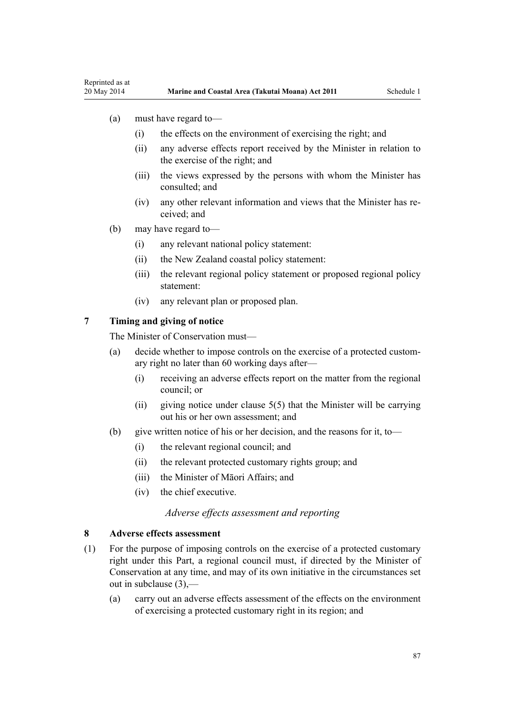- <span id="page-86-0"></span>(a) must have regard to—
	- (i) the effects on the environment of exercising the right; and
	- (ii) any adverse effects report received by the Minister in relation to the exercise of the right; and
	- (iii) the views expressed by the persons with whom the Minister has consulted; and
	- (iv) any other relevant information and views that the Minister has received; and
- (b) may have regard to—
	- (i) any relevant national policy statement:
	- (ii) the New Zealand coastal policy statement:
	- (iii) the relevant regional policy statement or proposed regional policy statement:
	- (iv) any relevant plan or proposed plan.

## **7 Timing and giving of notice**

The Minister of Conservation must—

- (a) decide whether to impose controls on the exercise of a protected customary right no later than 60 working days after—
	- (i) receiving an adverse effects report on the matter from the regional council; or
	- (ii) giving notice under clause  $5(5)$  that the Minister will be carrying out his or her own assessment; and
- (b) give written notice of his or her decision, and the reasons for it, to—
	- (i) the relevant regional council; and
	- (ii) the relevant protected customary rights group; and
	- (iii) the Minister of Māori Affairs; and
	- (iv) the chief executive.

## *Adverse effects assessment and reporting*

## **8 Adverse effects assessment**

- (1) For the purpose of imposing controls on the exercise of a protected customary right under this Part, a regional council must, if directed by the Minister of Conservation at any time, and may of its own initiative in the circumstances set out in subclause (3),—
	- (a) carry out an adverse effects assessment of the effects on the environment of exercising a protected customary right in its region; and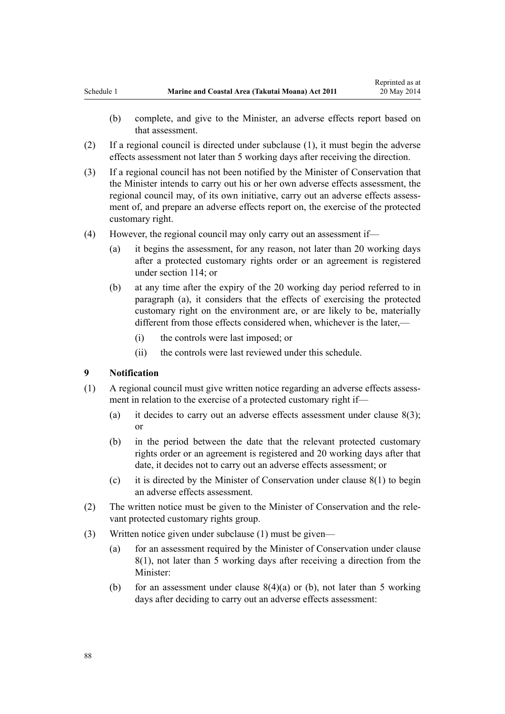- <span id="page-87-0"></span>(b) complete, and give to the Minister, an adverse effects report based on that assessment.
- (2) If a regional council is directed under subclause (1), it must begin the adverse effects assessment not later than 5 working days after receiving the direction.
- (3) If a regional council has not been notified by the Minister of Conservation that the Minister intends to carry out his or her own adverse effects assessment, the regional council may, of its own initiative, carry out an adverse effects assessment of, and prepare an adverse effects report on, the exercise of the protected customary right.
- (4) However, the regional council may only carry out an assessment if—
	- (a) it begins the assessment, for any reason, not later than 20 working days after a protected customary rights order or an agreement is registered under [section 114;](#page-75-0) or
	- (b) at any time after the expiry of the 20 working day period referred to in paragraph (a), it considers that the effects of exercising the protected customary right on the environment are, or are likely to be, materially different from those effects considered when, whichever is the later,—
		- (i) the controls were last imposed; or
		- (ii) the controls were last reviewed under this schedule.

#### **9 Notification**

- (1) A regional council must give written notice regarding an adverse effects assessment in relation to the exercise of a protected customary right if—
	- (a) it decides to carry out an adverse effects assessment under clause  $8(3)$ ; or
	- (b) in the period between the date that the relevant protected customary rights order or an agreement is registered and 20 working days after that date, it decides not to carry out an adverse effects assessment; or
	- (c) it is directed by the Minister of Conservation under [clause 8\(1\)](#page-86-0) to begin an adverse effects assessment.
- (2) The written notice must be given to the Minister of Conservation and the relevant protected customary rights group.
- (3) Written notice given under subclause (1) must be given—
	- (a) for an assessment required by the Minister of Conservation under [clause](#page-86-0) [8\(1\)](#page-86-0), not later than 5 working days after receiving a direction from the Minister:
	- (b) for an assessment under clause  $8(4)(a)$  or (b), not later than 5 working days after deciding to carry out an adverse effects assessment: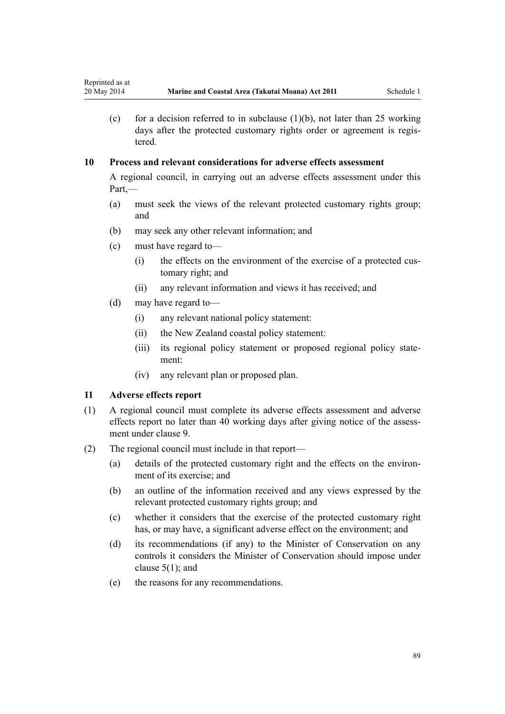(c) for a decision referred to in subclause  $(1)(b)$ , not later than 25 working days after the protected customary rights order or agreement is registered.

# **10 Process and relevant considerations for adverse effects assessment**

A regional council, in carrying out an adverse effects assessment under this Part,—

- (a) must seek the views of the relevant protected customary rights group; and
- (b) may seek any other relevant information; and
- (c) must have regard to—
	- (i) the effects on the environment of the exercise of a protected customary right; and
	- (ii) any relevant information and views it has received; and
- (d) may have regard to—
	- (i) any relevant national policy statement:
	- (ii) the New Zealand coastal policy statement:
	- (iii) its regional policy statement or proposed regional policy statement:
	- (iv) any relevant plan or proposed plan.

## **11 Adverse effects report**

- (1) A regional council must complete its adverse effects assessment and adverse effects report no later than 40 working days after giving notice of the assessment under [clause 9](#page-87-0).
- (2) The regional council must include in that report—
	- (a) details of the protected customary right and the effects on the environment of its exercise; and
	- (b) an outline of the information received and any views expressed by the relevant protected customary rights group; and
	- (c) whether it considers that the exercise of the protected customary right has, or may have, a significant adverse effect on the environment; and
	- (d) its recommendations (if any) to the Minister of Conservation on any controls it considers the Minister of Conservation should impose under [clause 5\(1\);](#page-85-0) and
	- (e) the reasons for any recommendations.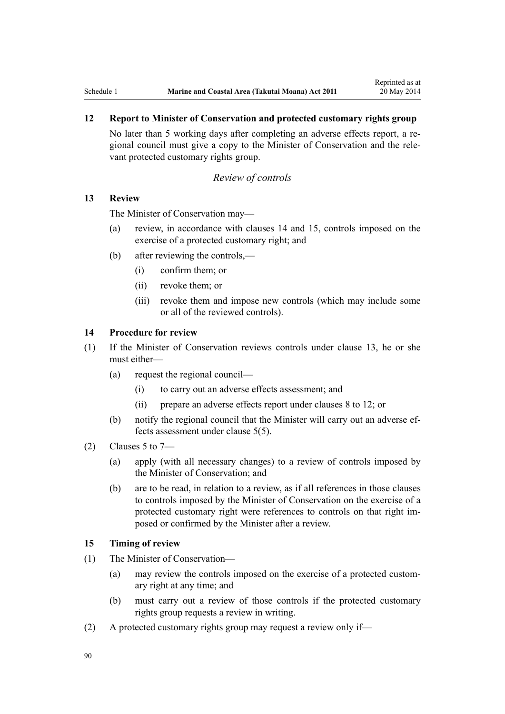# <span id="page-89-0"></span>**12 Report to Minister of Conservation and protected customary rights group**

No later than 5 working days after completing an adverse effects report, a regional council must give a copy to the Minister of Conservation and the relevant protected customary rights group.

## *Review of controls*

## **13 Review**

The Minister of Conservation may—

- (a) review, in accordance with clauses 14 and 15, controls imposed on the exercise of a protected customary right; and
- (b) after reviewing the controls,—
	- (i) confirm them; or
	- (ii) revoke them; or
	- (iii) revoke them and impose new controls (which may include some or all of the reviewed controls).

## **14 Procedure for review**

- (1) If the Minister of Conservation reviews controls under clause 13, he or she must either—
	- (a) request the regional council—
		- (i) to carry out an adverse effects assessment; and
		- (ii) prepare an adverse effects report under [clauses 8 to 12](#page-86-0); or
	- (b) notify the regional council that the Minister will carry out an adverse effects assessment under [clause 5\(5\).](#page-85-0)
- $(2)$  [Clauses 5 to 7](#page-85-0)
	- (a) apply (with all necessary changes) to a review of controls imposed by the Minister of Conservation; and
	- (b) are to be read, in relation to a review, as if all references in those clauses to controls imposed by the Minister of Conservation on the exercise of a protected customary right were references to controls on that right imposed or confirmed by the Minister after a review.

## **15 Timing of review**

- (1) The Minister of Conservation—
	- (a) may review the controls imposed on the exercise of a protected customary right at any time; and
	- (b) must carry out a review of those controls if the protected customary rights group requests a review in writing.
- (2) A protected customary rights group may request a review only if—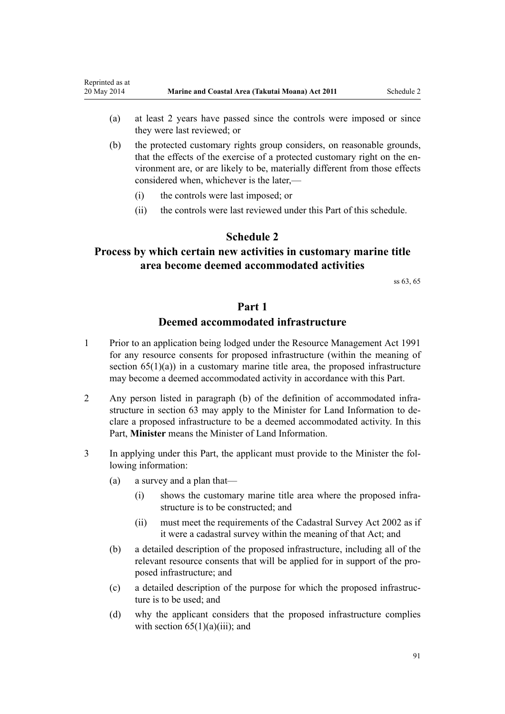- <span id="page-90-0"></span>(a) at least 2 years have passed since the controls were imposed or since they were last reviewed; or
- (b) the protected customary rights group considers, on reasonable grounds, that the effects of the exercise of a protected customary right on the environment are, or are likely to be, materially different from those effects considered when, whichever is the later,—
	- (i) the controls were last imposed; or
	- (ii) the controls were last reviewed under this Part of this schedule.

# **Schedule 2**

# **Process by which certain new activities in customary marine title area become deemed accommodated activities**

[ss 63,](#page-46-0) [65](#page-50-0)

# **Part 1**

# **Deemed accommodated infrastructure**

- 1 Prior to an application being lodged under the [Resource Management Act 1991](http://prd-lgnz-nlb.prd.pco.net.nz/pdflink.aspx?id=DLM230264) for any resource consents for proposed infrastructure (within the meaning of section  $65(1)(a)$  in a customary marine title area, the proposed infrastructure may become a deemed accommodated activity in accordance with this Part.
- 2 Any person listed in paragraph (b) of the definition of accommodated infrastructure in [section 63](#page-46-0) may apply to the Minister for Land Information to declare a proposed infrastructure to be a deemed accommodated activity. In this Part, **Minister** means the Minister of Land Information.
- 3 In applying under this Part, the applicant must provide to the Minister the following information:
	- (a) a survey and a plan that—
		- (i) shows the customary marine title area where the proposed infrastructure is to be constructed; and
		- (ii) must meet the requirements of the [Cadastral Survey Act 2002](http://prd-lgnz-nlb.prd.pco.net.nz/pdflink.aspx?id=DLM141994) as if it were a cadastral survey within the meaning of that Act; and
	- (b) a detailed description of the proposed infrastructure, including all of the relevant resource consents that will be applied for in support of the proposed infrastructure; and
	- (c) a detailed description of the purpose for which the proposed infrastructure is to be used; and
	- (d) why the applicant considers that the proposed infrastructure complies with section  $65(1)(a)(iii)$ ; and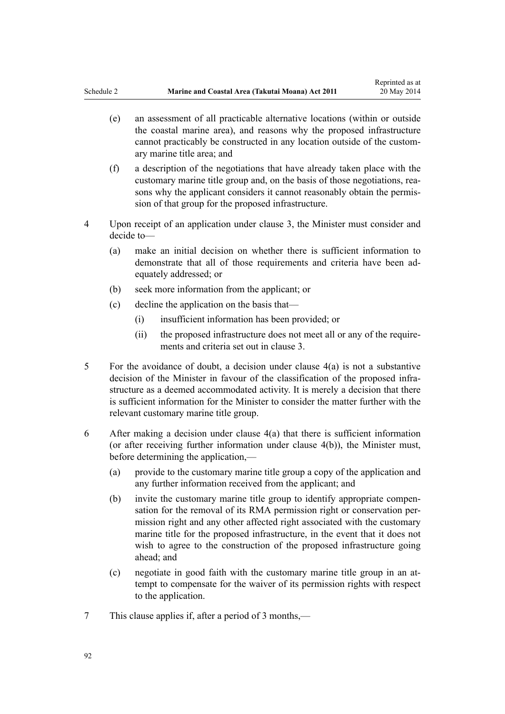- <span id="page-91-0"></span>(e) an assessment of all practicable alternative locations (within or outside the coastal marine area), and reasons why the proposed infrastructure cannot practicably be constructed in any location outside of the customary marine title area; and
- (f) a description of the negotiations that have already taken place with the customary marine title group and, on the basis of those negotiations, reasons why the applicant considers it cannot reasonably obtain the permission of that group for the proposed infrastructure.
- 4 Upon receipt of an application under clause 3, the Minister must consider and decide to—
	- (a) make an initial decision on whether there is sufficient information to demonstrate that all of those requirements and criteria have been adequately addressed; or
	- (b) seek more information from the applicant; or
	- (c) decline the application on the basis that—
		- (i) insufficient information has been provided; or
		- (ii) the proposed infrastructure does not meet all or any of the requirements and criteria set out in [clause 3.](#page-90-0)
- 5 For the avoidance of doubt, a decision under clause 4(a) is not a substantive decision of the Minister in favour of the classification of the proposed infrastructure as a deemed accommodated activity. It is merely a decision that there is sufficient information for the Minister to consider the matter further with the relevant customary marine title group.
- 6 After making a decision under clause 4(a) that there is sufficient information (or after receiving further information under clause 4(b)), the Minister must, before determining the application,—
	- (a) provide to the customary marine title group a copy of the application and any further information received from the applicant; and
	- (b) invite the customary marine title group to identify appropriate compensation for the removal of its RMA permission right or conservation permission right and any other affected right associated with the customary marine title for the proposed infrastructure, in the event that it does not wish to agree to the construction of the proposed infrastructure going ahead; and
	- (c) negotiate in good faith with the customary marine title group in an attempt to compensate for the waiver of its permission rights with respect to the application.
- 7 This clause applies if, after a period of 3 months,—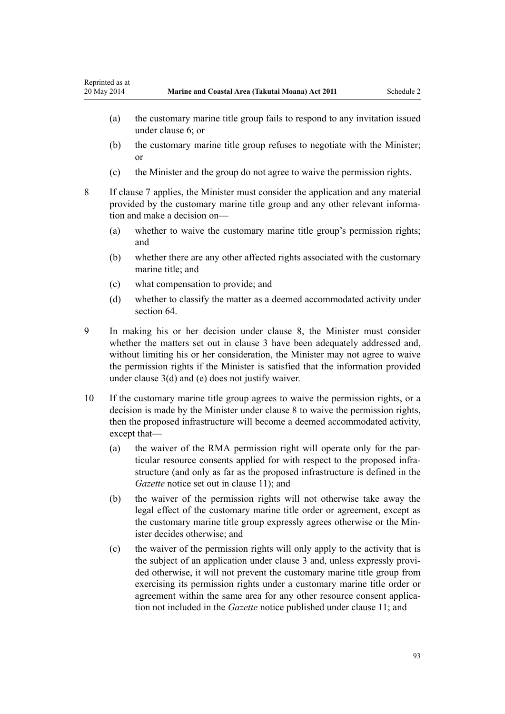- <span id="page-92-0"></span>(a) the customary marine title group fails to respond to any invitation issued under [clause 6;](#page-91-0) or
- (b) the customary marine title group refuses to negotiate with the Minister; or
- (c) the Minister and the group do not agree to waive the permission rights.
- 8 If [clause 7](#page-91-0) applies, the Minister must consider the application and any material provided by the customary marine title group and any other relevant information and make a decision on—
	- (a) whether to waive the customary marine title group's permission rights; and
	- (b) whether there are any other affected rights associated with the customary marine title: and
	- (c) what compensation to provide; and
	- (d) whether to classify the matter as a deemed accommodated activity under [section 64](#page-48-0)
- 9 In making his or her decision under clause 8, the Minister must consider whether the matters set out in [clause 3](#page-90-0) have been adequately addressed and, without limiting his or her consideration, the Minister may not agree to waive the permission rights if the Minister is satisfied that the information provided under [clause 3\(d\) and \(e\)](#page-90-0) does not justify waiver.
- 10 If the customary marine title group agrees to waive the permission rights, or a decision is made by the Minister under clause 8 to waive the permission rights, then the proposed infrastructure will become a deemed accommodated activity, except that—
	- (a) the waiver of the RMA permission right will operate only for the particular resource consents applied for with respect to the proposed infrastructure (and only as far as the proposed infrastructure is defined in the *Gazette* notice set out in [clause 11\)](#page-93-0); and
	- (b) the waiver of the permission rights will not otherwise take away the legal effect of the customary marine title order or agreement, except as the customary marine title group expressly agrees otherwise or the Minister decides otherwise; and
	- (c) the waiver of the permission rights will only apply to the activity that is the subject of an application under [clause 3](#page-90-0) and, unless expressly provided otherwise, it will not prevent the customary marine title group from exercising its permission rights under a customary marine title order or agreement within the same area for any other resource consent application not included in the *Gazette* notice published under [clause 11](#page-93-0); and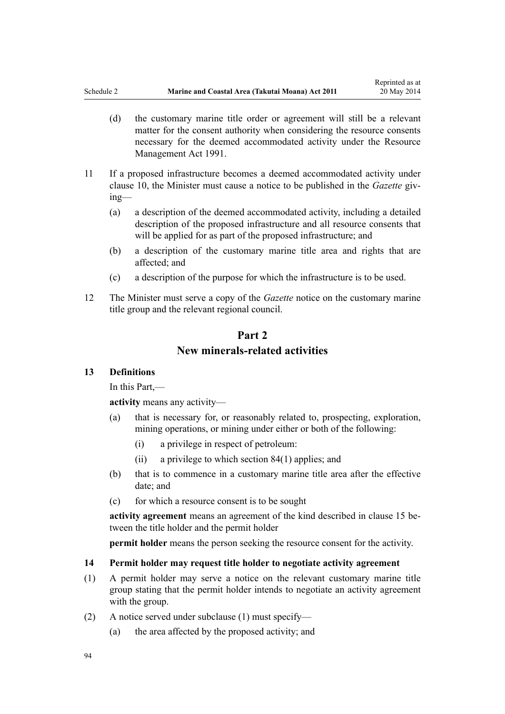- <span id="page-93-0"></span>(d) the customary marine title order or agreement will still be a relevant matter for the consent authority when considering the resource consents necessary for the deemed accommodated activity under the [Resource](http://prd-lgnz-nlb.prd.pco.net.nz/pdflink.aspx?id=DLM230264) [Management Act 1991.](http://prd-lgnz-nlb.prd.pco.net.nz/pdflink.aspx?id=DLM230264)
- 11 If a proposed infrastructure becomes a deemed accommodated activity under [clause 10,](#page-92-0) the Minister must cause a notice to be published in the *Gazette* giving—
	- (a) a description of the deemed accommodated activity, including a detailed description of the proposed infrastructure and all resource consents that will be applied for as part of the proposed infrastructure; and
	- (b) a description of the customary marine title area and rights that are affected; and
	- (c) a description of the purpose for which the infrastructure is to be used.
- 12 The Minister must serve a copy of the *Gazette* notice on the customary marine title group and the relevant regional council.

# **Part 2 New minerals-related activities**

## **13 Definitions**

In this Part,—

**activity** means any activity—

- (a) that is necessary for, or reasonably related to, prospecting, exploration, mining operations, or mining under either or both of the following:
	- (i) a privilege in respect of petroleum:
	- (ii) a privilege to which [section 84\(1\)](#page-61-0) applies; and
- (b) that is to commence in a customary marine title area after the effective date; and
- (c) for which a resource consent is to be sought

**activity agreement** means an agreement of the kind described in [clause 15](#page-94-0) between the title holder and the permit holder

**permit holder** means the person seeking the resource consent for the activity.

## **14 Permit holder may request title holder to negotiate activity agreement**

- (1) A permit holder may serve a notice on the relevant customary marine title group stating that the permit holder intends to negotiate an activity agreement with the group.
- (2) A notice served under subclause (1) must specify—
	- (a) the area affected by the proposed activity; and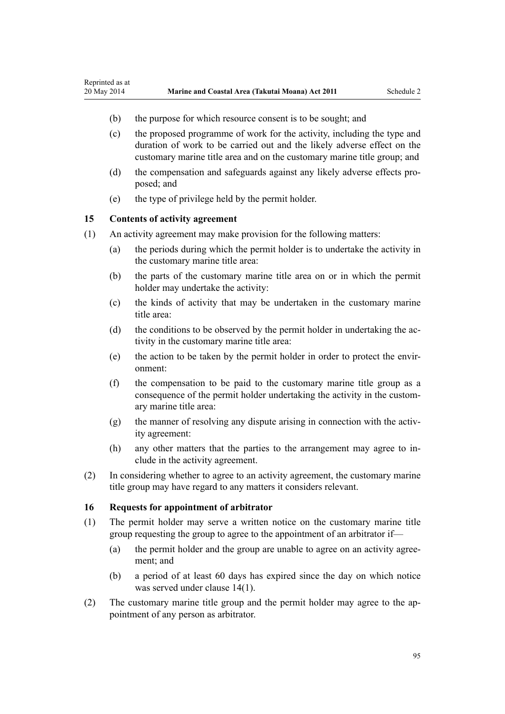- (b) the purpose for which resource consent is to be sought; and
- (c) the proposed programme of work for the activity, including the type and duration of work to be carried out and the likely adverse effect on the customary marine title area and on the customary marine title group; and
- (d) the compensation and safeguards against any likely adverse effects proposed; and
- (e) the type of privilege held by the permit holder.

## **15 Contents of activity agreement**

<span id="page-94-0"></span>Reprinted as at

- (1) An activity agreement may make provision for the following matters:
	- (a) the periods during which the permit holder is to undertake the activity in the customary marine title area:
	- (b) the parts of the customary marine title area on or in which the permit holder may undertake the activity:
	- (c) the kinds of activity that may be undertaken in the customary marine title area:
	- (d) the conditions to be observed by the permit holder in undertaking the activity in the customary marine title area:
	- (e) the action to be taken by the permit holder in order to protect the environment:
	- (f) the compensation to be paid to the customary marine title group as a consequence of the permit holder undertaking the activity in the customary marine title area:
	- (g) the manner of resolving any dispute arising in connection with the activity agreement:
	- (h) any other matters that the parties to the arrangement may agree to include in the activity agreement.
- (2) In considering whether to agree to an activity agreement, the customary marine title group may have regard to any matters it considers relevant.

## **16 Requests for appointment of arbitrator**

- (1) The permit holder may serve a written notice on the customary marine title group requesting the group to agree to the appointment of an arbitrator if—
	- (a) the permit holder and the group are unable to agree on an activity agreement; and
	- (b) a period of at least 60 days has expired since the day on which notice was served under [clause 14\(1\)](#page-93-0).
- (2) The customary marine title group and the permit holder may agree to the appointment of any person as arbitrator.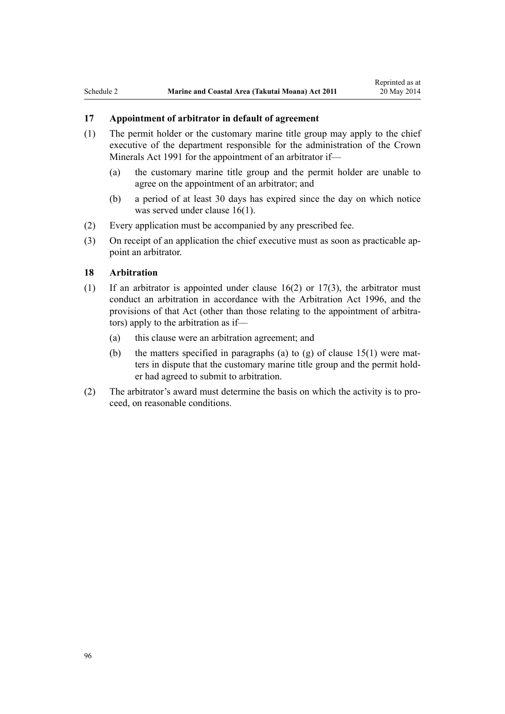# **17 Appointment of arbitrator in default of agreement**

- (1) The permit holder or the customary marine title group may apply to the chief executive of the department responsible for the administration of the [Crown](http://prd-lgnz-nlb.prd.pco.net.nz/pdflink.aspx?id=DLM242535) [Minerals Act 1991](http://prd-lgnz-nlb.prd.pco.net.nz/pdflink.aspx?id=DLM242535) for the appointment of an arbitrator if—
	- (a) the customary marine title group and the permit holder are unable to agree on the appointment of an arbitrator; and
	- (b) a period of at least 30 days has expired since the day on which notice was served under [clause 16\(1\)](#page-94-0).
- (2) Every application must be accompanied by any prescribed fee.
- (3) On receipt of an application the chief executive must as soon as practicable appoint an arbitrator.

## **18 Arbitration**

- (1) If an arbitrator is appointed under clause  $16(2)$  or  $17(3)$ , the arbitrator must conduct an arbitration in accordance with the [Arbitration Act 1996](http://prd-lgnz-nlb.prd.pco.net.nz/pdflink.aspx?id=DLM403276), and the provisions of that Act (other than those relating to the appointment of arbitrators) apply to the arbitration as if—
	- (a) this clause were an arbitration agreement; and
	- (b) the matters specified in paragraphs (a) to (g) of clause  $15(1)$  were matters in dispute that the customary marine title group and the permit holder had agreed to submit to arbitration.
- (2) The arbitrator's award must determine the basis on which the activity is to proceed, on reasonable conditions.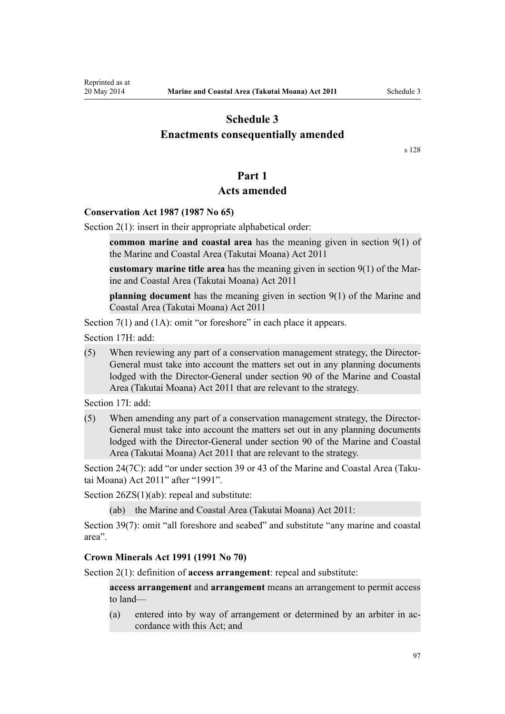# <span id="page-96-0"></span>**Schedule 3 Enactments consequentially amended**

[s 128](#page-82-0)

# **Part 1**

## **Acts amended**

## **[Conservation Act 1987](http://prd-lgnz-nlb.prd.pco.net.nz/pdflink.aspx?id=DLM103609) (1987 No 65)**

[Section 2\(1\):](http://prd-lgnz-nlb.prd.pco.net.nz/pdflink.aspx?id=DLM103616) insert in their appropriate alphabetical order:

**common marine and coastal area** has the meaning given in section 9(1) of the Marine and Coastal Area (Takutai Moana) Act 2011

**customary marine title area** has the meaning given in section 9(1) of the Marine and Coastal Area (Takutai Moana) Act 2011

**planning document** has the meaning given in section 9(1) of the Marine and Coastal Area (Takutai Moana) Act 2011

[Section 7\(1\)](http://prd-lgnz-nlb.prd.pco.net.nz/pdflink.aspx?id=DLM104251) and (1A): omit "or foreshore" in each place it appears.

[Section 17H](http://prd-lgnz-nlb.prd.pco.net.nz/pdflink.aspx?id=DLM104613): add:

(5) When reviewing any part of a conservation management strategy, the Director-General must take into account the matters set out in any planning documents lodged with the Director-General under section 90 of the Marine and Coastal Area (Takutai Moana) Act 2011 that are relevant to the strategy.

[Section 17I:](http://prd-lgnz-nlb.prd.pco.net.nz/pdflink.aspx?id=DLM104615) add:

(5) When amending any part of a conservation management strategy, the Director-General must take into account the matters set out in any planning documents lodged with the Director-General under section 90 of the Marine and Coastal Area (Takutai Moana) Act 2011 that are relevant to the strategy.

[Section 24\(7C\)](http://prd-lgnz-nlb.prd.pco.net.nz/pdflink.aspx?id=DLM104699): add "or under section 39 or 43 of the Marine and Coastal Area (Takutai Moana) Act 2011" after "1991".

[Section 26ZS\(1\)\(ab\)](http://prd-lgnz-nlb.prd.pco.net.nz/pdflink.aspx?id=DLM106043): repeal and substitute:

(ab) the Marine and Coastal Area (Takutai Moana) Act 2011:

[Section 39\(7\):](http://prd-lgnz-nlb.prd.pco.net.nz/pdflink.aspx?id=DLM106641) omit "all foreshore and seabed" and substitute "any marine and coastal area".

#### **[Crown Minerals Act 1991](http://prd-lgnz-nlb.prd.pco.net.nz/pdflink.aspx?id=DLM242535) (1991 No 70)**

[Section 2\(1\):](http://prd-lgnz-nlb.prd.pco.net.nz/pdflink.aspx?id=DLM242543) definition of **access arrangement**: repeal and substitute:

**access arrangement** and **arrangement** means an arrangement to permit access to land—

(a) entered into by way of arrangement or determined by an arbiter in accordance with this Act; and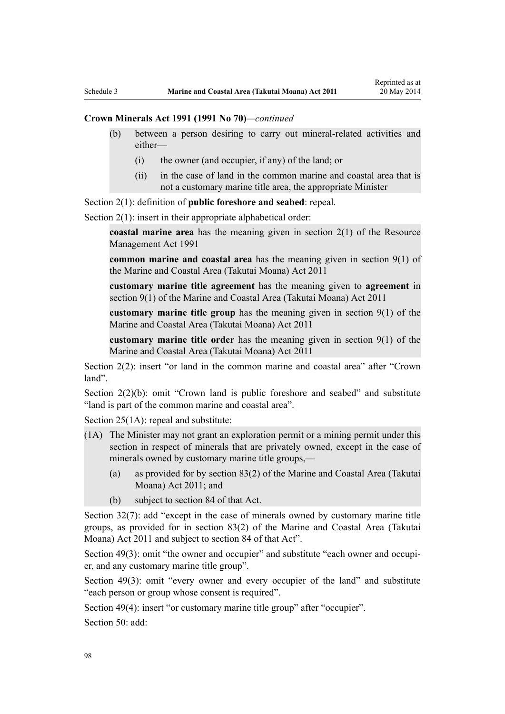## **Crown Minerals Act 1991 (1991 No 70)***—continued*

- (b) between a person desiring to carry out mineral-related activities and either—
	- (i) the owner (and occupier, if any) of the land; or
	- (ii) in the case of land in the common marine and coastal area that is not a customary marine title area, the appropriate Minister

[Section 2\(1\):](http://prd-lgnz-nlb.prd.pco.net.nz/pdflink.aspx?id=DLM242543) definition of **public foreshore and seabed**: repeal.

[Section 2\(1\):](http://prd-lgnz-nlb.prd.pco.net.nz/pdflink.aspx?id=DLM242543) insert in their appropriate alphabetical order:

**coastal marine area** has the meaning given in section 2(1) of the Resource Management Act 1991

**common marine and coastal area** has the meaning given in section 9(1) of the Marine and Coastal Area (Takutai Moana) Act 2011

**customary marine title agreement** has the meaning given to **agreement** in section 9(1) of the Marine and Coastal Area (Takutai Moana) Act 2011

**customary marine title group** has the meaning given in section 9(1) of the Marine and Coastal Area (Takutai Moana) Act 2011

**customary marine title order** has the meaning given in section 9(1) of the Marine and Coastal Area (Takutai Moana) Act 2011

[Section 2\(2\)](http://prd-lgnz-nlb.prd.pco.net.nz/pdflink.aspx?id=DLM242543): insert "or land in the common marine and coastal area" after "Crown land".

[Section 2\(2\)\(b\)](http://prd-lgnz-nlb.prd.pco.net.nz/pdflink.aspx?id=DLM242543): omit "Crown land is public foreshore and seabed" and substitute "land is part of the common marine and coastal area".

[Section 25\(1A\):](http://prd-lgnz-nlb.prd.pco.net.nz/pdflink.aspx?id=DLM5226925) repeal and substitute:

- (1A) The Minister may not grant an exploration permit or a mining permit under this section in respect of minerals that are privately owned, except in the case of minerals owned by customary marine title groups,—
	- (a) as provided for by section 83(2) of the Marine and Coastal Area (Takutai Moana) Act 2011; and
	- (b) subject to section 84 of that Act.

[Section 32\(7\):](http://prd-lgnz-nlb.prd.pco.net.nz/pdflink.aspx?id=DLM5226938) add "except in the case of minerals owned by customary marine title groups, as provided for in section 83(2) of the Marine and Coastal Area (Takutai Moana) Act 2011 and subject to section 84 of that Act".

[Section 49\(3\):](http://prd-lgnz-nlb.prd.pco.net.nz/pdflink.aspx?id=DLM5227101) omit "the owner and occupier" and substitute "each owner and occupier, and any customary marine title group".

[Section 49\(3\):](http://prd-lgnz-nlb.prd.pco.net.nz/pdflink.aspx?id=DLM5227101) omit "every owner and every occupier of the land" and substitute "each person or group whose consent is required".

[Section 49\(4\)](http://prd-lgnz-nlb.prd.pco.net.nz/pdflink.aspx?id=DLM5227101): insert "or customary marine title group" after "occupier".

[Section 50](http://prd-lgnz-nlb.prd.pco.net.nz/pdflink.aspx?id=DLM5227104): add: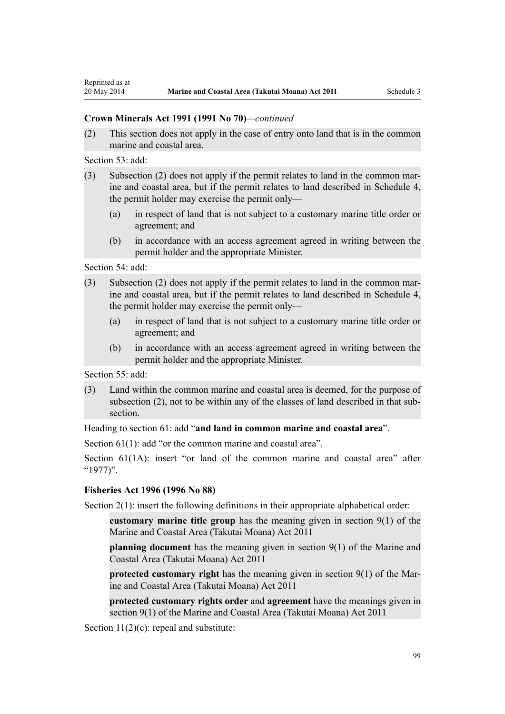## **Crown Minerals Act 1991 (1991 No 70)***—continued*

(2) This section does not apply in the case of entry onto land that is in the common marine and coastal area.

[Section 53](http://prd-lgnz-nlb.prd.pco.net.nz/pdflink.aspx?id=DLM5227117): add:

- (3) Subsection (2) does not apply if the permit relates to land in the common marine and coastal area, but if the permit relates to land described in Schedule 4, the permit holder may exercise the permit only—
	- (a) in respect of land that is not subject to a customary marine title order or agreement; and
	- (b) in accordance with an access agreement agreed in writing between the permit holder and the appropriate Minister.

[Section 54](http://prd-lgnz-nlb.prd.pco.net.nz/pdflink.aspx?id=DLM5227119): add:

- (3) Subsection (2) does not apply if the permit relates to land in the common marine and coastal area, but if the permit relates to land described in Schedule 4, the permit holder may exercise the permit only—
	- (a) in respect of land that is not subject to a customary marine title order or agreement; and
	- (b) in accordance with an access agreement agreed in writing between the permit holder and the appropriate Minister.

[Section 55](http://prd-lgnz-nlb.prd.pco.net.nz/pdflink.aspx?id=DLM5227123): add:

(3) Land within the common marine and coastal area is deemed, for the purpose of subsection (2), not to be within any of the classes of land described in that subsection.

Heading to [section 61:](http://prd-lgnz-nlb.prd.pco.net.nz/pdflink.aspx?id=DLM5227132) add "**and land in common marine and coastal area**".

[Section 61\(1\)](http://prd-lgnz-nlb.prd.pco.net.nz/pdflink.aspx?id=DLM5227132): add "or the common marine and coastal area".

[Section 61\(1A\)](http://prd-lgnz-nlb.prd.pco.net.nz/pdflink.aspx?id=DLM5227132): insert "or land of the common marine and coastal area" after "1977)".

## **[Fisheries Act 1996](http://prd-lgnz-nlb.prd.pco.net.nz/pdflink.aspx?id=DLM394191) (1996 No 88)**

[Section 2\(1\):](http://prd-lgnz-nlb.prd.pco.net.nz/pdflink.aspx?id=DLM394199) insert the following definitions in their appropriate alphabetical order:

**customary marine title group** has the meaning given in section 9(1) of the Marine and Coastal Area (Takutai Moana) Act 2011

**planning document** has the meaning given in section 9(1) of the Marine and Coastal Area (Takutai Moana) Act 2011

**protected customary right** has the meaning given in section 9(1) of the Marine and Coastal Area (Takutai Moana) Act 2011

**protected customary rights order** and **agreement** have the meanings given in section 9(1) of the Marine and Coastal Area (Takutai Moana) Act 2011

[Section 11\(2\)\(c\):](http://prd-lgnz-nlb.prd.pco.net.nz/pdflink.aspx?id=DLM395397) repeal and substitute: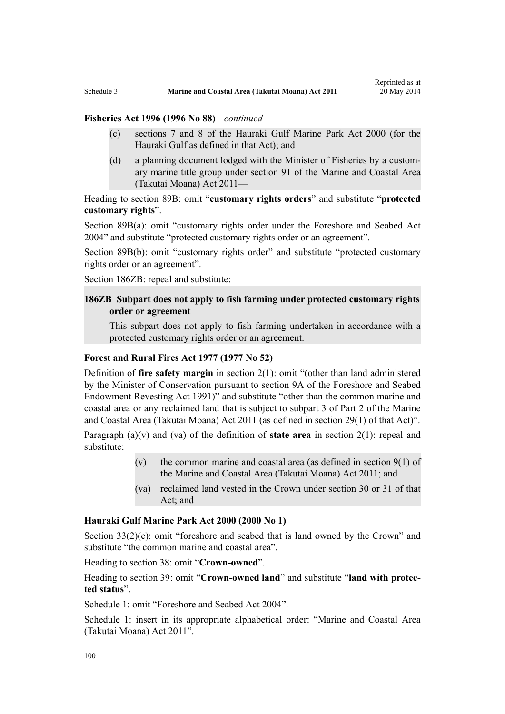## **Fisheries Act 1996 (1996 No 88)***—continued*

- (c) sections 7 and 8 of the Hauraki Gulf Marine Park Act 2000 (for the Hauraki Gulf as defined in that Act); and
- (d) a planning document lodged with the Minister of Fisheries by a customary marine title group under section 91 of the Marine and Coastal Area (Takutai Moana) Act 2011—

Heading to [section 89B](http://prd-lgnz-nlb.prd.pco.net.nz/pdflink.aspx?id=DLM396920): omit "**customary rights orders**" and substitute "**protected customary rights**".

[Section 89B\(a\)](http://prd-lgnz-nlb.prd.pco.net.nz/pdflink.aspx?id=DLM396920): omit "customary rights order under the Foreshore and Seabed Act 2004" and substitute "protected customary rights order or an agreement".

[Section 89B\(b\):](http://prd-lgnz-nlb.prd.pco.net.nz/pdflink.aspx?id=DLM396920) omit "customary rights order" and substitute "protected customary rights order or an agreement".

[Section 186ZB:](http://prd-lgnz-nlb.prd.pco.net.nz/pdflink.aspx?id=DLM398342) repeal and substitute:

## **186ZB Subpart does not apply to fish farming under protected customary rights order or agreement**

This subpart does not apply to fish farming undertaken in accordance with a protected customary rights order or an agreement.

## **[Forest and Rural Fires Act 1977](http://prd-lgnz-nlb.prd.pco.net.nz/pdflink.aspx?id=DLM442946) (1977 No 52)**

Definition of **fire safety margin** in [section 2\(1\):](http://prd-lgnz-nlb.prd.pco.net.nz/pdflink.aspx?id=DLM442952) omit "(other than land administered by the Minister of Conservation pursuant to section 9A of the Foreshore and Seabed Endowment Revesting Act 1991)" and substitute "other than the common marine and coastal area or any reclaimed land that is subject to subpart 3 of Part 2 of the Marine and Coastal Area (Takutai Moana) Act 2011 (as defined in section 29(1) of that Act)".

Paragraph (a)(v) and (va) of the definition of **state area** in [section 2\(1\):](http://prd-lgnz-nlb.prd.pco.net.nz/pdflink.aspx?id=DLM442952) repeal and substitute:

- (v) the common marine and coastal area (as defined in section  $9(1)$  of the Marine and Coastal Area (Takutai Moana) Act 2011; and
- (va) reclaimed land vested in the Crown under section 30 or 31 of that Act; and

#### **[Hauraki Gulf Marine Park Act 2000](http://prd-lgnz-nlb.prd.pco.net.nz/pdflink.aspx?id=DLM52557) (2000 No 1)**

[Section 33\(2\)\(c\)](http://prd-lgnz-nlb.prd.pco.net.nz/pdflink.aspx?id=DLM53174): omit "foreshore and seabed that is land owned by the Crown" and substitute "the common marine and coastal area".

Heading to [section 38:](http://prd-lgnz-nlb.prd.pco.net.nz/pdflink.aspx?id=DLM53180) omit "**Crown-owned**".

Heading to [section 39:](http://prd-lgnz-nlb.prd.pco.net.nz/pdflink.aspx?id=DLM53181) omit "**Crown-owned land**" and substitute "**land with protected status**".

[Schedule 1:](http://prd-lgnz-nlb.prd.pco.net.nz/pdflink.aspx?id=DLM53199) omit "Foreshore and Seabed Act 2004".

[Schedule 1:](http://prd-lgnz-nlb.prd.pco.net.nz/pdflink.aspx?id=DLM53199) insert in its appropriate alphabetical order: "Marine and Coastal Area (Takutai Moana) Act 2011".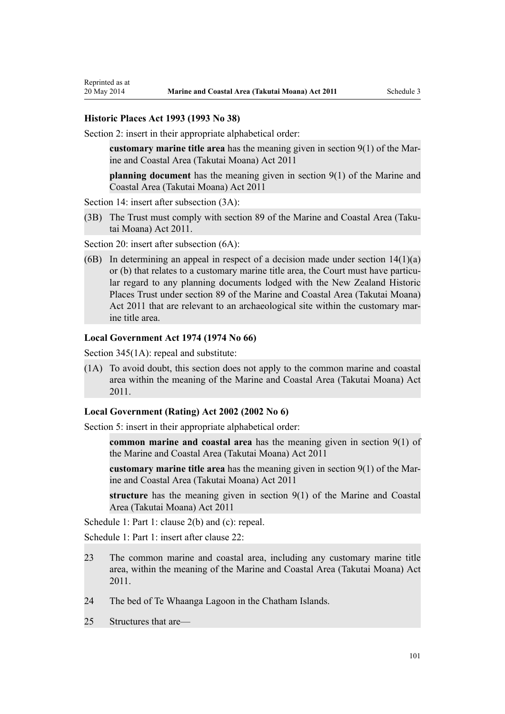#### **[Historic Places Act 1993](http://prd-lgnz-nlb.prd.pco.net.nz/pdflink.aspx?id=DLM300510) (1993 No 38)**

[Section 2](http://prd-lgnz-nlb.prd.pco.net.nz/pdflink.aspx?id=DLM300516): insert in their appropriate alphabetical order:

**customary marine title area** has the meaning given in section 9(1) of the Marine and Coastal Area (Takutai Moana) Act 2011

**planning document** has the meaning given in section 9(1) of the Marine and Coastal Area (Takutai Moana) Act 2011

[Section 14](http://prd-lgnz-nlb.prd.pco.net.nz/pdflink.aspx?id=DLM300610): insert after subsection  $(3A)$ :

(3B) The Trust must comply with section 89 of the Marine and Coastal Area (Takutai Moana) Act 2011.

[Section 20](http://prd-lgnz-nlb.prd.pco.net.nz/pdflink.aspx?id=DLM300622): insert after subsection  $(6A)$ :

(6B) In determining an appeal in respect of a decision made under section  $14(1)(a)$ or (b) that relates to a customary marine title area, the Court must have particular regard to any planning documents lodged with the New Zealand Historic Places Trust under section 89 of the Marine and Coastal Area (Takutai Moana) Act 2011 that are relevant to an archaeological site within the customary marine title area.

#### **[Local Government Act 1974](http://prd-lgnz-nlb.prd.pco.net.nz/pdflink.aspx?id=DLM415531) (1974 No 66)**

[Section 345\(1A\):](http://prd-lgnz-nlb.prd.pco.net.nz/pdflink.aspx?id=DLM420626) repeal and substitute:

(1A) To avoid doubt, this section does not apply to the common marine and coastal area within the meaning of the Marine and Coastal Area (Takutai Moana) Act 2011.

## **[Local Government \(Rating\) Act 2002](http://prd-lgnz-nlb.prd.pco.net.nz/pdflink.aspx?id=DLM131393) (2002 No 6)**

[Section 5](http://prd-lgnz-nlb.prd.pco.net.nz/pdflink.aspx?id=DLM132004): insert in their appropriate alphabetical order:

**common marine and coastal area** has the meaning given in section 9(1) of the Marine and Coastal Area (Takutai Moana) Act 2011

**customary marine title area** has the meaning given in section 9(1) of the Marine and Coastal Area (Takutai Moana) Act 2011

**structure** has the meaning given in section 9(1) of the Marine and Coastal Area (Takutai Moana) Act 2011

[Schedule 1:](http://prd-lgnz-nlb.prd.pco.net.nz/pdflink.aspx?id=DLM133512) Part 1: clause 2(b) and (c): repeal.

[Schedule 1:](http://prd-lgnz-nlb.prd.pco.net.nz/pdflink.aspx?id=DLM133512) Part 1: insert after clause 22:

- 23 The common marine and coastal area, including any customary marine title area, within the meaning of the Marine and Coastal Area (Takutai Moana) Act 2011.
- 24 The bed of Te Whaanga Lagoon in the Chatham Islands.
- 25 Structures that are—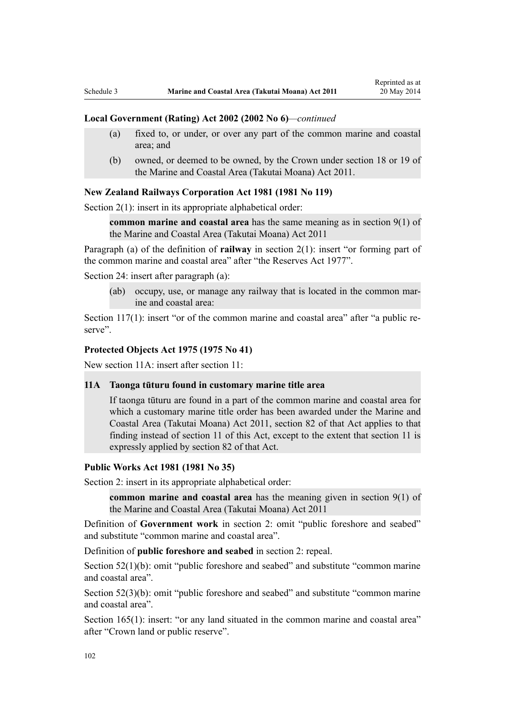#### **Local Government (Rating) Act 2002 (2002 No 6)***—continued*

- (a) fixed to, or under, or over any part of the common marine and coastal area; and
- (b) owned, or deemed to be owned, by the Crown under section 18 or 19 of the Marine and Coastal Area (Takutai Moana) Act 2011.

#### **[New Zealand Railways Corporation Act 1981](http://prd-lgnz-nlb.prd.pco.net.nz/pdflink.aspx?id=DLM57005) (1981 No 119)**

[Section 2\(1\):](http://prd-lgnz-nlb.prd.pco.net.nz/pdflink.aspx?id=DLM57011) insert in its appropriate alphabetical order:

**common marine and coastal area** has the same meaning as in section 9(1) of the Marine and Coastal Area (Takutai Moana) Act 2011

Paragraph (a) of the definition of **railway** in section 2(1): insert "or forming part of the common marine and coastal area" after "the Reserves Act 1977".

[Section 24](http://prd-lgnz-nlb.prd.pco.net.nz/pdflink.aspx?id=DLM57642): insert after paragraph (a):

(ab) occupy, use, or manage any railway that is located in the common marine and coastal area:

[Section 117\(1\)](http://prd-lgnz-nlb.prd.pco.net.nz/pdflink.aspx?id=DLM58268): insert "or of the common marine and coastal area" after "a public reserve".

## **[Protected Objects Act 1975](http://prd-lgnz-nlb.prd.pco.net.nz/pdflink.aspx?id=DLM432115) (1975 No 41)**

New section 11A: insert after section 11:

## **11A Taonga tūturu found in customary marine title area**

If taonga tūturu are found in a part of the common marine and coastal area for which a customary marine title order has been awarded under the Marine and Coastal Area (Takutai Moana) Act 2011, section 82 of that Act applies to that finding instead of section 11 of this Act, except to the extent that section 11 is expressly applied by section 82 of that Act.

#### **[Public Works Act 1981](http://prd-lgnz-nlb.prd.pco.net.nz/pdflink.aspx?id=DLM45426) (1981 No 35)**

Section 2: insert in its appropriate alphabetical order:

**common marine and coastal area** has the meaning given in section 9(1) of the Marine and Coastal Area (Takutai Moana) Act 2011

Definition of **Government work** in section 2: omit "public foreshore and seabed" and substitute "common marine and coastal area".

Definition of **public foreshore and seabed** in section 2: repeal.

[Section 52\(1\)\(b\)](http://prd-lgnz-nlb.prd.pco.net.nz/pdflink.aspx?id=DLM46307): omit "public foreshore and seabed" and substitute "common marine" and coastal area".

[Section 52\(3\)\(b\)](http://prd-lgnz-nlb.prd.pco.net.nz/pdflink.aspx?id=DLM46307): omit "public foreshore and seabed" and substitute "common marine and coastal area".

[Section 165\(1\):](http://prd-lgnz-nlb.prd.pco.net.nz/pdflink.aspx?id=DLM47750) insert: "or any land situated in the common marine and coastal area" after "Crown land or public reserve".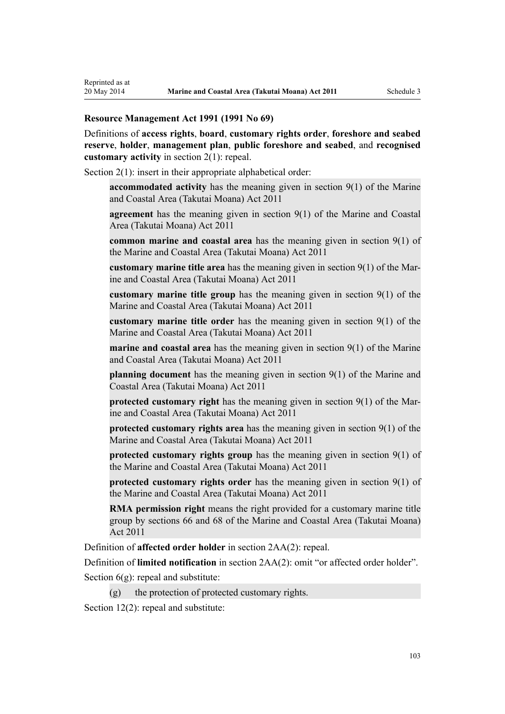## **[Resource Management Act 1991](http://prd-lgnz-nlb.prd.pco.net.nz/pdflink.aspx?id=DLM230264) (1991 No 69)**

Definitions of **access rights**, **board**, **customary rights order**, **foreshore and seabed reserve**, **holder**, **management plan**, **public foreshore and seabed**, and **recognised customary activity** in [section 2\(1\):](http://prd-lgnz-nlb.prd.pco.net.nz/pdflink.aspx?id=DLM230272) repeal.

[Section 2\(1\):](http://prd-lgnz-nlb.prd.pco.net.nz/pdflink.aspx?id=DLM230272) insert in their appropriate alphabetical order:

**accommodated activity** has the meaning given in section 9(1) of the Marine and Coastal Area (Takutai Moana) Act 2011

**agreement** has the meaning given in section 9(1) of the Marine and Coastal Area (Takutai Moana) Act 2011

**common marine and coastal area** has the meaning given in section 9(1) of the Marine and Coastal Area (Takutai Moana) Act 2011

**customary marine title area** has the meaning given in section 9(1) of the Marine and Coastal Area (Takutai Moana) Act 2011

**customary marine title group** has the meaning given in section 9(1) of the Marine and Coastal Area (Takutai Moana) Act 2011

**customary marine title order** has the meaning given in section 9(1) of the Marine and Coastal Area (Takutai Moana) Act 2011

**marine and coastal area** has the meaning given in section 9(1) of the Marine and Coastal Area (Takutai Moana) Act 2011

**planning document** has the meaning given in section 9(1) of the Marine and Coastal Area (Takutai Moana) Act 2011

**protected customary right** has the meaning given in section 9(1) of the Marine and Coastal Area (Takutai Moana) Act 2011

**protected customary rights area** has the meaning given in section 9(1) of the Marine and Coastal Area (Takutai Moana) Act 2011

**protected customary rights group** has the meaning given in section 9(1) of the Marine and Coastal Area (Takutai Moana) Act 2011

**protected customary rights order** has the meaning given in section 9(1) of the Marine and Coastal Area (Takutai Moana) Act 2011

**RMA permission right** means the right provided for a customary marine title group by sections 66 and 68 of the Marine and Coastal Area (Takutai Moana) Act 2011

Definition of **affected order holder** in [section 2AA\(2\):](http://prd-lgnz-nlb.prd.pco.net.nz/pdflink.aspx?id=DLM2408220) repeal.

Definition of **limited notification** in [section 2AA\(2\)](http://prd-lgnz-nlb.prd.pco.net.nz/pdflink.aspx?id=DLM2408220): omit "or affected order holder".

Section  $6(g)$ : repeal and substitute:

 $(g)$  the protection of protected customary rights.

[Section 12\(2\)](http://prd-lgnz-nlb.prd.pco.net.nz/pdflink.aspx?id=DLM231949): repeal and substitute: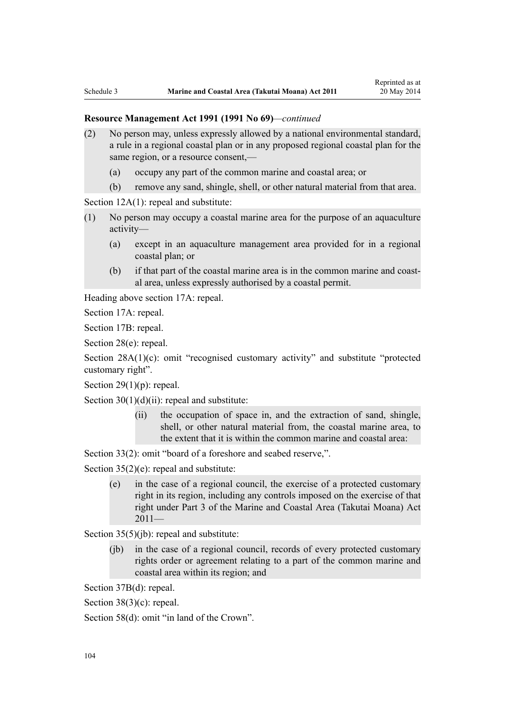- (2) No person may, unless expressly allowed by a national environmental standard, a rule in a regional coastal plan or in any proposed regional coastal plan for the same region, or a resource consent,—
	- (a) occupy any part of the common marine and coastal area; or
	- (b) remove any sand, shingle, shell, or other natural material from that area.

[Section 12A\(1\):](http://prd-lgnz-nlb.prd.pco.net.nz/pdflink.aspx?id=DLM231965) repeal and substitute:

- (1) No person may occupy a coastal marine area for the purpose of an aquaculture activity—
	- (a) except in an aquaculture management area provided for in a regional coastal plan; or
	- (b) if that part of the coastal marine area is in the common marine and coastal area, unless expressly authorised by a coastal permit.

Heading above [section 17A:](http://prd-lgnz-nlb.prd.pco.net.nz/pdflink.aspx?id=DLM232508) repeal.

[Section 17A](http://prd-lgnz-nlb.prd.pco.net.nz/pdflink.aspx?id=DLM232508): repeal.

[Section 17B:](http://prd-lgnz-nlb.prd.pco.net.nz/pdflink.aspx?id=DLM232510) repeal.

[Section 28\(e\):](http://prd-lgnz-nlb.prd.pco.net.nz/pdflink.aspx?id=DLM232548) repeal.

[Section 28A\(1\)\(c\):](http://prd-lgnz-nlb.prd.pco.net.nz/pdflink.aspx?id=DLM232552) omit "recognised customary activity" and substitute "protected customary right".

Section  $29(1)(p)$ : repeal.

Section  $30(1)(d)(ii)$ : repeal and substitute:

(ii) the occupation of space in, and the extraction of sand, shingle, shell, or other natural material from, the coastal marine area, to the extent that it is within the common marine and coastal area:

[Section 33\(2\)](http://prd-lgnz-nlb.prd.pco.net.nz/pdflink.aspx?id=DLM232593): omit "board of a foreshore and seabed reserve,".

[Section 35\(2\)\(e\)](http://prd-lgnz-nlb.prd.pco.net.nz/pdflink.aspx?id=DLM233009): repeal and substitute:

(e) in the case of a regional council, the exercise of a protected customary right in its region, including any controls imposed on the exercise of that right under Part 3 of the Marine and Coastal Area (Takutai Moana) Act  $2011-$ 

[Section 35\(5\)\(jb\)](http://prd-lgnz-nlb.prd.pco.net.nz/pdflink.aspx?id=DLM233009): repeal and substitute:

(jb) in the case of a regional council, records of every protected customary rights order or agreement relating to a part of the common marine and coastal area within its region; and

[Section 37B\(d\)](http://prd-lgnz-nlb.prd.pco.net.nz/pdflink.aspx?id=DLM233052): repeal.

[Section 38\(3\)\(c\)](http://prd-lgnz-nlb.prd.pco.net.nz/pdflink.aspx?id=DLM233057): repeal.

[Section 58\(d\)](http://prd-lgnz-nlb.prd.pco.net.nz/pdflink.aspx?id=DLM233381): omit "in land of the Crown".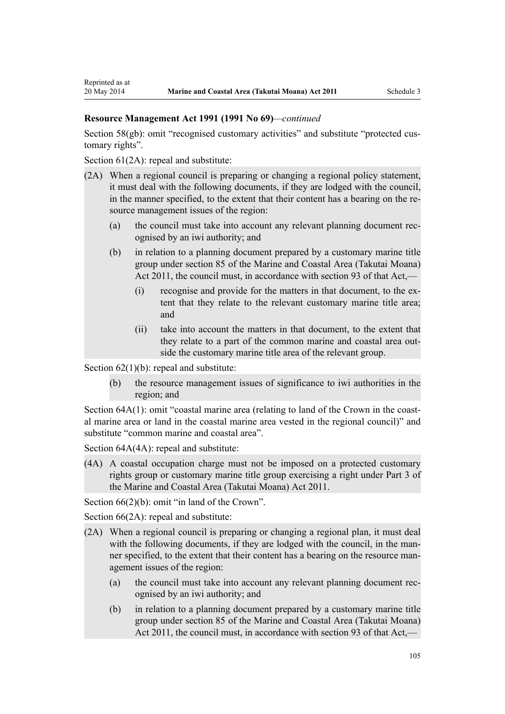[Section 58\(gb\):](http://prd-lgnz-nlb.prd.pco.net.nz/pdflink.aspx?id=DLM233381) omit "recognised customary activities" and substitute "protected customary rights".

[Section 61\(2A\):](http://prd-lgnz-nlb.prd.pco.net.nz/pdflink.aspx?id=DLM233389) repeal and substitute:

- (2A) When a regional council is preparing or changing a regional policy statement, it must deal with the following documents, if they are lodged with the council, in the manner specified, to the extent that their content has a bearing on the resource management issues of the region:
	- (a) the council must take into account any relevant planning document recognised by an iwi authority; and
	- (b) in relation to a planning document prepared by a customary marine title group under section 85 of the Marine and Coastal Area (Takutai Moana) Act 2011, the council must, in accordance with section 93 of that Act,—
		- (i) recognise and provide for the matters in that document, to the extent that they relate to the relevant customary marine title area; and
		- (ii) take into account the matters in that document, to the extent that they relate to a part of the common marine and coastal area outside the customary marine title area of the relevant group.

Section  $62(1)(b)$ : repeal and substitute:

(b) the resource management issues of significance to iwi authorities in the region; and

[Section 64A\(1\)](http://prd-lgnz-nlb.prd.pco.net.nz/pdflink.aspx?id=DLM233610): omit "coastal marine area (relating to land of the Crown in the coastal marine area or land in the coastal marine area vested in the regional council)" and substitute "common marine and coastal area".

Section  $64A(4A)$ : repeal and substitute:

(4A) A coastal occupation charge must not be imposed on a protected customary rights group or customary marine title group exercising a right under Part 3 of the Marine and Coastal Area (Takutai Moana) Act 2011.

[Section 66\(2\)\(b\):](http://prd-lgnz-nlb.prd.pco.net.nz/pdflink.aspx?id=DLM233620) omit "in land of the Crown".

[Section 66\(2A\):](http://prd-lgnz-nlb.prd.pco.net.nz/pdflink.aspx?id=DLM233620) repeal and substitute:

- (2A) When a regional council is preparing or changing a regional plan, it must deal with the following documents, if they are lodged with the council, in the manner specified, to the extent that their content has a bearing on the resource management issues of the region:
	- (a) the council must take into account any relevant planning document recognised by an iwi authority; and
	- (b) in relation to a planning document prepared by a customary marine title group under section 85 of the Marine and Coastal Area (Takutai Moana) Act 2011, the council must, in accordance with section 93 of that Act,—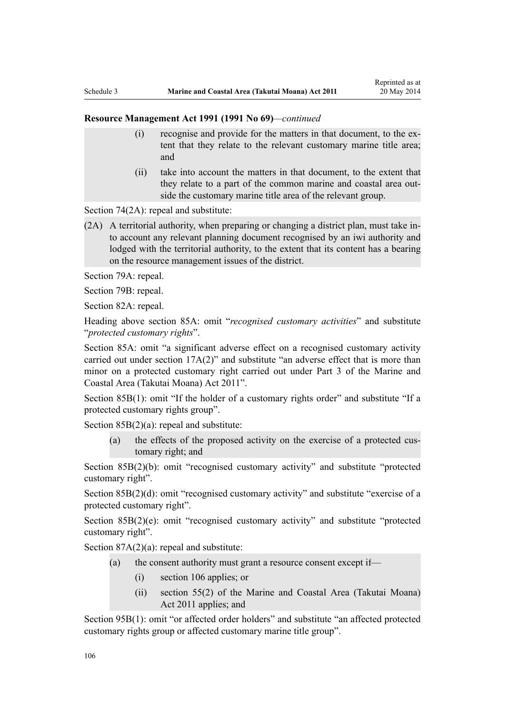- (i) recognise and provide for the matters in that document, to the extent that they relate to the relevant customary marine title area; and
- (ii) take into account the matters in that document, to the extent that they relate to a part of the common marine and coastal area outside the customary marine title area of the relevant group.

[Section 74\(2A\):](http://prd-lgnz-nlb.prd.pco.net.nz/pdflink.aspx?id=DLM233671) repeal and substitute:

(2A) A territorial authority, when preparing or changing a district plan, must take into account any relevant planning document recognised by an iwi authority and lodged with the territorial authority, to the extent that its content has a bearing on the resource management issues of the district.

[Section 79A](http://prd-lgnz-nlb.prd.pco.net.nz/pdflink.aspx?id=DLM233815): repeal.

[Section 79B:](http://prd-lgnz-nlb.prd.pco.net.nz/pdflink.aspx?id=DLM233818) repeal.

[Section 82A](http://prd-lgnz-nlb.prd.pco.net.nz/pdflink.aspx?id=DLM233827): repeal.

Heading above [section 85A](http://prd-lgnz-nlb.prd.pco.net.nz/pdflink.aspx?id=DLM233840): omit "*recognised customary activities*" and substitute "*protected customary rights*".

[Section 85A](http://prd-lgnz-nlb.prd.pco.net.nz/pdflink.aspx?id=DLM233840): omit "a significant adverse effect on a recognised customary activity carried out under section 17A(2)" and substitute "an adverse effect that is more than minor on a protected customary right carried out under Part 3 of the Marine and Coastal Area (Takutai Moana) Act 2011".

[Section 85B\(1\)](http://prd-lgnz-nlb.prd.pco.net.nz/pdflink.aspx?id=DLM233842): omit "If the holder of a customary rights order" and substitute "If a protected customary rights group".

[Section 85B\(2\)\(a\):](http://prd-lgnz-nlb.prd.pco.net.nz/pdflink.aspx?id=DLM233842) repeal and substitute:

(a) the effects of the proposed activity on the exercise of a protected customary right; and

[Section 85B\(2\)\(b\):](http://prd-lgnz-nlb.prd.pco.net.nz/pdflink.aspx?id=DLM233842) omit "recognised customary activity" and substitute "protected customary right".

[Section 85B\(2\)\(d\):](http://prd-lgnz-nlb.prd.pco.net.nz/pdflink.aspx?id=DLM233842) omit "recognised customary activity" and substitute "exercise of a protected customary right".

[Section 85B\(2\)\(e\)](http://prd-lgnz-nlb.prd.pco.net.nz/pdflink.aspx?id=DLM233842): omit "recognised customary activity" and substitute "protected customary right".

Section  $87A(2)(a)$ : repeal and substitute:

- (a) the consent authority must grant a resource consent except if—
	- (i) section 106 applies; or
	- (ii) section 55(2) of the Marine and Coastal Area (Takutai Moana) Act 2011 applies; and

[Section 95B\(1\)](http://prd-lgnz-nlb.prd.pco.net.nz/pdflink.aspx?id=DLM2416410): omit "or affected order holders" and substitute "an affected protected customary rights group or affected customary marine title group".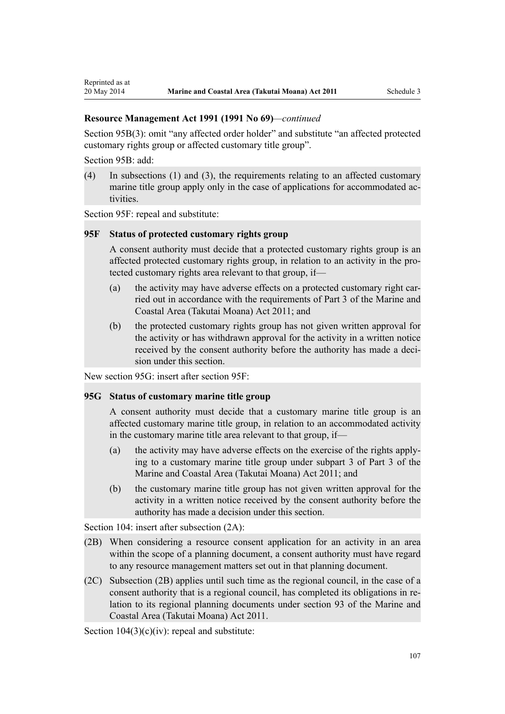[Section 95B\(3\)](http://prd-lgnz-nlb.prd.pco.net.nz/pdflink.aspx?id=DLM2416410): omit "any affected order holder" and substitute "an affected protected customary rights group or affected customary title group".

[Section 95B:](http://prd-lgnz-nlb.prd.pco.net.nz/pdflink.aspx?id=DLM2416410) add:

Reprinted as at

(4) In subsections (1) and (3), the requirements relating to an affected customary marine title group apply only in the case of applications for accommodated activities.

[Section 95F](http://prd-lgnz-nlb.prd.pco.net.nz/pdflink.aspx?id=DLM2416414): repeal and substitute:

## **95F Status of protected customary rights group**

A consent authority must decide that a protected customary rights group is an affected protected customary rights group, in relation to an activity in the protected customary rights area relevant to that group, if—

- (a) the activity may have adverse effects on a protected customary right carried out in accordance with the requirements of Part 3 of the Marine and Coastal Area (Takutai Moana) Act 2011; and
- (b) the protected customary rights group has not given written approval for the activity or has withdrawn approval for the activity in a written notice received by the consent authority before the authority has made a decision under this section.

New section 95G: insert after [section 95F:](http://prd-lgnz-nlb.prd.pco.net.nz/pdflink.aspx?id=DLM2416414)

## **95G Status of customary marine title group**

A consent authority must decide that a customary marine title group is an affected customary marine title group, in relation to an accommodated activity in the customary marine title area relevant to that group, if—

- (a) the activity may have adverse effects on the exercise of the rights applying to a customary marine title group under subpart 3 of Part 3 of the Marine and Coastal Area (Takutai Moana) Act 2011; and
- (b) the customary marine title group has not given written approval for the activity in a written notice received by the consent authority before the authority has made a decision under this section.

[Section 104:](http://prd-lgnz-nlb.prd.pco.net.nz/pdflink.aspx?id=DLM234355) insert after subsection  $(2A)$ :

- (2B) When considering a resource consent application for an activity in an area within the scope of a planning document, a consent authority must have regard to any resource management matters set out in that planning document.
- (2C) Subsection (2B) applies until such time as the regional council, in the case of a consent authority that is a regional council, has completed its obligations in relation to its regional planning documents under section 93 of the Marine and Coastal Area (Takutai Moana) Act 2011.

Section  $104(3)(c)(iv)$ : repeal and substitute: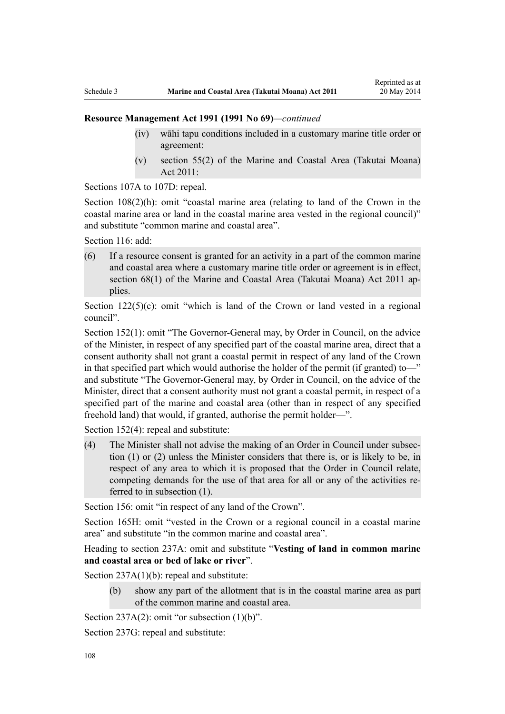- (iv) wāhi tapu conditions included in a customary marine title order or agreement:
- (v) section 55(2) of the Marine and Coastal Area (Takutai Moana) Act 2011:

[Sections 107A to 107D:](http://prd-lgnz-nlb.prd.pco.net.nz/pdflink.aspx?id=DLM234801) repeal.

[Section 108\(2\)\(h\)](http://prd-lgnz-nlb.prd.pco.net.nz/pdflink.aspx?id=DLM234810): omit "coastal marine area (relating to land of the Crown in the coastal marine area or land in the coastal marine area vested in the regional council)" and substitute "common marine and coastal area".

[Section 116](http://prd-lgnz-nlb.prd.pco.net.nz/pdflink.aspx?id=DLM234865): add:

(6) If a resource consent is granted for an activity in a part of the common marine and coastal area where a customary marine title order or agreement is in effect, section 68(1) of the Marine and Coastal Area (Takutai Moana) Act 2011 applies.

Section  $122(5)(c)$ : omit "which is land of the Crown or land vested in a regional council".

[Section 152\(1\)](http://prd-lgnz-nlb.prd.pco.net.nz/pdflink.aspx?id=DLM235468): omit "The Governor-General may, by Order in Council, on the advice of the Minister, in respect of any specified part of the coastal marine area, direct that a consent authority shall not grant a coastal permit in respect of any land of the Crown in that specified part which would authorise the holder of the permit (if granted) to—" and substitute "The Governor-General may, by Order in Council, on the advice of the Minister, direct that a consent authority must not grant a coastal permit, in respect of a specified part of the marine and coastal area (other than in respect of any specified freehold land) that would, if granted, authorise the permit holder—".

[Section 152\(4\)](http://prd-lgnz-nlb.prd.pco.net.nz/pdflink.aspx?id=DLM235468): repeal and substitute:

(4) The Minister shall not advise the making of an Order in Council under subsection (1) or (2) unless the Minister considers that there is, or is likely to be, in respect of any area to which it is proposed that the Order in Council relate, competing demands for the use of that area for all or any of the activities referred to in subsection (1).

[Section 156:](http://prd-lgnz-nlb.prd.pco.net.nz/pdflink.aspx?id=DLM235484) omit "in respect of any land of the Crown".

[Section 165H:](http://prd-lgnz-nlb.prd.pco.net.nz/pdflink.aspx?id=DLM236036) omit "vested in the Crown or a regional council in a coastal marine area" and substitute "in the common marine and coastal area".

Heading to section 237A: omit and substitute "**Vesting of land in common marine and coastal area or bed of lake or river**".

[Section 237A\(1\)\(b\):](http://prd-lgnz-nlb.prd.pco.net.nz/pdflink.aspx?id=DLM237276) repeal and substitute:

(b) show any part of the allotment that is in the coastal marine area as part of the common marine and coastal area.

[Section 237A\(2\):](http://prd-lgnz-nlb.prd.pco.net.nz/pdflink.aspx?id=DLM237276) omit "or subsection  $(1)(b)$ ".

[Section 237G](http://prd-lgnz-nlb.prd.pco.net.nz/pdflink.aspx?id=DLM237291): repeal and substitute: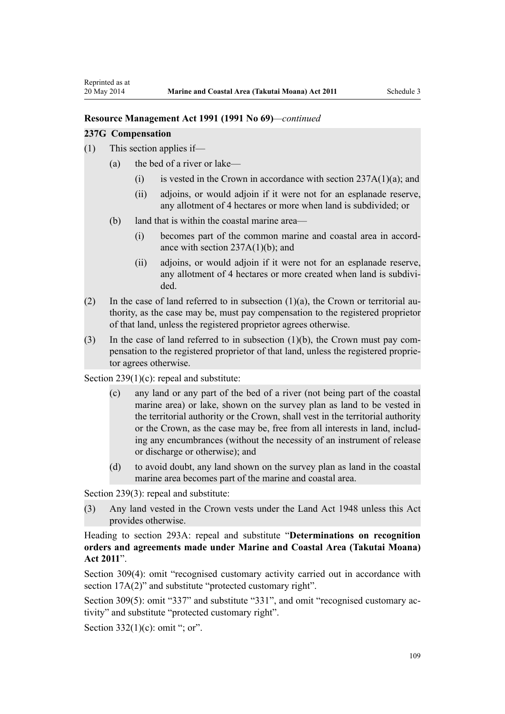### **Resource Management Act 1991 (1991 No 69)***—continued*

#### **237G Compensation**

- (1) This section applies if—
	- (a) the bed of a river or lake—
		- (i) is vested in the Crown in accordance with section  $237A(1)(a)$ ; and
		- (ii) adjoins, or would adjoin if it were not for an esplanade reserve, any allotment of 4 hectares or more when land is subdivided; or
	- (b) land that is within the coastal marine area—
		- (i) becomes part of the common marine and coastal area in accordance with section  $237A(1)(b)$ ; and
		- (ii) adjoins, or would adjoin if it were not for an esplanade reserve, any allotment of 4 hectares or more created when land is subdivided.
- (2) In the case of land referred to in subsection  $(1)(a)$ , the Crown or territorial authority, as the case may be, must pay compensation to the registered proprietor of that land, unless the registered proprietor agrees otherwise.
- (3) In the case of land referred to in subsection (1)(b), the Crown must pay compensation to the registered proprietor of that land, unless the registered proprietor agrees otherwise.

[Section 239\(1\)\(c\):](http://prd-lgnz-nlb.prd.pco.net.nz/pdflink.aspx?id=DLM237600) repeal and substitute:

- (c) any land or any part of the bed of a river (not being part of the coastal marine area) or lake, shown on the survey plan as land to be vested in the territorial authority or the Crown, shall vest in the territorial authority or the Crown, as the case may be, free from all interests in land, including any encumbrances (without the necessity of an instrument of release or discharge or otherwise); and
- (d) to avoid doubt, any land shown on the survey plan as land in the coastal marine area becomes part of the marine and coastal area.

[Section 239\(3\)](http://prd-lgnz-nlb.prd.pco.net.nz/pdflink.aspx?id=DLM237600): repeal and substitute:

(3) Any land vested in the Crown vests under the Land Act 1948 unless this Act provides otherwise.

Heading to [section 293A:](http://prd-lgnz-nlb.prd.pco.net.nz/pdflink.aspx?id=DLM238254) repeal and substitute "**Determinations on recognition orders and agreements made under Marine and Coastal Area (Takutai Moana) Act 2011**".

[Section 309\(4\):](http://prd-lgnz-nlb.prd.pco.net.nz/pdflink.aspx?id=DLM238505) omit "recognised customary activity carried out in accordance with section  $17A(2)$ " and substitute "protected customary right".

[Section 309\(5\)](http://prd-lgnz-nlb.prd.pco.net.nz/pdflink.aspx?id=DLM238505): omit "337" and substitute "331", and omit "recognised customary activity" and substitute "protected customary right".

Section  $332(1)(c)$ : omit "; or".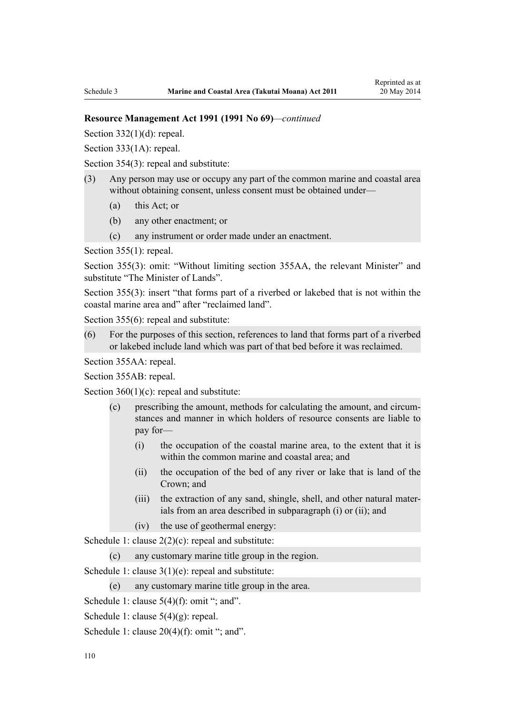#### **Resource Management Act 1991 (1991 No 69)***—continued*

Section  $332(1)(d)$ : repeal.

[Section 333\(1A\):](http://prd-lgnz-nlb.prd.pco.net.nz/pdflink.aspx?id=DLM239027) repeal.

[Section 354\(3\)](http://prd-lgnz-nlb.prd.pco.net.nz/pdflink.aspx?id=DLM239318): repeal and substitute:

- (3) Any person may use or occupy any part of the common marine and coastal area without obtaining consent, unless consent must be obtained under—
	- (a) this Act; or
	- (b) any other enactment; or
	- (c) any instrument or order made under an enactment.

[Section 355\(1\)](http://prd-lgnz-nlb.prd.pco.net.nz/pdflink.aspx?id=DLM239322): repeal.

[Section 355\(3\):](http://prd-lgnz-nlb.prd.pco.net.nz/pdflink.aspx?id=DLM239322) omit: "Without limiting section 355AA, the relevant Minister" and substitute "The Minister of Lands".

[Section 355\(3\)](http://prd-lgnz-nlb.prd.pco.net.nz/pdflink.aspx?id=DLM239322): insert "that forms part of a riverbed or lakebed that is not within the coastal marine area and" after "reclaimed land".

[Section 355\(6\)](http://prd-lgnz-nlb.prd.pco.net.nz/pdflink.aspx?id=DLM239322): repeal and substitute:

(6) For the purposes of this section, references to land that forms part of a riverbed or lakebed include land which was part of that bed before it was reclaimed.

[Section 355AA](http://prd-lgnz-nlb.prd.pco.net.nz/pdflink.aspx?id=DLM239326): repeal.

[Section 355AB:](http://prd-lgnz-nlb.prd.pco.net.nz/pdflink.aspx?id=DLM239328) repeal.

Section  $360(1)(c)$ : repeal and substitute:

- (c) prescribing the amount, methods for calculating the amount, and circumstances and manner in which holders of resource consents are liable to pay for—
	- (i) the occupation of the coastal marine area, to the extent that it is within the common marine and coastal area; and
	- (ii) the occupation of the bed of any river or lake that is land of the Crown; and
	- (iii) the extraction of any sand, shingle, shell, and other natural materials from an area described in subparagraph (i) or (ii); and
	- (iv) the use of geothermal energy:

[Schedule 1:](http://prd-lgnz-nlb.prd.pco.net.nz/pdflink.aspx?id=DLM240686) clause  $2(2)(c)$ : repeal and substitute:

(c) any customary marine title group in the region.

[Schedule 1:](http://prd-lgnz-nlb.prd.pco.net.nz/pdflink.aspx?id=DLM240686) clause 3(1)(e): repeal and substitute:

(e) any customary marine title group in the area.

[Schedule 1:](http://prd-lgnz-nlb.prd.pco.net.nz/pdflink.aspx?id=DLM240686) clause  $5(4)(f)$ : omit "; and".

- [Schedule 1:](http://prd-lgnz-nlb.prd.pco.net.nz/pdflink.aspx?id=DLM240686) clause 5(4)(g): repeal.
- [Schedule 1:](http://prd-lgnz-nlb.prd.pco.net.nz/pdflink.aspx?id=DLM240686) clause  $20(4)(f)$ : omit "; and".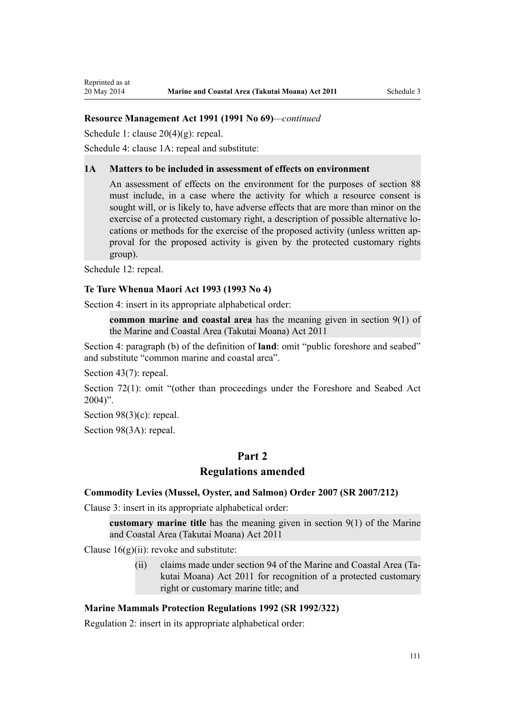### **Resource Management Act 1991 (1991 No 69)***—continued*

[Schedule 1:](http://prd-lgnz-nlb.prd.pco.net.nz/pdflink.aspx?id=DLM240686) clause 20(4)(g): repeal.

[Schedule 4:](http://prd-lgnz-nlb.prd.pco.net.nz/pdflink.aspx?id=DLM242008) clause 1A: repeal and substitute:

#### **1A Matters to be included in assessment of effects on environment**

An assessment of effects on the environment for the purposes of section 88 must include, in a case where the activity for which a resource consent is sought will, or is likely to, have adverse effects that are more than minor on the exercise of a protected customary right, a description of possible alternative locations or methods for the exercise of the proposed activity (unless written approval for the proposed activity is given by the protected customary rights group).

[Schedule 12:](http://prd-lgnz-nlb.prd.pco.net.nz/pdflink.aspx?id=DLM242515) repeal.

Reprinted as at

#### **[Te Ture Whenua Maori Act 1993](http://prd-lgnz-nlb.prd.pco.net.nz/pdflink.aspx?id=DLM289881) (1993 No 4)**

[Section 4](http://prd-lgnz-nlb.prd.pco.net.nz/pdflink.aspx?id=DLM289897): insert in its appropriate alphabetical order:

**common marine and coastal area** has the meaning given in section 9(1) of the Marine and Coastal Area (Takutai Moana) Act 2011

[Section 4:](http://prd-lgnz-nlb.prd.pco.net.nz/pdflink.aspx?id=DLM289897) paragraph (b) of the definition of **land**: omit "public foreshore and seabed" and substitute "common marine and coastal area".

[Section 43\(7\)](http://prd-lgnz-nlb.prd.pco.net.nz/pdflink.aspx?id=DLM290907): repeal.

[Section 72\(1\)](http://prd-lgnz-nlb.prd.pco.net.nz/pdflink.aspx?id=DLM290961): omit "(other than proceedings under the Foreshore and Seabed Act  $2004$ ".

[Section 98\(3\)\(c\)](http://prd-lgnz-nlb.prd.pco.net.nz/pdflink.aspx?id=DLM291203): repeal.

[Section 98\(3A\):](http://prd-lgnz-nlb.prd.pco.net.nz/pdflink.aspx?id=DLM291203) repeal.

# **Part 2**

## **Regulations amended**

#### **[Commodity Levies \(Mussel, Oyster, and Salmon\) Order 2007](http://prd-lgnz-nlb.prd.pco.net.nz/pdflink.aspx?id=DLM443982) (SR 2007/212)**

[Clause 3](http://prd-lgnz-nlb.prd.pco.net.nz/pdflink.aspx?id=DLM443990): insert in its appropriate alphabetical order:

**customary marine title** has the meaning given in section 9(1) of the Marine and Coastal Area (Takutai Moana) Act 2011

Clause  $16(g)(ii)$ : revoke and substitute:

(ii) claims made under section 94 of the Marine and Coastal Area (Takutai Moana) Act 2011 for recognition of a protected customary right or customary marine title; and

## **[Marine Mammals Protection Regulations 1992](http://prd-lgnz-nlb.prd.pco.net.nz/pdflink.aspx?id=DLM168285) (SR 1992/322)**

[Regulation 2](http://prd-lgnz-nlb.prd.pco.net.nz/pdflink.aspx?id=DLM168290): insert in its appropriate alphabetical order: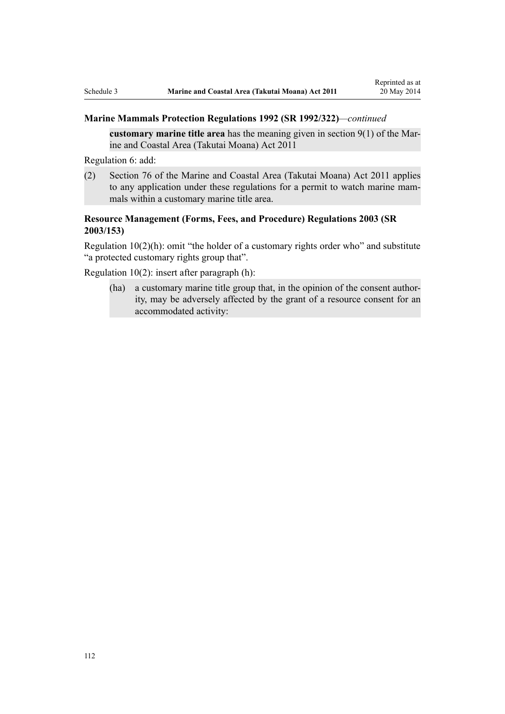### **Marine Mammals Protection Regulations 1992 (SR 1992/322)***—continued*

**customary marine title area** has the meaning given in section 9(1) of the Marine and Coastal Area (Takutai Moana) Act 2011

[Regulation 6](http://prd-lgnz-nlb.prd.pco.net.nz/pdflink.aspx?id=DLM168824): add:

(2) Section 76 of the Marine and Coastal Area (Takutai Moana) Act 2011 applies to any application under these regulations for a permit to watch marine mammals within a customary marine title area.

# **[Resource Management \(Forms, Fees, and Procedure\) Regulations 2003](http://prd-lgnz-nlb.prd.pco.net.nz/pdflink.aspx?id=DLM195259) (SR 2003/153)**

[Regulation 10\(2\)\(h\)](http://prd-lgnz-nlb.prd.pco.net.nz/pdflink.aspx?id=DLM168828): omit "the holder of a customary rights order who" and substitute "a protected customary rights group that".

[Regulation 10\(2\)](http://prd-lgnz-nlb.prd.pco.net.nz/pdflink.aspx?id=DLM168828): insert after paragraph (h):

(ha) a customary marine title group that, in the opinion of the consent authority, may be adversely affected by the grant of a resource consent for an accommodated activity: